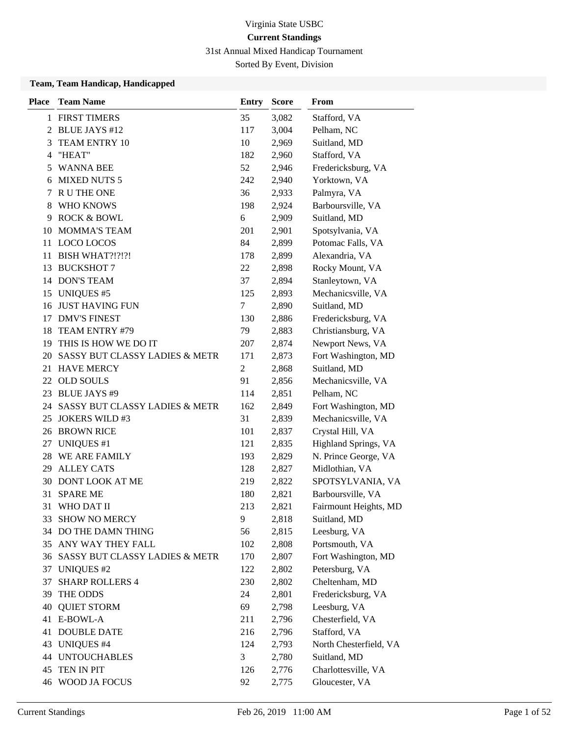31st Annual Mixed Handicap Tournament

Sorted By Event, Division

| <b>Place</b> | <b>Team Name</b>               | <b>Entry</b>   | <b>Score</b> | From                   |
|--------------|--------------------------------|----------------|--------------|------------------------|
|              | 1 FIRST TIMERS                 | 35             | 3,082        | Stafford, VA           |
|              | 2 BLUE JAYS #12                | 117            | 3,004        | Pelham, NC             |
| 3            | TEAM ENTRY 10                  | 10             | 2,969        | Suitland, MD           |
| 4            | "HEAT"                         | 182            | 2,960        | Stafford, VA           |
| 5            | <b>WANNA BEE</b>               | 52             | 2,946        | Fredericksburg, VA     |
| 6            | <b>MIXED NUTS 5</b>            | 242            | 2,940        | Yorktown, VA           |
| 7            | R U THE ONE                    | 36             | 2,933        | Palmyra, VA            |
| 8            | WHO KNOWS                      | 198            | 2,924        | Barboursville, VA      |
| 9            | <b>ROCK &amp; BOWL</b>         | 6              | 2,909        | Suitland, MD           |
| 10           | <b>MOMMA'S TEAM</b>            | 201            | 2,901        | Spotsylvania, VA       |
| 11           | LOCO LOCOS                     | 84             | 2,899        | Potomac Falls, VA      |
| 11           | BISH WHAT?!?!?!                | 178            | 2,899        | Alexandria, VA         |
| 13           | <b>BUCKSHOT 7</b>              | 22             | 2,898        | Rocky Mount, VA        |
|              | 14 DON'S TEAM                  | 37             | 2,894        | Stanleytown, VA        |
| 15           | <b>UNIQUES #5</b>              | 125            | 2,893        | Mechanicsville, VA     |
| 16           | <b>JUST HAVING FUN</b>         | 7              | 2,890        | Suitland, MD           |
| 17           | <b>DMV'S FINEST</b>            | 130            | 2,886        | Fredericksburg, VA     |
| 18           | TEAM ENTRY #79                 | 79             | 2,883        | Christiansburg, VA     |
|              | 19 THIS IS HOW WE DO IT        | 207            | 2,874        | Newport News, VA       |
| 20           | SASSY BUT CLASSY LADIES & METR | 171            | 2,873        | Fort Washington, MD    |
|              | 21 HAVE MERCY                  | $\overline{c}$ | 2,868        | Suitland, MD           |
| 22           | <b>OLD SOULS</b>               | 91             | 2,856        | Mechanicsville, VA     |
| 23           | <b>BLUE JAYS #9</b>            | 114            | 2,851        | Pelham, NC             |
| 24           | SASSY BUT CLASSY LADIES & METR | 162            | 2,849        | Fort Washington, MD    |
| 25           | <b>JOKERS WILD #3</b>          | 31             | 2,839        | Mechanicsville, VA     |
| 26           | <b>BROWN RICE</b>              | 101            | 2,837        | Crystal Hill, VA       |
| 27           | <b>UNIQUES</b> #1              | 121            | 2,835        | Highland Springs, VA   |
| 28           | WE ARE FAMILY                  | 193            | 2,829        | N. Prince George, VA   |
| 29           | <b>ALLEY CATS</b>              | 128            | 2,827        | Midlothian, VA         |
|              | 30 DONT LOOK AT ME             | 219            | 2,822        | SPOTSYLVANIA, VA       |
| 31           | <b>SPARE ME</b>                | 180            | 2,821        | Barboursville, VA      |
| 31           | WHO DAT II                     | 213            | 2,821        | Fairmount Heights, MD  |
|              | 33 SHOW NO MERCY               | 9              | 2,818        | Suitland, MD           |
|              | 34 DO THE DAMN THING           | 56             | 2,815        | Leesburg, VA           |
|              | 35 ANY WAY THEY FALL           | 102            | 2,808        | Portsmouth, VA         |
| 36           | SASSY BUT CLASSY LADIES & METR | 170            | 2,807        | Fort Washington, MD    |
| 37           | <b>UNIQUES #2</b>              | 122            | 2,802        | Petersburg, VA         |
| 37           | <b>SHARP ROLLERS 4</b>         | 230            | 2,802        | Cheltenham, MD         |
| 39           | THE ODDS                       | 24             | 2,801        | Fredericksburg, VA     |
| 40           | <b>QUIET STORM</b>             | 69             | 2,798        | Leesburg, VA           |
|              | 41 E-BOWL-A                    | 211            | 2,796        | Chesterfield, VA       |
|              | <b>41 DOUBLE DATE</b>          | 216            | 2,796        | Stafford, VA           |
| 43           | <b>UNIQUES #4</b>              | 124            | 2,793        | North Chesterfield, VA |
|              | <b>44 UNTOUCHABLES</b>         | 3              | 2,780        | Suitland, MD           |
| 45           | TEN IN PIT                     | 126            | 2,776        | Charlottesville, VA    |
| 46           | WOOD JA FOCUS                  | 92             | 2,775        | Gloucester, VA         |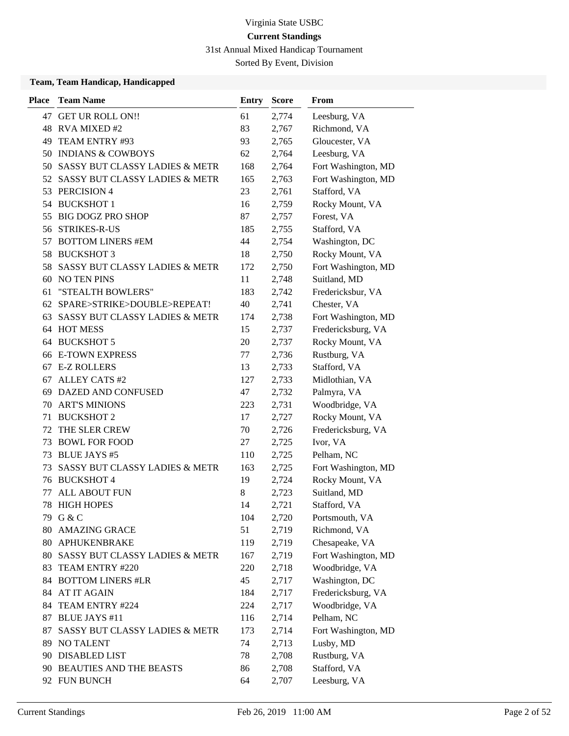31st Annual Mixed Handicap Tournament

Sorted By Event, Division

| <b>Place</b> | <b>Team Name</b>                          | <b>Entry</b> | <b>Score</b> | From                |
|--------------|-------------------------------------------|--------------|--------------|---------------------|
| 47           | <b>GET UR ROLL ON!!</b>                   | 61           | 2,774        | Leesburg, VA        |
|              | 48 RVA MIXED #2                           | 83           | 2,767        | Richmond, VA        |
| 49           | TEAM ENTRY #93                            | 93           | 2,765        | Gloucester, VA      |
| 50           | <b>INDIANS &amp; COWBOYS</b>              | 62           | 2,764        | Leesburg, VA        |
| 50           | SASSY BUT CLASSY LADIES & METR            | 168          | 2,764        | Fort Washington, MD |
| 52           | SASSY BUT CLASSY LADIES & METR            | 165          | 2,763        | Fort Washington, MD |
| 53           | PERCISION 4                               | 23           | 2,761        | Stafford, VA        |
| 54           | <b>BUCKSHOT 1</b>                         | 16           | 2,759        | Rocky Mount, VA     |
| 55           | <b>BIG DOGZ PRO SHOP</b>                  | 87           | 2,757        | Forest, VA          |
| 56           | <b>STRIKES-R-US</b>                       | 185          | 2,755        | Stafford, VA        |
| 57           | <b>BOTTOM LINERS #EM</b>                  | 44           | 2,754        | Washington, DC      |
| 58           | <b>BUCKSHOT 3</b>                         | 18           | 2,750        | Rocky Mount, VA     |
| 58           | SASSY BUT CLASSY LADIES & METR            | 172          | 2,750        | Fort Washington, MD |
| 60           | <b>NO TEN PINS</b>                        | 11           | 2,748        | Suitland, MD        |
| 61           | "STEALTH BOWLERS"                         | 183          | 2,742        | Fredericksbur, VA   |
| 62           | SPARE>STRIKE>DOUBLE>REPEAT!               | 40           | 2,741        | Chester, VA         |
| 63           | <b>SASSY BUT CLASSY LADIES &amp; METR</b> | 174          | 2,738        | Fort Washington, MD |
| 64           | <b>HOT MESS</b>                           | 15           | 2,737        | Fredericksburg, VA  |
| 64           | <b>BUCKSHOT 5</b>                         | 20           | 2,737        | Rocky Mount, VA     |
| 66           | <b>E-TOWN EXPRESS</b>                     | 77           | 2,736        | Rustburg, VA        |
| 67           | <b>E-Z ROLLERS</b>                        | 13           | 2,733        | Stafford, VA        |
| 67           | <b>ALLEY CATS #2</b>                      | 127          | 2,733        | Midlothian, VA      |
| 69           | DAZED AND CONFUSED                        | 47           | 2,732        | Palmyra, VA         |
| 70           | <b>ART'S MINIONS</b>                      | 223          | 2,731        | Woodbridge, VA      |
| 71           | <b>BUCKSHOT 2</b>                         | 17           | 2,727        | Rocky Mount, VA     |
| 72           | THE SLER CREW                             | 70           | 2,726        | Fredericksburg, VA  |
| 73           | <b>BOWL FOR FOOD</b>                      | 27           | 2,725        | Ivor, VA            |
| 73           | <b>BLUE JAYS #5</b>                       | 110          | 2,725        | Pelham, NC          |
| 73           | SASSY BUT CLASSY LADIES & METR            | 163          | 2,725        | Fort Washington, MD |
| 76           | <b>BUCKSHOT 4</b>                         | 19           | 2,724        | Rocky Mount, VA     |
| 77           | <b>ALL ABOUT FUN</b>                      | 8            | 2,723        | Suitland, MD        |
| 78           | <b>HIGH HOPES</b>                         | 14           | 2,721        | Stafford, VA        |
|              | 79 G & C                                  | 104          | 2,720        | Portsmouth, VA      |
| 80           | <b>AMAZING GRACE</b>                      | 51           | 2,719        | Richmond, VA        |
| 80           | APHUKENBRAKE                              | 119          | 2,719        | Chesapeake, VA      |
| 80           | SASSY BUT CLASSY LADIES & METR            | 167          | 2,719        | Fort Washington, MD |
| 83           | TEAM ENTRY #220                           | 220          | 2,718        | Woodbridge, VA      |
| 84           | <b>BOTTOM LINERS #LR</b>                  | 45           | 2,717        | Washington, DC      |
| 84           | <b>AT IT AGAIN</b>                        | 184          | 2,717        | Fredericksburg, VA  |
| 84           | TEAM ENTRY #224                           | 224          | 2,717        | Woodbridge, VA      |
| 87           | <b>BLUE JAYS #11</b>                      | 116          | 2,714        | Pelham, NC          |
| 87           | SASSY BUT CLASSY LADIES & METR            | 173          | 2,714        | Fort Washington, MD |
| 89           | NO TALENT                                 | 74           | 2,713        | Lusby, MD           |
|              | 90 DISABLED LIST                          | 78           | 2,708        | Rustburg, VA        |
| 90           | <b>BEAUTIES AND THE BEASTS</b>            | 86           | 2,708        | Stafford, VA        |
|              | 92 FUN BUNCH                              | 64           | 2,707        | Leesburg, VA        |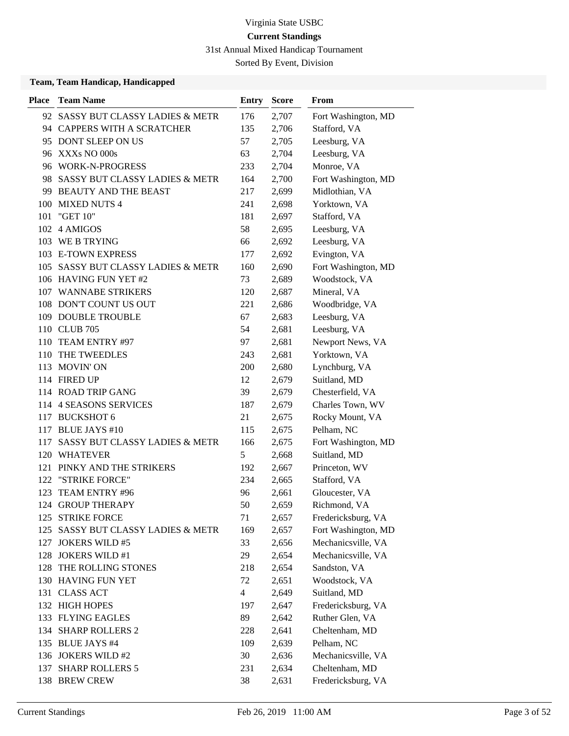31st Annual Mixed Handicap Tournament

Sorted By Event, Division

| <b>Place</b> | <b>Team Name</b>                   | Entry          | <b>Score</b> | From                |
|--------------|------------------------------------|----------------|--------------|---------------------|
|              | 92 SASSY BUT CLASSY LADIES & METR  | 176            | 2,707        | Fort Washington, MD |
|              | 94 CAPPERS WITH A SCRATCHER        | 135            | 2,706        | Stafford, VA        |
|              | 95 DONT SLEEP ON US                | 57             | 2,705        | Leesburg, VA        |
|              | 96 XXXs NO 000s                    | 63             | 2,704        | Leesburg, VA        |
|              | 96 WORK-N-PROGRESS                 | 233            | 2,704        | Monroe, VA          |
|              | 98 SASSY BUT CLASSY LADIES & METR  | 164            | 2,700        | Fort Washington, MD |
|              | 99 BEAUTY AND THE BEAST            | 217            | 2,699        | Midlothian, VA      |
|              | 100 MIXED NUTS 4                   | 241            | 2,698        | Yorktown, VA        |
| 101          | "GET 10"                           | 181            | 2,697        | Stafford, VA        |
| 102          | 4 AMIGOS                           | 58             | 2,695        | Leesburg, VA        |
|              | 103 WE B TRYING                    | 66             | 2,692        | Leesburg, VA        |
|              | 103 E-TOWN EXPRESS                 | 177            | 2,692        | Evington, VA        |
|              | 105 SASSY BUT CLASSY LADIES & METR | 160            | 2,690        | Fort Washington, MD |
|              | 106 HAVING FUN YET #2              | 73             | 2,689        | Woodstock, VA       |
|              | 107 WANNABE STRIKERS               | 120            | 2,687        | Mineral, VA         |
|              | 108 DON'T COUNT US OUT             | 221            | 2,686        | Woodbridge, VA      |
|              | 109 DOUBLE TROUBLE                 | 67             | 2,683        | Leesburg, VA        |
|              | 110 CLUB 705                       | 54             | 2,681        | Leesburg, VA        |
| 110          | TEAM ENTRY #97                     | 97             | 2,681        | Newport News, VA    |
| 110          | THE TWEEDLES                       | 243            | 2,681        | Yorktown, VA        |
|              | 113 MOVIN'ON                       | 200            | 2,680        | Lynchburg, VA       |
|              | 114 FIRED UP                       | 12             | 2,679        | Suitland, MD        |
|              | 114 ROAD TRIP GANG                 | 39             | 2,679        | Chesterfield, VA    |
|              | 114 4 SEASONS SERVICES             | 187            | 2,679        | Charles Town, WV    |
|              | 117 BUCKSHOT 6                     | 21             | 2,675        | Rocky Mount, VA     |
|              | 117 BLUE JAYS #10                  | 115            | 2,675        | Pelham, NC          |
| 117          | SASSY BUT CLASSY LADIES & METR     | 166            | 2,675        | Fort Washington, MD |
|              | 120 WHATEVER                       | 5              | 2,668        | Suitland, MD        |
| 121          | PINKY AND THE STRIKERS             | 192            | 2,667        | Princeton, WV       |
| 122          | "STRIKE FORCE"                     | 234            | 2,665        | Stafford, VA        |
| 123          | TEAM ENTRY #96                     | 96             | 2,661        | Gloucester, VA      |
|              | 124 GROUP THERAPY                  | 50             | 2,659        | Richmond, VA        |
|              | 125 STRIKE FORCE                   | 71             | 2,657        | Fredericksburg, VA  |
| 125          | SASSY BUT CLASSY LADIES & METR     | 169            | 2,657        | Fort Washington, MD |
|              | 127 JOKERS WILD #5                 | 33             | 2,656        | Mechanicsville, VA  |
|              | 128 JOKERS WILD #1                 | 29             | 2,654        | Mechanicsville, VA  |
| 128          | THE ROLLING STONES                 | 218            | 2,654        | Sandston, VA        |
|              | 130 HAVING FUN YET                 | 72             | 2,651        | Woodstock, VA       |
|              | 131 CLASS ACT                      | $\overline{4}$ | 2,649        | Suitland, MD        |
|              | 132 HIGH HOPES                     | 197            | 2,647        | Fredericksburg, VA  |
|              | 133 FLYING EAGLES                  | 89             | 2,642        | Ruther Glen, VA     |
|              | 134 SHARP ROLLERS 2                | 228            | 2,641        | Cheltenham, MD      |
|              | 135 BLUE JAYS #4                   | 109            | 2,639        | Pelham, NC          |
|              | 136 JOKERS WILD #2                 | 30             | 2,636        | Mechanicsville, VA  |
|              | 137 SHARP ROLLERS 5                | 231            | 2,634        | Cheltenham, MD      |
|              | 138 BREW CREW                      | 38             | 2,631        | Fredericksburg, VA  |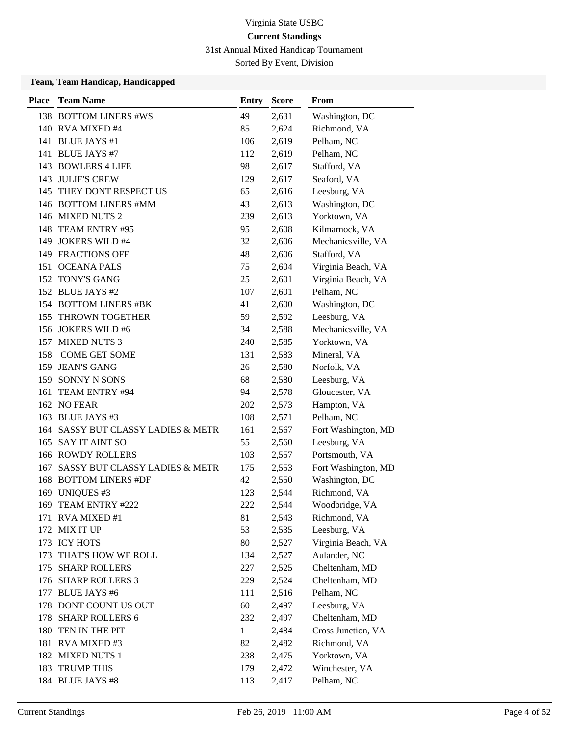31st Annual Mixed Handicap Tournament

Sorted By Event, Division

| <b>Place</b> | <b>Team Name</b>                          | <b>Entry</b> | <b>Score</b> | From                |
|--------------|-------------------------------------------|--------------|--------------|---------------------|
|              | 138 BOTTOM LINERS #WS                     | 49           | 2,631        | Washington, DC      |
|              | 140 RVA MIXED #4                          | 85           | 2,624        | Richmond, VA        |
| 141          | <b>BLUE JAYS #1</b>                       | 106          | 2,619        | Pelham, NC          |
|              | 141 BLUE JAYS #7                          | 112          | 2,619        | Pelham, NC          |
|              | 143 BOWLERS 4 LIFE                        | 98           | 2,617        | Stafford, VA        |
|              | 143 JULIE'S CREW                          | 129          | 2,617        | Seaford, VA         |
|              | 145 THEY DONT RESPECT US                  | 65           | 2,616        | Leesburg, VA        |
|              | 146 BOTTOM LINERS #MM                     | 43           | 2,613        | Washington, DC      |
|              | 146 MIXED NUTS 2                          | 239          | 2,613        | Yorktown, VA        |
| 148          | TEAM ENTRY #95                            | 95           | 2,608        | Kilmarnock, VA      |
| 149          | <b>JOKERS WILD #4</b>                     | 32           | 2,606        | Mechanicsville, VA  |
|              | 149 FRACTIONS OFF                         | 48           | 2,606        | Stafford, VA        |
|              | 151 OCEANA PALS                           | 75           | 2,604        | Virginia Beach, VA  |
|              | 152 TONY'S GANG                           | 25           | 2,601        | Virginia Beach, VA  |
|              | 152 BLUE JAYS #2                          | 107          | 2,601        | Pelham, NC          |
|              | 154 BOTTOM LINERS #BK                     | 41           | 2,600        | Washington, DC      |
| 155          | <b>THROWN TOGETHER</b>                    | 59           | 2,592        | Leesburg, VA        |
|              | 156 JOKERS WILD #6                        | 34           | 2,588        | Mechanicsville, VA  |
|              | 157 MIXED NUTS 3                          | 240          | 2,585        | Yorktown, VA        |
| 158          | <b>COME GET SOME</b>                      | 131          | 2,583        | Mineral, VA         |
| 159          | <b>JEAN'S GANG</b>                        | 26           | 2,580        | Norfolk, VA         |
|              | 159 SONNY N SONS                          | 68           | 2,580        | Leesburg, VA        |
| 161          | TEAM ENTRY #94                            | 94           | 2,578        | Gloucester, VA      |
|              | 162 NO FEAR                               | 202          | 2,573        | Hampton, VA         |
|              | 163 BLUE JAYS #3                          | 108          | 2,571        | Pelham, NC          |
|              | 164 SASSY BUT CLASSY LADIES & METR        | 161          | 2,567        | Fort Washington, MD |
| 165          | <b>SAY IT AINT SO</b>                     | 55           | 2,560        | Leesburg, VA        |
|              | 166 ROWDY ROLLERS                         | 103          | 2,557        | Portsmouth, VA      |
| 167          | <b>SASSY BUT CLASSY LADIES &amp; METR</b> | 175          | 2,553        | Fort Washington, MD |
| 168          | <b>BOTTOM LINERS #DF</b>                  | 42           | 2,550        | Washington, DC      |
| 169          | <b>UNIQUES #3</b>                         | 123          | 2,544        | Richmond, VA        |
| 169          | TEAM ENTRY #222                           | 222          | 2,544        | Woodbridge, VA      |
|              | 171 RVA MIXED #1                          | 81           | 2,543        | Richmond, VA        |
|              | 172 MIX IT UP                             | 53           | 2,535        | Leesburg, VA        |
|              | 173 ICY HOTS                              | 80           | 2,527        | Virginia Beach, VA  |
| 173          | THAT'S HOW WE ROLL                        | 134          | 2,527        | Aulander, NC        |
|              | 175 SHARP ROLLERS                         | 227          | 2,525        | Cheltenham, MD      |
|              | 176 SHARP ROLLERS 3                       | 229          | 2,524        | Cheltenham, MD      |
| 177          | <b>BLUE JAYS #6</b>                       | 111          | 2,516        | Pelham, NC          |
| 178          | DONT COUNT US OUT                         | 60           | 2,497        | Leesburg, VA        |
| 178          | <b>SHARP ROLLERS 6</b>                    | 232          | 2,497        | Cheltenham, MD      |
| 180          | TEN IN THE PIT                            | 1            | 2,484        | Cross Junction, VA  |
| 181          | RVA MIXED#3                               | 82           | 2,482        | Richmond, VA        |
|              | 182 MIXED NUTS 1                          | 238          | 2,475        | Yorktown, VA        |
| 183          | <b>TRUMP THIS</b>                         | 179          | 2,472        | Winchester, VA      |
|              | 184 BLUE JAYS #8                          | 113          | 2,417        | Pelham, NC          |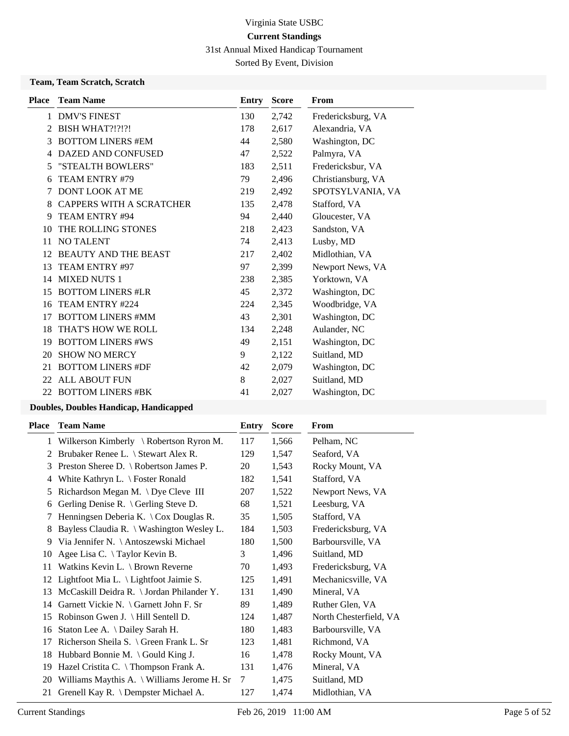31st Annual Mixed Handicap Tournament

Sorted By Event, Division

### **Team, Team Scratch, Scratch**

| <b>Place</b> | <b>Team Name</b>                | Entry | <b>Score</b> | From               |
|--------------|---------------------------------|-------|--------------|--------------------|
| 1            | <b>DMV'S FINEST</b>             | 130   | 2,742        | Fredericksburg, VA |
| 2            | <b>BISH WHAT?!?!?!</b>          | 178   | 2,617        | Alexandria, VA     |
| 3            | <b>BOTTOM LINERS #EM</b>        | 44    | 2,580        | Washington, DC     |
| 4            | DAZED AND CONFUSED              | 47    | 2,522        | Palmyra, VA        |
| 5            | "STEALTH BOWLERS"               | 183   | 2,511        | Fredericksbur, VA  |
| 6            | TEAM ENTRY #79                  | 79    | 2,496        | Christiansburg, VA |
| 7            | <b>DONT LOOK AT ME</b>          | 219   | 2,492        | SPOTSYLVANIA, VA   |
| 8            | <b>CAPPERS WITH A SCRATCHER</b> | 135   | 2,478        | Stafford, VA       |
| 9            | TEAM ENTRY #94                  | 94    | 2,440        | Gloucester, VA     |
| 10           | THE ROLLING STONES              | 218   | 2,423        | Sandston, VA       |
| 11           | <b>NO TALENT</b>                | 74    | 2,413        | Lusby, MD          |
| 12           | <b>BEAUTY AND THE BEAST</b>     | 217   | 2,402        | Midlothian, VA     |
| 13           | TEAM ENTRY #97                  | 97    | 2,399        | Newport News, VA   |
| 14           | <b>MIXED NUTS 1</b>             | 238   | 2,385        | Yorktown, VA       |
| 15           | <b>BOTTOM LINERS #LR</b>        | 45    | 2,372        | Washington, DC     |
| 16           | TEAM ENTRY #224                 | 224   | 2,345        | Woodbridge, VA     |
| 17           | <b>BOTTOM LINERS #MM</b>        | 43    | 2,301        | Washington, DC     |
| 18           | THAT'S HOW WE ROLL              | 134   | 2,248        | Aulander, NC       |
| 19           | <b>BOTTOM LINERS #WS</b>        | 49    | 2,151        | Washington, DC     |
| 20           | <b>SHOW NO MERCY</b>            | 9     | 2,122        | Suitland, MD       |
| 21           | <b>BOTTOM LINERS #DF</b>        | 42    | 2,079        | Washington, DC     |
|              | 22 ALL ABOUT FUN                | 8     | 2,027        | Suitland, MD       |
| 22           | <b>BOTTOM LINERS #BK</b>        | 41    | 2,027        | Washington, DC     |
|              |                                 |       |              |                    |

| Place | <b>Team Name</b>                                                 | Entry | <b>Score</b> | From                   |
|-------|------------------------------------------------------------------|-------|--------------|------------------------|
|       | 1 Wilkerson Kimberly \ Robertson Ryron M.                        | 117   | 1,566        | Pelham, NC             |
| 2     | Brubaker Renee L. \ Stewart Alex R.                              | 129   | 1,547        | Seaford, VA            |
| 3     | Preston Sheree D. $\setminus$ Robertson James P.                 | 20    | 1,543        | Rocky Mount, VA        |
| 4     | White Kathryn L. \ Foster Ronald                                 | 182   | 1,541        | Stafford, VA           |
| 5     | Richardson Megan M. \Dye Cleve III                               | 207   | 1,522        | Newport News, VA       |
| 6     | Gerling Denise R. \ Gerling Steve D.                             | 68    | 1,521        | Leesburg, VA           |
| 7     | Henningsen Deberia K. $\operatorname{\backslash}$ Cox Douglas R. | 35    | 1,505        | Stafford, VA           |
| 8     | Bayless Claudia R. \ Washington Wesley L.                        | 184   | 1,503        | Fredericksburg, VA     |
| 9     | Via Jennifer N. \ Antoszewski Michael                            | 180   | 1,500        | Barboursville, VA      |
| 10    | Agee Lisa C. \Taylor Kevin B.                                    | 3     | 1,496        | Suitland, MD           |
| 11    | Watkins Kevin L. \ Brown Reverne                                 | 70    | 1,493        | Fredericksburg, VA     |
| 12    | Lightfoot Mia L. \ Lightfoot Jaimie S.                           | 125   | 1,491        | Mechanicsville, VA     |
| 13    | McCaskill Deidra R. \ Jordan Philander Y.                        | 131   | 1,490        | Mineral, VA            |
| 14    | Garnett Vickie N. $\{$ Garnett John F. Sr                        | 89    | 1,489        | Ruther Glen, VA        |
| 15    | Robinson Gwen J. \ Hill Sentell D.                               | 124   | 1,487        | North Chesterfield, VA |
| 16    | Staton Lee A. \ Dailey Sarah H.                                  | 180   | 1,483        | Barboursville, VA      |
| 17    | Richerson Sheila S. $\setminus$ Green Frank L. Sr                | 123   | 1,481        | Richmond, VA           |
| 18    | Hubbard Bonnie M. $\setminus$ Gould King J.                      | 16    | 1,478        | Rocky Mount, VA        |
| 19    | Hazel Cristita C. \ Thompson Frank A.                            | 131   | 1,476        | Mineral, VA            |
| 20    | Williams Maythis A. \ Williams Jerome H. Sr                      | 7     | 1,475        | Suitland, MD           |
| 21    | Grenell Kay R. \ Dempster Michael A.                             | 127   | 1,474        | Midlothian, VA         |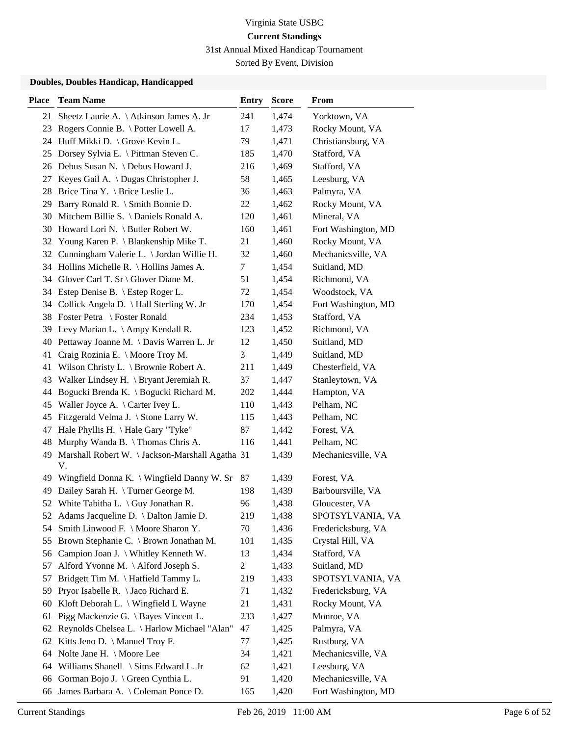31st Annual Mixed Handicap Tournament

Sorted By Event, Division

| <b>Place</b> | <b>Team Name</b>                                        | <b>Entry</b>   | <b>Score</b> | From                |
|--------------|---------------------------------------------------------|----------------|--------------|---------------------|
| 21           | Sheetz Laurie A. \ Atkinson James A. Jr                 | 241            | 1,474        | Yorktown, VA        |
| 23           | Rogers Connie B. \ Potter Lowell A.                     | 17             | 1,473        | Rocky Mount, VA     |
| 24           | Huff Mikki D. \ Grove Kevin L.                          | 79             | 1,471        | Christiansburg, VA  |
|              | 25 Dorsey Sylvia E. \ Pittman Steven C.                 | 185            | 1,470        | Stafford, VA        |
|              | 26 Debus Susan N. \ Debus Howard J.                     | 216            | 1,469        | Stafford, VA        |
| 27           | Keyes Gail A. \ Dugas Christopher J.                    | 58             | 1,465        | Leesburg, VA        |
| 28           | Brice Tina Y. \ Brice Leslie L.                         | 36             | 1,463        | Palmyra, VA         |
| 29.          | Barry Ronald R. \ Smith Bonnie D.                       | 22             | 1,462        | Rocky Mount, VA     |
| 30           | Mitchem Billie S. \ Daniels Ronald A.                   | 120            | 1,461        | Mineral, VA         |
|              | 30 Howard Lori N. \ Butler Robert W.                    | 160            | 1,461        | Fort Washington, MD |
| 32           | Young Karen P. $\langle$ Blankenship Mike T.            | 21             | 1,460        | Rocky Mount, VA     |
|              | 32 Cunningham Valerie L. \ Jordan Willie H.             | 32             | 1,460        | Mechanicsville, VA  |
|              | 34 Hollins Michelle R. \ Hollins James A.               | 7              | 1,454        | Suitland, MD        |
|              | 34 Glover Carl T. Sr \ Glover Diane M.                  | 51             | 1,454        | Richmond, VA        |
|              | 34 Estep Denise B. \ Estep Roger L.                     | 72             | 1,454        | Woodstock, VA       |
|              | 34 Collick Angela D. \ Hall Sterling W. Jr              | 170            | 1,454        | Fort Washington, MD |
|              | 38 Foster Petra \ Foster Ronald                         | 234            | 1,453        | Stafford, VA        |
| 39           | Levy Marian L. $\operatorname{\Lambda}$ Ampy Kendall R. | 123            | 1,452        | Richmond, VA        |
| 40           | Pettaway Joanne M. \ Davis Warren L. Jr                 | 12             | 1,450        | Suitland, MD        |
| 41           | Craig Rozinia E. \ Moore Troy M.                        | 3              | 1,449        | Suitland, MD        |
| 41           | Wilson Christy L. \ Brownie Robert A.                   | 211            | 1,449        | Chesterfield, VA    |
| 43           | Walker Lindsey H. $\forall$ Bryant Jeremiah R.          | 37             | 1,447        | Stanleytown, VA     |
| 44           | Bogucki Brenda K. \ Bogucki Richard M.                  | 202            | 1,444        | Hampton, VA         |
| 45           | Waller Joyce A. $\setminus$ Carter Ivey L.              | 110            | 1,443        | Pelham, NC          |
| 45           | Fitzgerald Velma J. \ Stone Larry W.                    | 115            | 1,443        | Pelham, NC          |
| 47           | Hale Phyllis H. \ Hale Gary "Tyke"                      | 87             | 1,442        | Forest, VA          |
| 48           | Murphy Wanda B. \Thomas Chris A.                        | 116            | 1,441        | Pelham, NC          |
| 49           | Marshall Robert W. \ Jackson-Marshall Agatha 31<br>V.   |                | 1,439        | Mechanicsville, VA  |
|              | 49 Wingfield Donna K. \ Wingfield Danny W. Sr           | 87             | 1,439        | Forest, VA          |
| 49           | Dailey Sarah H. \Turner George M.                       | 198            | 1,439        | Barboursville, VA   |
|              | 52 White Tabitha L. \ Guy Jonathan R.                   | 96             | 1,438        | Gloucester, VA      |
|              | 52 Adams Jacqueline D. \ Dalton Jamie D.                | 219            | 1,438        | SPOTSYLVANIA, VA    |
| 54           | Smith Linwood F. \ Moore Sharon Y.                      | 70             | 1,436        | Fredericksburg, VA  |
| 55           | Brown Stephanie C. \ Brown Jonathan M.                  | 101            | 1,435        | Crystal Hill, VA    |
|              | 56 Campion Joan J. \ Whitley Kenneth W.                 | 13             | 1,434        | Stafford, VA        |
| 57           | Alford Yvonne M. \Alford Joseph S.                      | $\overline{c}$ | 1,433        | Suitland, MD        |
| 57           | Bridgett Tim M. \ Hatfield Tammy L.                     | 219            | 1,433        | SPOTSYLVANIA, VA    |
| 59           | Pryor Isabelle R. \ Jaco Richard E.                     | 71             | 1,432        | Fredericksburg, VA  |
| 60           | Kloft Deborah L. \ Wingfield L Wayne                    | 21             | 1,431        | Rocky Mount, VA     |
| 61           | Pigg Mackenzie G. \ Bayes Vincent L.                    | 233            | 1,427        | Monroe, VA          |
| 62           | Reynolds Chelsea L. \ Harlow Michael "Alan"             | 47             | 1,425        | Palmyra, VA         |
| 62           | Kitts Jeno D. \ Manuel Troy F.                          | 77             | 1,425        | Rustburg, VA        |
| 64           | Nolte Jane H. $\setminus$ Moore Lee                     | 34             | 1,421        | Mechanicsville, VA  |
| 64           | Williams Shanell \ Sims Edward L. Jr                    | 62             | 1,421        | Leesburg, VA        |
| 66           | Gorman Bojo J. \ Green Cynthia L.                       | 91             | 1,420        | Mechanicsville, VA  |
|              | 66 James Barbara A. \ Coleman Ponce D.                  | 165            | 1,420        | Fort Washington, MD |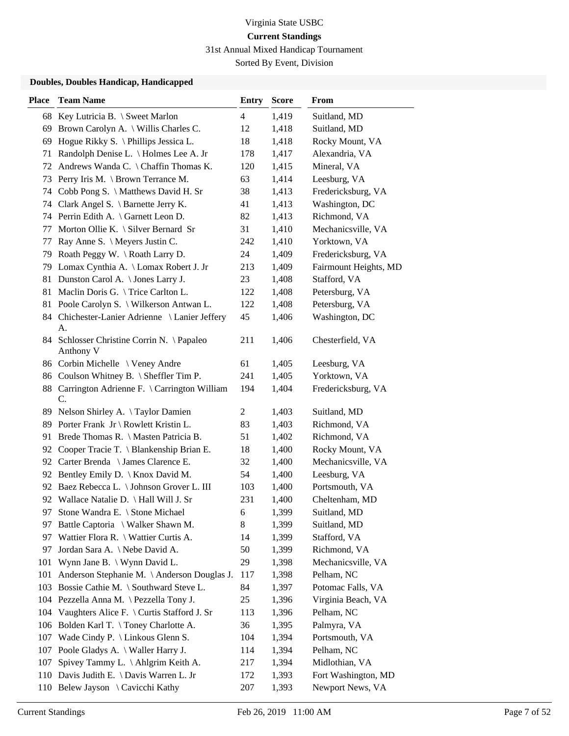31st Annual Mixed Handicap Tournament

Sorted By Event, Division

| <b>Place</b> | <b>Team Name</b>                                       | <b>Entry</b>     | <b>Score</b> | From                  |
|--------------|--------------------------------------------------------|------------------|--------------|-----------------------|
|              | 68 Key Lutricia B. \ Sweet Marlon                      | $\overline{4}$   | 1,419        | Suitland, MD          |
| 69           | Brown Carolyn A. \ Willis Charles C.                   | 12               | 1,418        | Suitland, MD          |
| 69           | Hogue Rikky S. $\Phi$ Phillips Jessica L.              | 18               | 1,418        | Rocky Mount, VA       |
| 71           | Randolph Denise L. \ Holmes Lee A. Jr                  | 178              | 1,417        | Alexandria, VA        |
| 72           | Andrews Wanda C. \ Chaffin Thomas K.                   | 120              | 1,415        | Mineral, VA           |
| 73           | Perry Iris M. \ Brown Terrance M.                      | 63               | 1,414        | Leesburg, VA          |
| 74           | Cobb Pong S. \ Matthews David H. Sr                    | 38               | 1,413        | Fredericksburg, VA    |
|              | 74 Clark Angel S. \ Barnette Jerry K.                  | 41               | 1,413        | Washington, DC        |
|              | 74 Perrin Edith A. \ Garnett Leon D.                   | 82               | 1,413        | Richmond, VA          |
| 77           | Morton Ollie K. $\setminus$ Silver Bernard Sr          | 31               | 1,410        | Mechanicsville, VA    |
| 77           | Ray Anne S. \ Meyers Justin C.                         | 242              | 1,410        | Yorktown, VA          |
|              | 79 Roath Peggy W. \Roath Larry D.                      | 24               | 1,409        | Fredericksburg, VA    |
|              | 79 Lomax Cynthia A. \ Lomax Robert J. Jr               | 213              | 1,409        | Fairmount Heights, MD |
|              | 81 Dunston Carol A. \ Jones Larry J.                   | 23               | 1,408        | Stafford, VA          |
| 81           | Maclin Doris G. \Trice Carlton L.                      | 122              | 1,408        | Petersburg, VA        |
|              | 81 Poole Carolyn S. \ Wilkerson Antwan L.              | 122              | 1,408        | Petersburg, VA        |
|              | 84 Chichester-Lanier Adrienne \ Lanier Jeffery<br>A.   | 45               | 1,406        | Washington, DC        |
|              | 84 Schlosser Christine Corrin N. \Papaleo<br>Anthony V | 211              | 1,406        | Chesterfield, VA      |
|              | 86 Corbin Michelle \ Veney Andre                       | 61               | 1,405        | Leesburg, VA          |
|              | 86 Coulson Whitney B. \ Sheffler Tim P.                | 241              | 1,405        | Yorktown, VA          |
|              | 88 Carrington Adrienne F. \ Carrington William<br>C.   | 194              | 1,404        | Fredericksburg, VA    |
| 89           | Nelson Shirley A. \Taylor Damien                       | $\overline{c}$   | 1,403        | Suitland, MD          |
|              | 89 Porter Frank Jr \ Rowlett Kristin L.                | 83               | 1,403        | Richmond, VA          |
| 91           | Brede Thomas R. \ Masten Patricia B.                   | 51               | 1,402        | Richmond, VA          |
|              | 92 Cooper Tracie T. \ Blankenship Brian E.             | 18               | 1,400        | Rocky Mount, VA       |
|              | 92 Carter Brenda \ James Clarence E.                   | 32               | 1,400        | Mechanicsville, VA    |
| 92           | Bentley Emily D.   Knox David M.                       | 54               | 1,400        | Leesburg, VA          |
|              | 92 Baez Rebecca L. \ Johnson Grover L. III             | 103              | 1,400        | Portsmouth, VA        |
|              | 92 Wallace Natalie D. \ Hall Will J. Sr                | 231              | 1,400        | Cheltenham, MD        |
| 97           | Stone Wandra E. \ Stone Michael                        | $\boldsymbol{6}$ | 1,399        | Suitland, MD          |
| 97           | Battle Captoria \ Walker Shawn M.                      | 8                | 1,399        | Suitland, MD          |
| 97           | Wattier Flora R. \ Wattier Curtis A.                   | 14               | 1,399        | Stafford, VA          |
| 97           | Jordan Sara A. \ Nebe David A.                         | 50               | 1,399        | Richmond, VA          |
| 101          | Wynn Jane B. \ Wynn David L.                           | 29               | 1,398        | Mechanicsville, VA    |
| 101          | Anderson Stephanie M. \ Anderson Douglas J.            | 117              | 1,398        | Pelham, NC            |
| 103          | Bossie Cathie M. \ Southward Steve L.                  | 84               | 1,397        | Potomac Falls, VA     |
|              | 104 Pezzella Anna M. \ Pezzella Tony J.                | 25               | 1,396        | Virginia Beach, VA    |
|              | 104 Vaughters Alice F. \ Curtis Stafford J. Sr         | 113              | 1,396        | Pelham, NC            |
|              | 106 Bolden Karl T. \Toney Charlotte A.                 | 36               | 1,395        | Palmyra, VA           |
| 107          | Wade Cindy P. $\langle$ Linkous Glenn S.               | 104              | 1,394        | Portsmouth, VA        |
| 107          | Poole Gladys A. \ Waller Harry J.                      | 114              | 1,394        | Pelham, NC            |
| 107          | Spivey Tammy L. \Ahlgrim Keith A.                      | 217              | 1,394        | Midlothian, VA        |
|              | 110 Davis Judith E. \ Davis Warren L. Jr               | 172              | 1,393        | Fort Washington, MD   |
|              | 110 Belew Jayson \ Cavicchi Kathy                      | 207              | 1,393        | Newport News, VA      |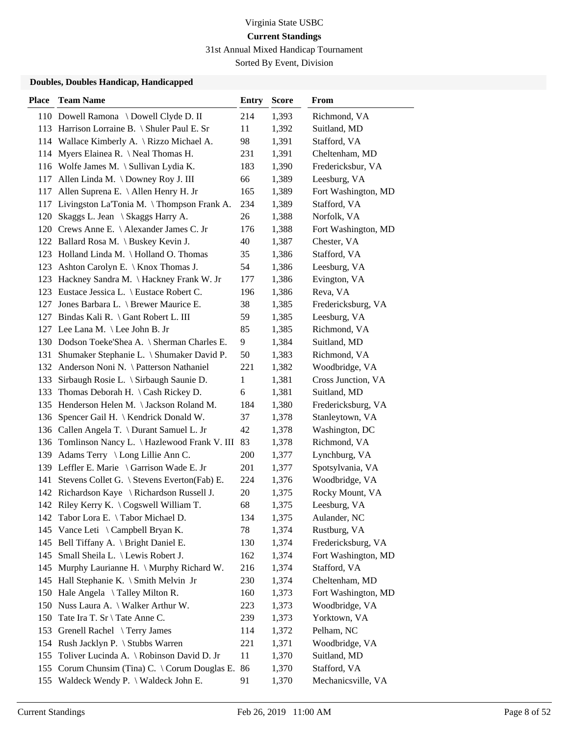31st Annual Mixed Handicap Tournament

Sorted By Event, Division

| <b>Place</b> | <b>Team Name</b>                                     | <b>Entry</b> | <b>Score</b> | From                |
|--------------|------------------------------------------------------|--------------|--------------|---------------------|
|              | 110 Dowell Ramona \ Dowell Clyde D. II               | 214          | 1,393        | Richmond, VA        |
|              | 113 Harrison Lorraine B. \ Shuler Paul E. Sr         | 11           | 1,392        | Suitland, MD        |
|              | 114 Wallace Kimberly A. \ Rizzo Michael A.           | 98           | 1,391        | Stafford, VA        |
| 114          | Myers Elainea R. \ Neal Thomas H.                    | 231          | 1,391        | Cheltenham, MD      |
|              | 116 Wolfe James M. \ Sullivan Lydia K.               | 183          | 1,390        | Fredericksbur, VA   |
| 117          | Allen Linda M. \ Downey Roy J. III                   | 66           | 1,389        | Leesburg, VA        |
| 117          | Allen Suprena E. \ Allen Henry H. Jr                 | 165          | 1,389        | Fort Washington, MD |
| 117          | Livingston La'Tonia M. \ Thompson Frank A.           | 234          | 1,389        | Stafford, VA        |
| 120          | Skaggs L. Jean \ Skaggs Harry A.                     | 26           | 1,388        | Norfolk, VA         |
|              | 120 Crews Anne E. \ Alexander James C. Jr            | 176          | 1,388        | Fort Washington, MD |
|              | 122 Ballard Rosa M. \ Buskey Kevin J.                | 40           | 1,387        | Chester, VA         |
|              | 123 Holland Linda M. \ Holland O. Thomas             | 35           | 1,386        | Stafford, VA        |
| 123          | Ashton Carolyn E. $\setminus$ Knox Thomas J.         | 54           | 1,386        | Leesburg, VA        |
| 123          | Hackney Sandra M. \Hackney Frank W. Jr               | 177          | 1,386        | Evington, VA        |
|              | 123 Eustace Jessica L. \ Eustace Robert C.           | 196          | 1,386        | Reva, VA            |
| 127          | Jones Barbara L. \ Brewer Maurice E.                 | 38           | 1,385        | Fredericksburg, VA  |
| 127          | Bindas Kali R. \ Gant Robert L. III                  | 59           | 1,385        | Leesburg, VA        |
|              | 127 Lee Lana M. \ Lee John B. Jr                     | 85           | 1,385        | Richmond, VA        |
|              | 130 Dodson Toeke'Shea A. \ Sherman Charles E.        | 9            | 1,384        | Suitland, MD        |
| 131          | Shumaker Stephanie L. \ Shumaker David P.            | 50           | 1,383        | Richmond, VA        |
| 132          | Anderson Noni N. \ Patterson Nathaniel               | 221          | 1,382        | Woodbridge, VA      |
| 133          | Sirbaugh Rosie L. \ Sirbaugh Saunie D.               | 1            | 1,381        | Cross Junction, VA  |
| 133          | Thomas Deborah H. $\setminus$ Cash Rickey D.         | 6            | 1,381        | Suitland, MD        |
|              | 135 Henderson Helen M. \Jackson Roland M.            | 184          | 1,380        | Fredericksburg, VA  |
| 136          | Spencer Gail H.   Kendrick Donald W.                 | 37           | 1,378        | Stanleytown, VA     |
|              | 136 Callen Angela T. \ Durant Samuel L. Jr           | 42           | 1,378        | Washington, DC      |
| 136          | Tomlinson Nancy L. \ Hazlewood Frank V. III          | 83           | 1,378        | Richmond, VA        |
| 139          | Adams Terry \ Long Lillie Ann C.                     | 200          | 1,377        | Lynchburg, VA       |
|              | 139 Leffler E. Marie \ Garrison Wade E. Jr           | 201          | 1,377        | Spotsylvania, VA    |
| 141          | Stevens Collet G. \ Stevens Everton(Fab) E.          | 224          | 1,376        | Woodbridge, VA      |
|              | 142 Richardson Kaye \ Richardson Russell J.          | 20           | 1,375        | Rocky Mount, VA     |
|              | 142 Riley Kerry K. \ Cogswell William T.             | 68           | 1,375        | Leesburg, VA        |
| 142          | Tabor Lora E. \Tabor Michael D.                      | 134          | 1,375        | Aulander, NC        |
| 145          | Vance Leti $\setminus$ Campbell Bryan K.             | 78           | 1,374        | Rustburg, VA        |
| 145          | Bell Tiffany A. \ Bright Daniel E.                   | 130          | 1,374        | Fredericksburg, VA  |
| 145          | Small Sheila L. \ Lewis Robert J.                    | 162          | 1,374        | Fort Washington, MD |
| 145          | Murphy Laurianne H. \ Murphy Richard W.              | 216          | 1,374        | Stafford, VA        |
| 145          | Hall Stephanie K. \ Smith Melvin Jr                  | 230          | 1,374        | Cheltenham, MD      |
| 150          | Hale Angela \Talley Milton R.                        | 160          | 1,373        | Fort Washington, MD |
| 150          | Nuss Laura A. \ Walker Arthur W.                     | 223          | 1,373        | Woodbridge, VA      |
| 150          | Tate Ira T. Sr \ Tate Anne C.                        | 239          | 1,373        | Yorktown, VA        |
| 153          | Grenell Rachel \Terry James                          | 114          | 1,372        | Pelham, NC          |
|              | 154 Rush Jacklyn P. \ Stubbs Warren                  | 221          | 1,371        | Woodbridge, VA      |
| 155          | Toliver Lucinda A. \ Robinson David D. Jr            | 11           | 1,370        | Suitland, MD        |
| 155          | Corum Chunsim (Tina) C. $\setminus$ Corum Douglas E. | 86           | 1,370        | Stafford, VA        |
| 155          | Waldeck Wendy P. \ Waldeck John E.                   | 91           | 1,370        | Mechanicsville, VA  |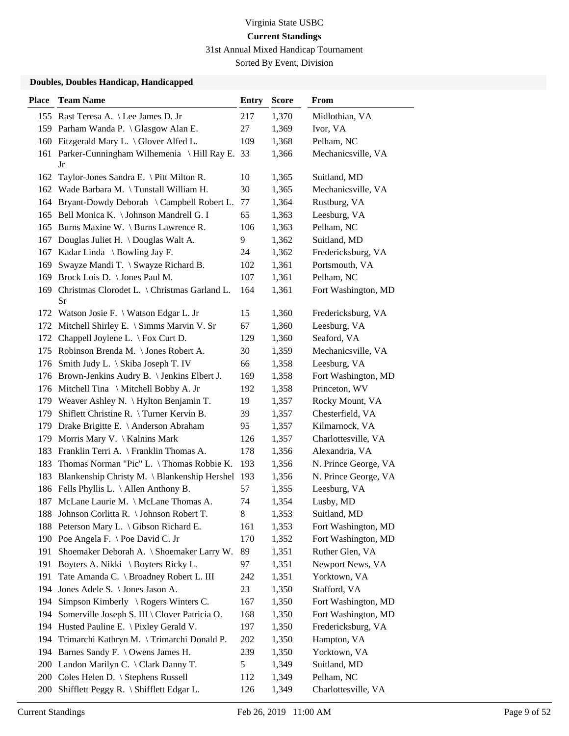31st Annual Mixed Handicap Tournament

Sorted By Event, Division

| <b>Place</b> | <b>Team Name</b>                                       | <b>Entry</b> | <b>Score</b> | From                 |
|--------------|--------------------------------------------------------|--------------|--------------|----------------------|
|              | 155 Rast Teresa A. \ Lee James D. Jr                   | 217          | 1,370        | Midlothian, VA       |
|              | 159 Parham Wanda P. \ Glasgow Alan E.                  | 27           | 1,369        | Ivor, VA             |
|              | 160 Fitzgerald Mary L. \ Glover Alfed L.               | 109          | 1,368        | Pelham, NC           |
|              | 161 Parker-Cunningham Wilhemenia \Hill Ray E. 33<br>Jr |              | 1,366        | Mechanicsville, VA   |
| 162          | Taylor-Jones Sandra E. \ Pitt Milton R.                | 10           | 1,365        | Suitland, MD         |
| 162          | Wade Barbara M. \Tunstall William H.                   | 30           | 1,365        | Mechanicsville, VA   |
|              | 164 Bryant-Dowdy Deborah \ Campbell Robert L.          | 77           | 1,364        | Rustburg, VA         |
|              | 165 Bell Monica K. \ Johnson Mandrell G. I             | 65           | 1,363        | Leesburg, VA         |
|              | 165 Burns Maxine W. \ Burns Lawrence R.                | 106          | 1,363        | Pelham, NC           |
| 167          | Douglas Juliet H. \ Douglas Walt A.                    | 9            | 1,362        | Suitland, MD         |
|              | 167 Kadar Linda \ Bowling Jay F.                       | 24           | 1,362        | Fredericksburg, VA   |
| 169          | Swayze Mandi T. \ Swayze Richard B.                    | 102          | 1,361        | Portsmouth, VA       |
| 169          | Brock Lois D. \ Jones Paul M.                          | 107          | 1,361        | Pelham, NC           |
| 169          | Christmas Clorodet L. \ Christmas Garland L.<br>Sr     | 164          | 1,361        | Fort Washington, MD  |
|              | 172 Watson Josie F. \ Watson Edgar L. Jr               | 15           | 1,360        | Fredericksburg, VA   |
|              | 172 Mitchell Shirley E. \ Simms Marvin V. Sr           | 67           | 1,360        | Leesburg, VA         |
| 172          | Chappell Joylene L. $\forall$ Fox Curt D.              | 129          | 1,360        | Seaford, VA          |
|              | 175 Robinson Brenda M. \ Jones Robert A.               | 30           | 1,359        | Mechanicsville, VA   |
| 176          | Smith Judy L. \ Skiba Joseph T. IV                     | 66           | 1,358        | Leesburg, VA         |
|              | 176 Brown-Jenkins Audry B. \ Jenkins Elbert J.         | 169          | 1,358        | Fort Washington, MD  |
| 176          | Mitchell Tina \ Mitchell Bobby A. Jr                   | 192          | 1,358        | Princeton, WV        |
| 179          | Weaver Ashley N. $\forall$ Hylton Benjamin T.          | 19           | 1,357        | Rocky Mount, VA      |
| 179          | Shiflett Christine R. \Turner Kervin B.                | 39           | 1,357        | Chesterfield, VA     |
|              | 179 Drake Brigitte E. \ Anderson Abraham               | 95           | 1,357        | Kilmarnock, VA       |
| 179          | Morris Mary V. \ Kalnins Mark                          | 126          | 1,357        | Charlottesville, VA  |
|              | 183 Franklin Terri A. \ Franklin Thomas A.             | 178          | 1,356        | Alexandria, VA       |
| 183          | Thomas Norman "Pic" L. \Thomas Robbie K.               | 193          | 1,356        | N. Prince George, VA |
| 183          | Blankenship Christy M. \ Blankenship Hershel 193       |              | 1,356        | N. Prince George, VA |
|              | 186 Fells Phyllis L. \ Allen Anthony B.                | 57           | 1,355        | Leesburg, VA         |
|              | 187 McLane Laurie M. \ McLane Thomas A.                | 74           | 1,354        | Lusby, MD            |
|              | 188 Johnson Corlitta R. \ Johnson Robert T.            | 8            | 1,353        | Suitland, MD         |
|              | 188 Peterson Mary L. \ Gibson Richard E.               | 161          | 1,353        | Fort Washington, MD  |
|              | 190 Poe Angela F. \ Poe David C. Jr                    | 170          | 1,352        | Fort Washington, MD  |
| 191          | Shoemaker Deborah A. \ Shoemaker Larry W.              | 89           | 1,351        | Ruther Glen, VA      |
| 191          | Boyters A. Nikki \ Boyters Ricky L.                    | 97           | 1,351        | Newport News, VA     |
| 191          | Tate Amanda C. \ Broadney Robert L. III                | 242          | 1,351        | Yorktown, VA         |
| 194          | Jones Adele S. \ Jones Jason A.                        | 23           | 1,350        | Stafford, VA         |
| 194          | Simpson Kimberly $\setminus$ Rogers Winters C.         | 167          | 1,350        | Fort Washington, MD  |
| 194          | Somerville Joseph S. III \ Clover Patricia O.          | 168          | 1,350        | Fort Washington, MD  |
|              | 194 Husted Pauline E. \ Pixley Gerald V.               | 197          | 1,350        | Fredericksburg, VA   |
| 194          | Trimarchi Kathryn M. \Trimarchi Donald P.              | 202          | 1,350        | Hampton, VA          |
|              | 194 Barnes Sandy F. \ Owens James H.                   | 239          | 1,350        | Yorktown, VA         |
| 200          | Landon Marilyn C. \ Clark Danny T.                     | 5            | 1,349        | Suitland, MD         |
|              | 200 Coles Helen D. \ Stephens Russell                  | 112          | 1,349        | Pelham, NC           |
| 200          | Shifflett Peggy R. \ Shifflett Edgar L.                | 126          | 1,349        | Charlottesville, VA  |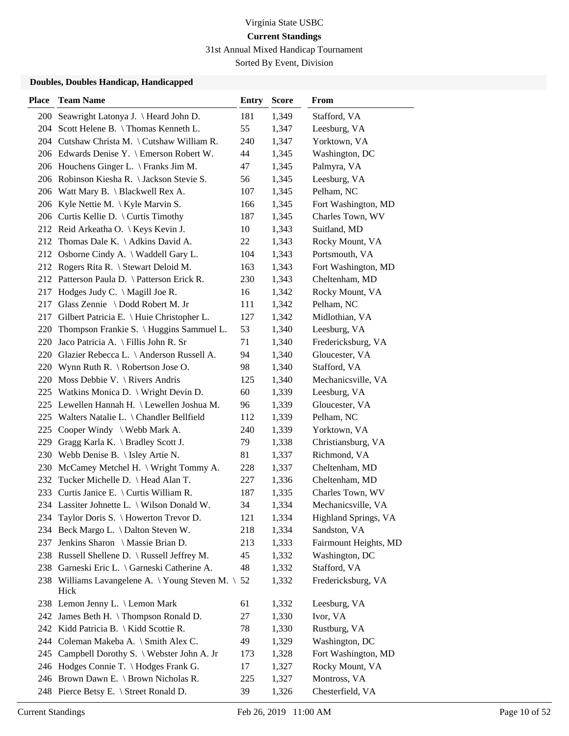31st Annual Mixed Handicap Tournament

Sorted By Event, Division

| <b>Place</b> | <b>Team Name</b>                                          | <b>Entry</b> | <b>Score</b> | From                  |
|--------------|-----------------------------------------------------------|--------------|--------------|-----------------------|
| 200          | Seawright Latonya J. \ Heard John D.                      | 181          | 1,349        | Stafford, VA          |
|              | 204 Scott Helene B. \Thomas Kenneth L.                    | 55           | 1,347        | Leesburg, VA          |
|              | 204 Cutshaw Christa M. \Cutshaw William R.                | 240          | 1,347        | Yorktown, VA          |
|              | 206 Edwards Denise Y. \ Emerson Robert W.                 | 44           | 1,345        | Washington, DC        |
|              | 206 Houchens Ginger L. \ Franks Jim M.                    | 47           | 1,345        | Palmyra, VA           |
|              | 206 Robinson Kiesha R. \ Jackson Stevie S.                | 56           | 1,345        | Leesburg, VA          |
|              | 206 Watt Mary B. \ Blackwell Rex A.                       | 107          | 1,345        | Pelham, NC            |
|              | 206 Kyle Nettie M. \ Kyle Marvin S.                       | 166          | 1,345        | Fort Washington, MD   |
|              | 206 Curtis Kellie D. \ Curtis Timothy                     | 187          | 1,345        | Charles Town, WV      |
|              | 212 Reid Arkeatha O. \ Keys Kevin J.                      | 10           | 1,343        | Suitland, MD          |
|              | 212 Thomas Dale K. \ Adkins David A.                      | 22           | 1,343        | Rocky Mount, VA       |
|              | 212 Osborne Cindy A. \ Waddell Gary L.                    | 104          | 1,343        | Portsmouth, VA        |
|              | 212 Rogers Rita R. \ Stewart Deloid M.                    | 163          | 1,343        | Fort Washington, MD   |
|              | 212 Patterson Paula D. \ Patterson Erick R.               | 230          | 1,343        | Cheltenham, MD        |
|              | 217 Hodges Judy C. \ Magill Joe R.                        | 16           | 1,342        | Rocky Mount, VA       |
| 217          | Glass Zennie \ Dodd Robert M. Jr                          | 111          | 1,342        | Pelham, NC            |
| 217          | Gilbert Patricia E. \ Huie Christopher L.                 | 127          | 1,342        | Midlothian, VA        |
| 220          | Thompson Frankie S. \ Huggins Sammuel L.                  | 53           | 1,340        | Leesburg, VA          |
| 220          | Jaco Patricia A. \ Fillis John R. Sr                      | 71           | 1,340        | Fredericksburg, VA    |
|              | 220 Glazier Rebecca L. \ Anderson Russell A.              | 94           | 1,340        | Gloucester, VA        |
|              | 220 Wynn Ruth R. \ Robertson Jose O.                      | 98           | 1,340        | Stafford, VA          |
| 220          | Moss Debbie V. $\setminus$ Rivers Andris                  | 125          | 1,340        | Mechanicsville, VA    |
|              | 225 Watkins Monica D. \ Wright Devin D.                   | 60           | 1,339        | Leesburg, VA          |
|              | 225 Lewellen Hannah H. \ Lewellen Joshua M.               | 96           | 1,339        | Gloucester, VA        |
|              | 225 Walters Natalie L. \ Chandler Bellfield               | 112          | 1,339        | Pelham, NC            |
| 225          | Cooper Windy \ Webb Mark A.                               | 240          | 1,339        | Yorktown, VA          |
| 229          | Gragg Karla K. \ Bradley Scott J.                         | 79           | 1,338        | Christiansburg, VA    |
|              | 230 Webb Denise B. \ Isley Artie N.                       | 81           | 1,337        | Richmond, VA          |
| 230          | McCamey Metchel H. \ Wright Tommy A.                      | 228          | 1,337        | Cheltenham, MD        |
| 232          | Tucker Michelle D. \ Head Alan T.                         | 227          | 1,336        | Cheltenham, MD        |
|              | 233 Curtis Janice E. \ Curtis William R.                  | 187          | 1,335        | Charles Town, WV      |
|              | 234 Lassiter Johnette L. \ Wilson Donald W.               | 34           | 1,334        | Mechanicsville, VA    |
|              | 234 Taylor Doris S. \ Howerton Trevor D.                  | 121          | 1,334        | Highland Springs, VA  |
| 234          | Beck Margo L. \ Dalton Steven W.                          | 218          | 1,334        | Sandston, VA          |
| 237          | Jenkins Sharon \ Massie Brian D.                          | 213          | 1,333        | Fairmount Heights, MD |
|              | 238 Russell Shellene D. \ Russell Jeffrey M.              | 45           | 1,332        | Washington, DC        |
|              | 238 Garneski Eric L. \ Garneski Catherine A.              | 48           | 1,332        | Stafford, VA          |
|              | 238 Williams Lavangelene A. \Young Steven M. \ 52<br>Hick |              | 1,332        | Fredericksburg, VA    |
|              | 238 Lemon Jenny L. \ Lemon Mark                           | 61           | 1,332        | Leesburg, VA          |
|              | 242 James Beth H. \Thompson Ronald D.                     | 27           | 1,330        | Ivor, VA              |
|              | 242 Kidd Patricia B. \ Kidd Scottie R.                    | 78           | 1,330        | Rustburg, VA          |
|              | 244 Coleman Makeba A. \ Smith Alex C.                     | 49           | 1,329        | Washington, DC        |
| 245          | Campbell Dorothy S. \ Webster John A. Jr                  | 173          | 1,328        | Fort Washington, MD   |
|              | 246 Hodges Connie T. \ Hodges Frank G.                    | 17           | 1,327        | Rocky Mount, VA       |
|              | 246 Brown Dawn E. \ Brown Nicholas R.                     | 225          | 1,327        | Montross, VA          |
|              | 248 Pierce Betsy E. \ Street Ronald D.                    | 39           | 1,326        | Chesterfield, VA      |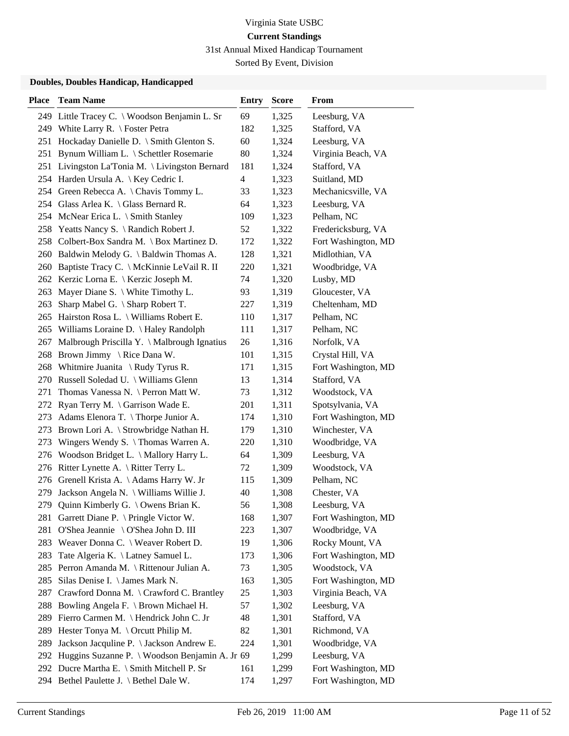31st Annual Mixed Handicap Tournament

Sorted By Event, Division

| <b>Place</b> | <b>Team Name</b>                               | <b>Entry</b>   | <b>Score</b> | From                |
|--------------|------------------------------------------------|----------------|--------------|---------------------|
|              | 249 Little Tracey C. \ Woodson Benjamin L. Sr  | 69             | 1,325        | Leesburg, VA        |
|              | 249 White Larry R. \ Foster Petra              | 182            | 1,325        | Stafford, VA        |
|              | 251 Hockaday Danielle D. \ Smith Glenton S.    | 60             | 1,324        | Leesburg, VA        |
| 251          | Bynum William L. \ Schettler Rosemarie         | 80             | 1,324        | Virginia Beach, VA  |
| 251          | Livingston La'Tonia M. \ Livingston Bernard    | 181            | 1,324        | Stafford, VA        |
|              | 254 Harden Ursula A. \ Key Cedric I.           | $\overline{4}$ | 1,323        | Suitland, MD        |
|              | 254 Green Rebecca A. \ Chavis Tommy L.         | 33             | 1,323        | Mechanicsville, VA  |
|              | 254 Glass Arlea K. \ Glass Bernard R.          | 64             | 1,323        | Leesburg, VA        |
|              | 254 McNear Erica L. \ Smith Stanley            | 109            | 1,323        | Pelham, NC          |
|              | 258 Yeatts Nancy S. \ Randich Robert J.        | 52             | 1,322        | Fredericksburg, VA  |
|              | 258 Colbert-Box Sandra M. \ Box Martinez D.    | 172            | 1,322        | Fort Washington, MD |
|              | 260 Baldwin Melody G. \ Baldwin Thomas A.      | 128            | 1,321        | Midlothian, VA      |
|              | 260 Baptiste Tracy C. \ McKinnie LeVail R. II  | 220            | 1,321        | Woodbridge, VA      |
|              | 262 Kerzic Lorna E. \ Kerzic Joseph M.         | 74             | 1,320        | Lusby, MD           |
|              | 263 Mayer Diane S. \ White Timothy L.          | 93             | 1,319        | Gloucester, VA      |
| 263          | Sharp Mabel G. \ Sharp Robert T.               | 227            | 1,319        | Cheltenham, MD      |
|              | 265 Hairston Rosa L. \ Williams Robert E.      | 110            | 1,317        | Pelham, NC          |
| 265          | Williams Loraine D. \ Haley Randolph           | 111            | 1,317        | Pelham, NC          |
| 267          | Malbrough Priscilla Y. \ Malbrough Ignatius    | 26             | 1,316        | Norfolk, VA         |
| 268          | Brown Jimmy \ Rice Dana W.                     | 101            | 1,315        | Crystal Hill, VA    |
| 268          | Whitmire Juanita $\setminus$ Rudy Tyrus R.     | 171            | 1,315        | Fort Washington, MD |
|              | 270 Russell Soledad U. \ Williams Glenn        | 13             | 1,314        | Stafford, VA        |
| 271          | Thomas Vanessa N. \ Perron Matt W.             | 73             | 1,312        | Woodstock, VA       |
|              | 272 Ryan Terry M. \ Garrison Wade E.           | 201            | 1,311        | Spotsylvania, VA    |
| 273          | Adams Elenora T. \Thorpe Junior A.             | 174            | 1,310        | Fort Washington, MD |
| 273          | Brown Lori A. \ Strowbridge Nathan H.          | 179            | 1,310        | Winchester, VA      |
| 273          | Wingers Wendy S. $\{$ Thomas Warren A.         | 220            | 1,310        | Woodbridge, VA      |
| 276          | Woodson Bridget L. \ Mallory Harry L.          | 64             | 1,309        | Leesburg, VA        |
|              | 276 Ritter Lynette A. \ Ritter Terry L.        | 72             | 1,309        | Woodstock, VA       |
|              | 276 Grenell Krista A. \Adams Harry W. Jr       | 115            | 1,309        | Pelham, NC          |
| 279          | Jackson Angela N. \ Williams Willie J.         | 40             | 1,308        | Chester, VA         |
| 279          | Quinn Kimberly G. \ Owens Brian K.             | 56             | 1,308        | Leesburg, VA        |
|              | 281 Garrett Diane P. \ Pringle Victor W.       | 168            | 1,307        | Fort Washington, MD |
| 281          | O'Shea Jeannie \ O'Shea John D. III            | 223            | 1,307        | Woodbridge, VA      |
| 283          | Weaver Donna C. \ Weaver Robert D.             | 19             | 1,306        | Rocky Mount, VA     |
| 283          | Tate Algeria K. \ Latney Samuel L.             | 173            | 1,306        | Fort Washington, MD |
| 285          | Perron Amanda M. \ Rittenour Julian A.         | 73             | 1,305        | Woodstock, VA       |
| 285          | Silas Denise I. \ James Mark N.                | 163            | 1,305        | Fort Washington, MD |
| 287          | Crawford Donna M. \ Crawford C. Brantley       | 25             | 1,303        | Virginia Beach, VA  |
| 288          | Bowling Angela F. \ Brown Michael H.           | 57             | 1,302        | Leesburg, VA        |
| 289          | Fierro Carmen M. \ Hendrick John C. Jr         | 48             | 1,301        | Stafford, VA        |
| 289          | Hester Tonya M. \ Orcutt Philip M.             | 82             | 1,301        | Richmond, VA        |
| 289          | Jackson Jacquline P. \ Jackson Andrew E.       | 224            | 1,301        | Woodbridge, VA      |
| 292          | Huggins Suzanne P. \ Woodson Benjamin A. Jr 69 |                | 1,299        | Leesburg, VA        |
|              | 292 Ducre Martha E. \ Smith Mitchell P. Sr     | 161            | 1,299        | Fort Washington, MD |
|              | 294 Bethel Paulette J. \ Bethel Dale W.        | 174            | 1,297        | Fort Washington, MD |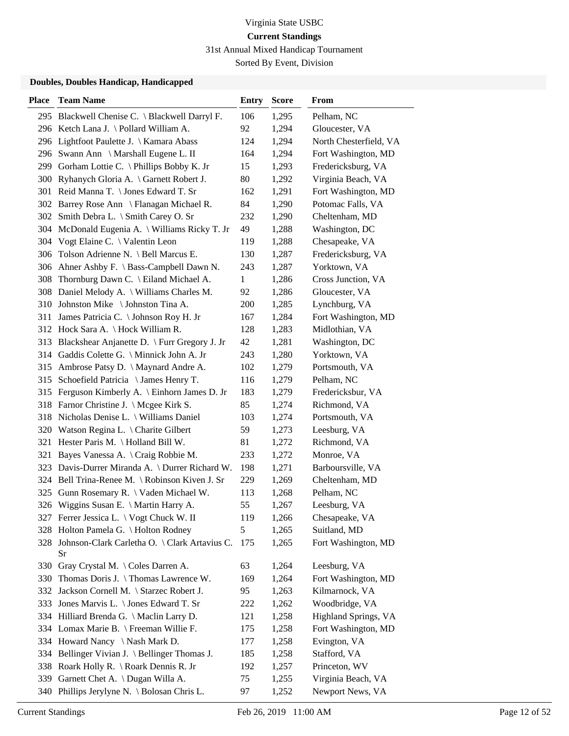31st Annual Mixed Handicap Tournament

Sorted By Event, Division

| <b>Place</b> | <b>Team Name</b>                                    | <b>Entry</b> | <b>Score</b> | <b>From</b>            |
|--------------|-----------------------------------------------------|--------------|--------------|------------------------|
|              | 295 Blackwell Chenise C. \ Blackwell Darryl F.      | 106          | 1,295        | Pelham, NC             |
|              | 296 Ketch Lana J. \ Pollard William A.              | 92           | 1,294        | Gloucester, VA         |
|              | 296 Lightfoot Paulette J. \ Kamara Abass            | 124          | 1,294        | North Chesterfield, VA |
|              | 296 Swann Ann \ Marshall Eugene L. II               | 164          | 1,294        | Fort Washington, MD    |
|              | 299 Gorham Lottie C. \Phillips Bobby K. Jr          | 15           | 1,293        | Fredericksburg, VA     |
|              | 300 Ryhanych Gloria A. \ Garnett Robert J.          | 80           | 1,292        | Virginia Beach, VA     |
|              | 301 Reid Manna T. \ Jones Edward T. Sr              | 162          | 1,291        | Fort Washington, MD    |
|              | 302 Barrey Rose Ann \ Flanagan Michael R.           | 84           | 1,290        | Potomac Falls, VA      |
|              | 302 Smith Debra L. \ Smith Carey O. Sr              | 232          | 1,290        | Cheltenham, MD         |
| 304          | McDonald Eugenia A. \ Williams Ricky T. Jr          | 49           | 1,288        | Washington, DC         |
|              | 304 Vogt Elaine C. \ Valentin Leon                  | 119          | 1,288        | Chesapeake, VA         |
|              | 306 Tolson Adrienne N. \ Bell Marcus E.             | 130          | 1,287        | Fredericksburg, VA     |
|              | 306 Ahner Ashby F. \ Bass-Campbell Dawn N.          | 243          | 1,287        | Yorktown, VA           |
| 308          | Thornburg Dawn C. \ Eiland Michael A.               | 1            | 1,286        | Cross Junction, VA     |
|              | 308 Daniel Melody A. \ Williams Charles M.          | 92           | 1,286        | Gloucester, VA         |
|              | 310 Johnston Mike \Johnston Tina A.                 | 200          | 1,285        | Lynchburg, VA          |
|              | 311 James Patricia C. \Johnson Roy H. Jr            | 167          | 1,284        | Fort Washington, MD    |
|              | 312 Hock Sara A. \Hock William R.                   | 128          | 1,283        | Midlothian, VA         |
|              | 313 Blackshear Anjanette D. \ Furr Gregory J. Jr    | 42           | 1,281        | Washington, DC         |
|              | 314 Gaddis Colette G. \ Minnick John A. Jr          | 243          | 1,280        | Yorktown, VA           |
|              | 315 Ambrose Patsy D. \ Maynard Andre A.             | 102          | 1,279        | Portsmouth, VA         |
| 315          | Schoefield Patricia \ James Henry T.                | 116          | 1,279        | Pelham, NC             |
|              | 315 Ferguson Kimberly A. \ Einhorn James D. Jr      | 183          | 1,279        | Fredericksbur, VA      |
|              | 318 Farnor Christine J. \ Mcgee Kirk S.             | 85           | 1,274        | Richmond, VA           |
|              | 318 Nicholas Denise L. \ Williams Daniel            | 103          | 1,274        | Portsmouth, VA         |
| 320          | Watson Regina L. \ Charite Gilbert                  | 59           | 1,273        | Leesburg, VA           |
|              | 321 Hester Paris M. \Holland Bill W.                | 81           | 1,272        | Richmond, VA           |
| 321          | Bayes Vanessa A. \ Craig Robbie M.                  | 233          | 1,272        | Monroe, VA             |
|              | 323 Davis-Durrer Miranda A. \ Durrer Richard W.     | 198          | 1,271        | Barboursville, VA      |
|              | 324 Bell Trina-Renee M. \ Robinson Kiven J. Sr      | 229          | 1,269        | Cheltenham, MD         |
|              | 325 Gunn Rosemary R. \ Vaden Michael W.             | 113          | 1,268        | Pelham, NC             |
|              | 326 Wiggins Susan E. \ Martin Harry A.              | 55           | 1,267        | Leesburg, VA           |
|              | 327 Ferrer Jessica L. \ Vogt Chuck W. II            | 119          | 1,266        | Chesapeake, VA         |
|              | 328 Holton Pamela G. \ Holton Rodney                | 5            | 1,265        | Suitland, MD           |
| 328          | Johnson-Clark Carletha O. \ Clark Artavius C.<br>Sr | 175          | 1,265        | Fort Washington, MD    |
|              | 330 Gray Crystal M. \ Coles Darren A.               | 63           | 1,264        | Leesburg, VA           |
| 330          | Thomas Doris J. \Thomas Lawrence W.                 | 169          | 1,264        | Fort Washington, MD    |
| 332          | Jackson Cornell M. \ Starzec Robert J.              | 95           | 1,263        | Kilmarnock, VA         |
| 333          | Jones Marvis L. \ Jones Edward T. Sr                | 222          | 1,262        | Woodbridge, VA         |
|              | 334 Hilliard Brenda G. \ Maclin Larry D.            | 121          | 1,258        | Highland Springs, VA   |
|              | 334 Lomax Marie B. \ Freeman Willie F.              | 175          | 1,258        | Fort Washington, MD    |
|              | 334 Howard Nancy \Nash Mark D.                      | 177          | 1,258        | Evington, VA           |
|              | 334 Bellinger Vivian J. \ Bellinger Thomas J.       | 185          | 1,258        | Stafford, VA           |
|              | 338 Roark Holly R. \ Roark Dennis R. Jr             | 192          | 1,257        | Princeton, WV          |
|              | 339 Garnett Chet A. \ Dugan Willa A.                | 75           | 1,255        | Virginia Beach, VA     |
|              | 340 Phillips Jerylyne N. \ Bolosan Chris L.         | 97           | 1,252        | Newport News, VA       |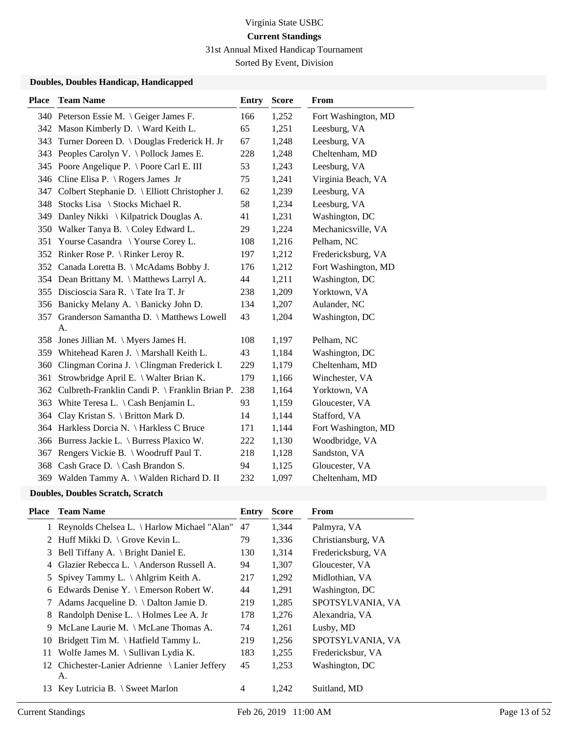31st Annual Mixed Handicap Tournament

Sorted By Event, Division

| <b>Place</b> | <b>Team Name</b>                                   | <b>Entry</b> | <b>Score</b> | From                |
|--------------|----------------------------------------------------|--------------|--------------|---------------------|
|              | 340 Peterson Essie M. \ Geiger James F.            | 166          | 1,252        | Fort Washington, MD |
|              | 342 Mason Kimberly D. \ Ward Keith L.              | 65           | 1,251        | Leesburg, VA        |
| 343          | Turner Doreen D. \ Douglas Frederick H. Jr         | 67           | 1,248        | Leesburg, VA        |
|              | 343 Peoples Carolyn V. \ Pollock James E.          | 228          | 1,248        | Cheltenham, MD      |
|              | 345 Poore Angelique P. \ Poore Carl E. III         | 53           | 1,243        | Leesburg, VA        |
|              | 346 Cline Elisa P. \ Rogers James Jr               | 75           | 1,241        | Virginia Beach, VA  |
|              | 347 Colbert Stephanie D. \ Elliott Christopher J.  | 62           | 1,239        | Leesburg, VA        |
|              | 348 Stocks Lisa \ Stocks Michael R.                | 58           | 1,234        | Leesburg, VA        |
| 349          | Danley Nikki \ Kilpatrick Douglas A.               | 41           | 1,231        | Washington, DC      |
|              | 350 Walker Tanya B. \Coley Edward L.               | 29           | 1,224        | Mechanicsville, VA  |
|              | 351 Yourse Casandra \Yourse Corey L.               | 108          | 1,216        | Pelham, NC          |
|              | 352 Rinker Rose P. \ Rinker Leroy R.               | 197          | 1,212        | Fredericksburg, VA  |
|              | 352 Canada Loretta B. \ McAdams Bobby J.           | 176          | 1,212        | Fort Washington, MD |
|              | 354 Dean Brittany M. \ Matthews Larryl A.          | 44           | 1,211        | Washington, DC      |
|              | 355 Discioscia Sara R. \Tate Ira T. Jr             | 238          | 1,209        | Yorktown, VA        |
|              | 356 Banicky Melany A. \ Banicky John D.            | 134          | 1,207        | Aulander, NC        |
|              | 357 Granderson Samantha D. \ Matthews Lowell       | 43           | 1,204        | Washington, DC      |
|              | A.                                                 |              |              |                     |
|              | 358 Jones Jillian M. \ Myers James H.              | 108          | 1,197        | Pelham, NC          |
|              | 359 Whitehead Karen J. \ Marshall Keith L.         | 43           | 1,184        | Washington, DC      |
| 360          | Clingman Corina J. \ Clingman Frederick I.         | 229          | 1,179        | Cheltenham, MD      |
| 361          | Strowbridge April E. \ Walter Brian K.             | 179          | 1,166        | Winchester, VA      |
|              | 362 Culbreth-Franklin Candi P. \ Franklin Brian P. | 238          | 1,164        | Yorktown, VA        |
|              | 363 White Teresa L. \ Cash Benjamin L.             | 93           | 1,159        | Gloucester, VA      |
| 364          | Clay Kristan S. \ Britton Mark D.                  | 14           | 1,144        | Stafford, VA        |
|              | 364 Harkless Dorcia N. \ Harkless C Bruce          | 171          | 1,144        | Fort Washington, MD |
| 366          | Burress Jackie L. \ Burress Plaxico W.             | 222          | 1,130        | Woodbridge, VA      |
| 367          | Rengers Vickie B. \ Woodruff Paul T.               | 218          | 1,128        | Sandston, VA        |
|              | 368 Cash Grace D. \ Cash Brandon S.                | 94           | 1,125        | Gloucester, VA      |
|              | 369 Walden Tammy A. \ Walden Richard D. II         | 232          | 1,097        | Cheltenham, MD      |
|              | Daveller, Daveller Constal, Constal,               |              |              |                     |

|  | <b>Doubles, Doubles Scratch, Scratch</b> |
|--|------------------------------------------|
|--|------------------------------------------|

| Place | <b>Team Name</b>                                     | Entry          | <b>Score</b> | From               |
|-------|------------------------------------------------------|----------------|--------------|--------------------|
|       | Reynolds Chelsea L. \ Harlow Michael "Alan"          | 47             | 1,344        | Palmyra, VA        |
| 2     | Huff Mikki D. \ Grove Kevin L.                       | 79             | 1,336        | Christiansburg, VA |
| 3     | Bell Tiffany A. \ Bright Daniel E.                   | 130            | 1,314        | Fredericksburg, VA |
| 4     | Glazier Rebecca L. \ Anderson Russell A.             | 94             | 1,307        | Gloucester, VA     |
| 5.    | Spivey Tammy L. $\Lambda$ Ahlgrim Keith A.           | 217            | 1,292        | Midlothian, VA     |
| 6     | Edwards Denise Y. \ Emerson Robert W.                | 44             | 1,291        | Washington, DC     |
|       | Adams Jacqueline D. $\setminus$ Dalton Jamie D.      | 219            | 1,285        | SPOTSYLVANIA, VA   |
| 8     | Randolph Denise L. \ Holmes Lee A. Jr                | 178            | 1,276        | Alexandria, VA     |
| 9     | McLane Laurie M. \ McLane Thomas A.                  | 74             | 1,261        | Lusby, MD          |
| 10    | Bridgett Tim M. $\hat{}$ Hatfield Tammy L.           | 219            | 1,256        | SPOTSYLVANIA, VA   |
| 11    | Wolfe James M. $\setminus$ Sullivan Lydia K.         | 183            | 1,255        | Fredericksbur, VA  |
|       | 12 Chichester-Lanier Adrienne \ Lanier Jeffery<br>А. | 45             | 1,253        | Washington, DC     |
| 13    | Key Lutricia B. $\setminus$ Sweet Marlon             | $\overline{4}$ | 1,242        | Suitland, MD       |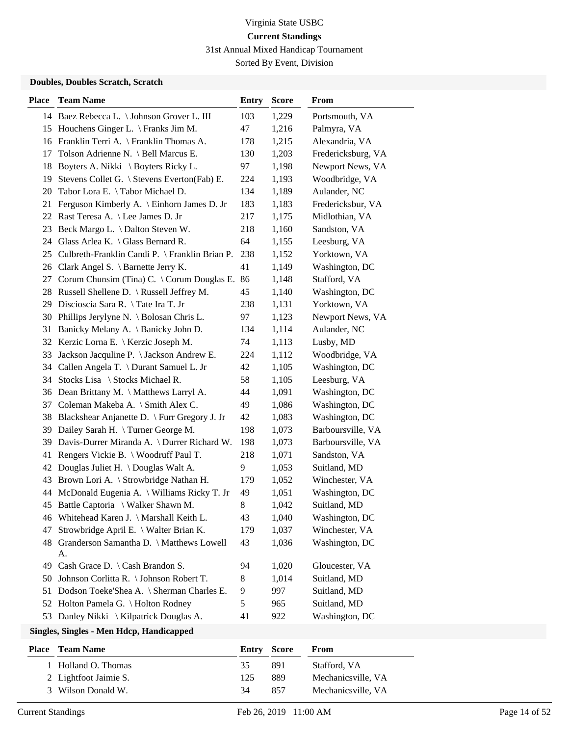31st Annual Mixed Handicap Tournament

Sorted By Event, Division

### **Doubles, Doubles Scratch, Scratch**

| <b>Place</b> | <b>Team Name</b>                               | Entry | <b>Score</b> | From               |
|--------------|------------------------------------------------|-------|--------------|--------------------|
|              | 14 Baez Rebecca L. \ Johnson Grover L. III     | 103   | 1,229        | Portsmouth, VA     |
|              | 15 Houchens Ginger L. \ Franks Jim M.          | 47    | 1,216        | Palmyra, VA        |
|              | 16 Franklin Terri A. \ Franklin Thomas A.      | 178   | 1,215        | Alexandria, VA     |
| 17           | Tolson Adrienne N. \ Bell Marcus E.            | 130   | 1,203        | Fredericksburg, VA |
| 18           | Boyters A. Nikki \ Boyters Ricky L.            | 97    | 1,198        | Newport News, VA   |
| 19           | Stevens Collet G. \ Stevens Everton(Fab) E.    | 224   | 1,193        | Woodbridge, VA     |
| 20           | Tabor Lora E. \Tabor Michael D.                | 134   | 1,189        | Aulander, NC       |
| 21           | Ferguson Kimberly A. \ Einhorn James D. Jr     | 183   | 1,183        | Fredericksbur, VA  |
| 22           | Rast Teresa A. \ Lee James D. Jr               | 217   | 1,175        | Midlothian, VA     |
| 23           | Beck Margo L. \ Dalton Steven W.               | 218   | 1,160        | Sandston, VA       |
| 24           | Glass Arlea K. $\setminus$ Glass Bernard R.    | 64    | 1,155        | Leesburg, VA       |
| 25           | Culbreth-Franklin Candi P. \ Franklin Brian P. | 238   | 1,152        | Yorktown, VA       |
|              | 26 Clark Angel S. \ Barnette Jerry K.          | 41    | 1,149        | Washington, DC     |
| 27           | Corum Chunsim (Tina) C. \ Corum Douglas E. 86  |       | 1,148        | Stafford, VA       |
|              | 28 Russell Shellene D. \ Russell Jeffrey M.    | 45    | 1,140        | Washington, DC     |
| 29           | Discioscia Sara R. \Tate Ira T. Jr             | 238   | 1,131        | Yorktown, VA       |
| 30           | Phillips Jerylyne N. \ Bolosan Chris L.        | 97    | 1,123        | Newport News, VA   |
| 31           | Banicky Melany A. \ Banicky John D.            | 134   | 1,114        | Aulander, NC       |
| 32           | Kerzic Lorna E. \ Kerzic Joseph M.             | 74    | 1,113        | Lusby, MD          |
| 33           | Jackson Jacquline P. \ Jackson Andrew E.       | 224   | 1,112        | Woodbridge, VA     |
| 34           | Callen Angela T. \ Durant Samuel L. Jr         | 42    | 1,105        | Washington, DC     |
| 34           | Stocks Lisa \ Stocks Michael R.                | 58    | 1,105        | Leesburg, VA       |
|              | 36 Dean Brittany M. \ Matthews Larryl A.       | 44    | 1,091        | Washington, DC     |
| 37           | Coleman Makeba A. \ Smith Alex C.              | 49    | 1,086        | Washington, DC     |
| 38           | Blackshear Anjanette D. \ Furr Gregory J. Jr   | 42    | 1,083        | Washington, DC     |
| 39           | Dailey Sarah H. \ Turner George M.             | 198   | 1,073        | Barboursville, VA  |
| 39           | Davis-Durrer Miranda A. \ Durrer Richard W.    | 198   | 1,073        | Barboursville, VA  |
| 41           | Rengers Vickie B. \ Woodruff Paul T.           | 218   | 1,071        | Sandston, VA       |
| 42           | Douglas Juliet H. \ Douglas Walt A.            | 9     | 1,053        | Suitland, MD       |
| 43           | Brown Lori A. \ Strowbridge Nathan H.          | 179   | 1,052        | Winchester, VA     |
| 44           | McDonald Eugenia A. \ Williams Ricky T. Jr     | 49    | 1,051        | Washington, DC     |
| 45           | Battle Captoria \ Walker Shawn M.              | 8     | 1,042        | Suitland, MD       |
|              | 46 Whitehead Karen J. \ Marshall Keith L.      | 43    | 1,040        | Washington, DC     |
| 47           | Strowbridge April E. \ Walter Brian K.         | 179   | 1,037        | Winchester, VA     |
| 48           | Granderson Samantha D. \ Matthews Lowell<br>A. | 43    | 1,036        | Washington, DC     |
| 49           | Cash Grace D. $\setminus$ Cash Brandon S.      | 94    | 1,020        | Gloucester, VA     |
| 50           | Johnson Corlitta R. \ Johnson Robert T.        | 8     | 1,014        | Suitland, MD       |
| 51           | Dodson Toeke'Shea A. \ Sherman Charles E.      | 9     | 997          | Suitland, MD       |
| 52           | Holton Pamela G. \ Holton Rodney               | 5     | 965          | Suitland, MD       |
|              | 53 Danley Nikki \ Kilpatrick Douglas A.        | 41    | 922          | Washington, DC     |
|              |                                                |       |              |                    |

| <b>Place</b> | <b>Team Name</b>      | Entry Score |     | From               |
|--------------|-----------------------|-------------|-----|--------------------|
|              | Holland O. Thomas     | 35          | 891 | Stafford, VA       |
|              | 2 Lightfoot Jaimie S. | 125         | 889 | Mechanicsville, VA |
|              | 3 Wilson Donald W.    | 34          | 857 | Mechanicsville, VA |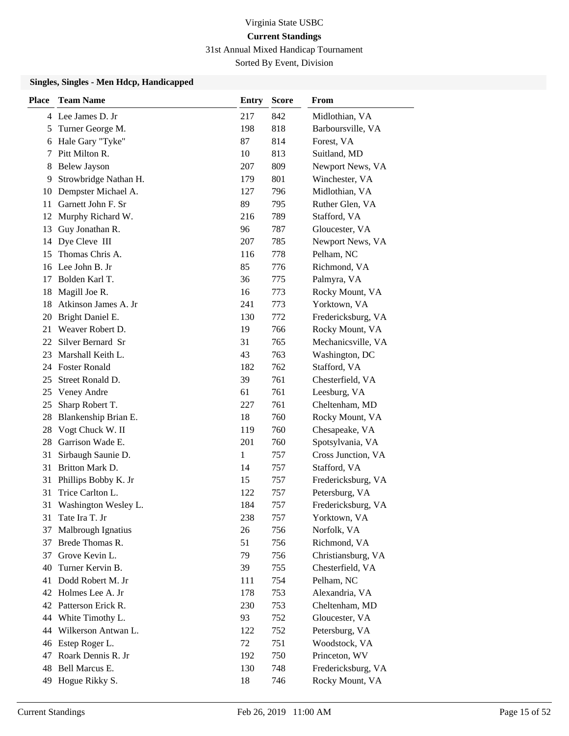31st Annual Mixed Handicap Tournament

Sorted By Event, Division

| <b>Place</b> | <b>Team Name</b>      | Entry        | <b>Score</b> | From               |
|--------------|-----------------------|--------------|--------------|--------------------|
|              | 4 Lee James D. Jr     | 217          | 842          | Midlothian, VA     |
| 5            | Turner George M.      | 198          | 818          | Barboursville, VA  |
| 6            | Hale Gary "Tyke"      | 87           | 814          | Forest, VA         |
| 7            | Pitt Milton R.        | 10           | 813          | Suitland, MD       |
| 8            | <b>Belew Jayson</b>   | 207          | 809          | Newport News, VA   |
| 9            | Strowbridge Nathan H. | 179          | 801          | Winchester, VA     |
| 10           | Dempster Michael A.   | 127          | 796          | Midlothian, VA     |
| 11           | Garnett John F. Sr    | 89           | 795          | Ruther Glen, VA    |
| 12           | Murphy Richard W.     | 216          | 789          | Stafford, VA       |
| 13           | Guy Jonathan R.       | 96           | 787          | Gloucester, VA     |
| 14           | Dye Cleve III         | 207          | 785          | Newport News, VA   |
| 15           | Thomas Chris A.       | 116          | 778          | Pelham, NC         |
| 16           | Lee John B. Jr        | 85           | 776          | Richmond, VA       |
| 17           | Bolden Karl T.        | 36           | 775          | Palmyra, VA        |
| 18           | Magill Joe R.         | 16           | 773          | Rocky Mount, VA    |
| 18           | Atkinson James A. Jr  | 241          | 773          | Yorktown, VA       |
| 20           | Bright Daniel E.      | 130          | 772          | Fredericksburg, VA |
| 21           | Weaver Robert D.      | 19           | 766          | Rocky Mount, VA    |
| 22           | Silver Bernard Sr     | 31           | 765          | Mechanicsville, VA |
| 23           | Marshall Keith L.     | 43           | 763          | Washington, DC     |
| 24           | <b>Foster Ronald</b>  | 182          | 762          | Stafford, VA       |
| 25           | Street Ronald D.      | 39           | 761          | Chesterfield, VA   |
| 25           | Veney Andre           | 61           | 761          | Leesburg, VA       |
| 25           | Sharp Robert T.       | 227          | 761          | Cheltenham, MD     |
| 28           | Blankenship Brian E.  | 18           | 760          | Rocky Mount, VA    |
| 28           | Vogt Chuck W. II      | 119          | 760          | Chesapeake, VA     |
| 28           | Garrison Wade E.      | 201          | 760          | Spotsylvania, VA   |
| 31           | Sirbaugh Saunie D.    | $\mathbf{1}$ | 757          | Cross Junction, VA |
| 31           | Britton Mark D.       | 14           | 757          | Stafford, VA       |
| 31           | Phillips Bobby K. Jr  | 15           | 757          | Fredericksburg, VA |
| 31           | Trice Carlton L.      | 122          | 757          | Petersburg, VA     |
| 31           | Washington Wesley L.  | 184          | 757          | Fredericksburg, VA |
| 31           | Tate Ira T. Jr        | 238          | 757          | Yorktown, VA       |
| 37           | Malbrough Ignatius    | 26           | 756          | Norfolk, VA        |
| 37           | Brede Thomas R.       | 51           | 756          | Richmond, VA       |
| 37           | Grove Kevin L.        | 79           | 756          | Christiansburg, VA |
| 40           | Turner Kervin B.      | 39           | 755          | Chesterfield, VA   |
| 41           | Dodd Robert M. Jr     | 111          | 754          | Pelham, NC         |
| 42           | Holmes Lee A. Jr      | 178          | 753          | Alexandria, VA     |
|              | 42 Patterson Erick R. | 230          | 753          | Cheltenham, MD     |
| 44           | White Timothy L.      | 93           | 752          | Gloucester, VA     |
| 44           | Wilkerson Antwan L.   | 122          | 752          | Petersburg, VA     |
| 46           | Estep Roger L.        | 72           | 751          | Woodstock, VA      |
| 47           | Roark Dennis R. Jr    | 192          | 750          | Princeton, WV      |
| 48           | Bell Marcus E.        | 130          | 748          | Fredericksburg, VA |
| 49           | Hogue Rikky S.        | 18           | 746          | Rocky Mount, VA    |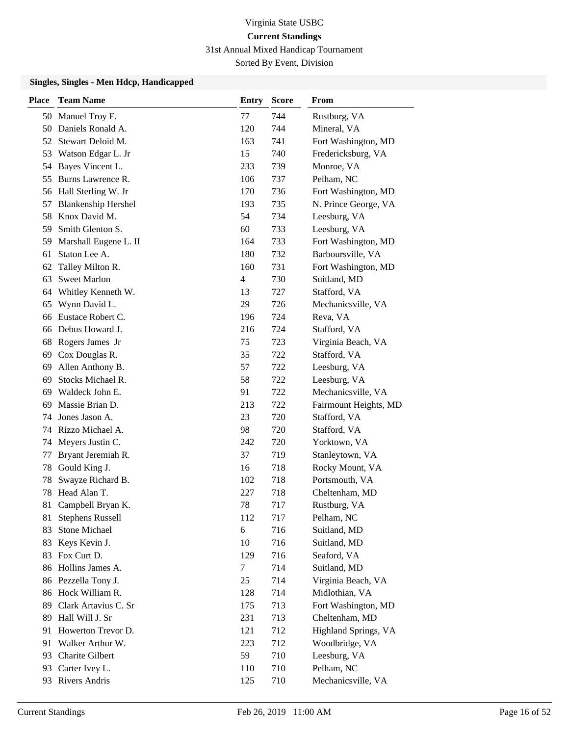31st Annual Mixed Handicap Tournament

Sorted By Event, Division

| <b>Place</b> | <b>Team Name</b>           | <b>Entry</b> | <b>Score</b> | From                  |
|--------------|----------------------------|--------------|--------------|-----------------------|
|              | 50 Manuel Troy F.          | 77           | 744          | Rustburg, VA          |
|              | 50 Daniels Ronald A.       | 120          | 744          | Mineral, VA           |
|              | 52 Stewart Deloid M.       | 163          | 741          | Fort Washington, MD   |
| 53           | Watson Edgar L. Jr         | 15           | 740          | Fredericksburg, VA    |
| 54           | Bayes Vincent L.           | 233          | 739          | Monroe, VA            |
| 55           | Burns Lawrence R.          | 106          | 737          | Pelham, NC            |
|              | 56 Hall Sterling W. Jr     | 170          | 736          | Fort Washington, MD   |
| 57           | <b>Blankenship Hershel</b> | 193          | 735          | N. Prince George, VA  |
| 58           | Knox David M.              | 54           | 734          | Leesburg, VA          |
| 59           | Smith Glenton S.           | 60           | 733          | Leesburg, VA          |
|              | 59 Marshall Eugene L. II   | 164          | 733          | Fort Washington, MD   |
| 61           | Staton Lee A.              | 180          | 732          | Barboursville, VA     |
| 62           | Talley Milton R.           | 160          | 731          | Fort Washington, MD   |
| 63           | <b>Sweet Marlon</b>        | 4            | 730          | Suitland, MD          |
| 64           | Whitley Kenneth W.         | 13           | 727          | Stafford, VA          |
| 65           | Wynn David L.              | 29           | 726          | Mechanicsville, VA    |
| 66           | Eustace Robert C.          | 196          | 724          | Reva, VA              |
|              | 66 Debus Howard J.         | 216          | 724          | Stafford, VA          |
| 68           | Rogers James Jr            | 75           | 723          | Virginia Beach, VA    |
| 69           | Cox Douglas R.             | 35           | 722          | Stafford, VA          |
| 69           | Allen Anthony B.           | 57           | 722          | Leesburg, VA          |
| 69           | Stocks Michael R.          | 58           | 722          | Leesburg, VA          |
| 69           | Waldeck John E.            | 91           | 722          | Mechanicsville, VA    |
| 69           | Massie Brian D.            | 213          | 722          | Fairmount Heights, MD |
| 74           | Jones Jason A.             | 23           | 720          | Stafford, VA          |
|              | 74 Rizzo Michael A.        | 98           | 720          | Stafford, VA          |
| 74           | Meyers Justin C.           | 242          | 720          | Yorktown, VA          |
| 77           | Bryant Jeremiah R.         | 37           | 719          | Stanleytown, VA       |
| 78           | Gould King J.              | 16           | 718          | Rocky Mount, VA       |
| 78           | Swayze Richard B.          | 102          | 718          | Portsmouth, VA        |
| 78           | Head Alan T.               | 227          | 718          | Cheltenham, MD        |
| 81           | Campbell Bryan K.          | 78           | 717          | Rustburg, VA          |
| 81           | <b>Stephens Russell</b>    | 112          | 717          | Pelham, NC            |
| 83           | <b>Stone Michael</b>       | 6            | 716          | Suitland, MD          |
| 83           | Keys Kevin J.              | 10           | 716          | Suitland, MD          |
| 83           | Fox Curt D.                | 129          | 716          | Seaford, VA           |
| 86           | Hollins James A.           | 7            | 714          | Suitland, MD          |
|              | 86 Pezzella Tony J.        | 25           | 714          | Virginia Beach, VA    |
|              | 86 Hock William R.         | 128          | 714          | Midlothian, VA        |
| 89           | Clark Artavius C. Sr       | 175          | 713          | Fort Washington, MD   |
| 89           | Hall Will J. Sr            | 231          | 713          | Cheltenham, MD        |
| 91           | Howerton Trevor D.         | 121          | 712          | Highland Springs, VA  |
| 91           | Walker Arthur W.           | 223          | 712          | Woodbridge, VA        |
| 93           | Charite Gilbert            | 59           | 710          | Leesburg, VA          |
| 93           | Carter Ivey L.             | 110          | 710          | Pelham, NC            |
|              | 93 Rivers Andris           | 125          | 710          | Mechanicsville, VA    |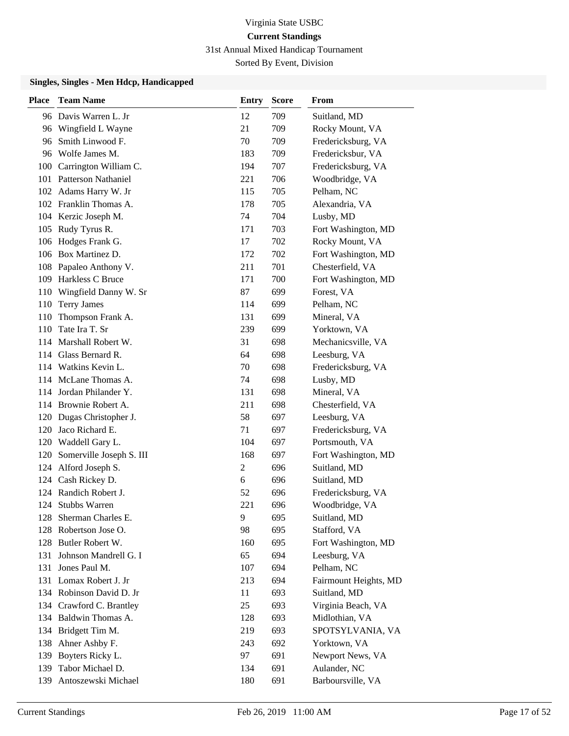# Virginia State USBC **Current Standings** 31st Annual Mixed Handicap Tournament

Sorted By Event, Division

| <b>Place</b> | <b>Team Name</b>          | <b>Entry</b>   | <b>Score</b> | From                  |
|--------------|---------------------------|----------------|--------------|-----------------------|
|              | 96 Davis Warren L. Jr     | 12             | 709          | Suitland, MD          |
|              | 96 Wingfield L Wayne      | 21             | 709          | Rocky Mount, VA       |
| 96-          | Smith Linwood F.          | 70             | 709          | Fredericksburg, VA    |
|              | 96 Wolfe James M.         | 183            | 709          | Fredericksbur, VA     |
|              | 100 Carrington William C. | 194            | 707          | Fredericksburg, VA    |
|              | 101 Patterson Nathaniel   | 221            | 706          | Woodbridge, VA        |
|              | 102 Adams Harry W. Jr     | 115            | 705          | Pelham, NC            |
|              | 102 Franklin Thomas A.    | 178            | 705          | Alexandria, VA        |
|              | 104 Kerzic Joseph M.      | 74             | 704          | Lusby, MD             |
|              | 105 Rudy Tyrus R.         | 171            | 703          | Fort Washington, MD   |
|              | 106 Hodges Frank G.       | 17             | 702          | Rocky Mount, VA       |
|              | 106 Box Martinez D.       | 172            | 702          | Fort Washington, MD   |
|              | 108 Papaleo Anthony V.    | 211            | 701          | Chesterfield, VA      |
|              | 109 Harkless C Bruce      | 171            | 700          | Fort Washington, MD   |
| 110          | Wingfield Danny W. Sr     | 87             | 699          | Forest, VA            |
|              | 110 Terry James           | 114            | 699          | Pelham, NC            |
| 110          | Thompson Frank A.         | 131            | 699          | Mineral, VA           |
| 110          | Tate Ira T. Sr            | 239            | 699          | Yorktown, VA          |
|              | 114 Marshall Robert W.    | 31             | 698          | Mechanicsville, VA    |
|              | 114 Glass Bernard R.      | 64             | 698          | Leesburg, VA          |
|              | 114 Watkins Kevin L.      | 70             | 698          | Fredericksburg, VA    |
|              | 114 McLane Thomas A.      | 74             | 698          | Lusby, MD             |
|              | 114 Jordan Philander Y.   | 131            | 698          | Mineral, VA           |
|              | 114 Brownie Robert A.     | 211            | 698          | Chesterfield, VA      |
|              | 120 Dugas Christopher J.  | 58             | 697          | Leesburg, VA          |
|              | 120 Jaco Richard E.       | 71             | 697          | Fredericksburg, VA    |
|              | 120 Waddell Gary L.       | 104            | 697          | Portsmouth, VA        |
| 120          | Somerville Joseph S. III  | 168            | 697          | Fort Washington, MD   |
|              | 124 Alford Joseph S.      | $\overline{c}$ | 696          | Suitland, MD          |
|              | 124 Cash Rickey D.        | 6              | 696          | Suitland, MD          |
|              | 124 Randich Robert J.     | 52             | 696          | Fredericksburg, VA    |
| 124          | <b>Stubbs Warren</b>      | 221            | 696          | Woodbridge, VA        |
| 128          | Sherman Charles E.        | 9              | 695          | Suitland, MD          |
| 128          | Robertson Jose O.         | 98             | 695          | Stafford, VA          |
|              | 128 Butler Robert W.      | 160            | 695          | Fort Washington, MD   |
| 131          | Johnson Mandrell G. I     | 65             | 694          | Leesburg, VA          |
| 131          | Jones Paul M.             | 107            | 694          | Pelham, NC            |
| 131          | Lomax Robert J. Jr        | 213            | 694          | Fairmount Heights, MD |
|              | 134 Robinson David D. Jr  | 11             | 693          | Suitland, MD          |
|              | 134 Crawford C. Brantley  | 25             | 693          | Virginia Beach, VA    |
|              | 134 Baldwin Thomas A.     | 128            | 693          | Midlothian, VA        |
|              | 134 Bridgett Tim M.       | 219            | 693          | SPOTSYLVANIA, VA      |
| 138          | Ahner Ashby F.            | 243            | 692          | Yorktown, VA          |
| 139          | Boyters Ricky L.          | 97             | 691          | Newport News, VA      |
| 139          | Tabor Michael D.          | 134            | 691          | Aulander, NC          |
| 139          | Antoszewski Michael       | 180            | 691          | Barboursville, VA     |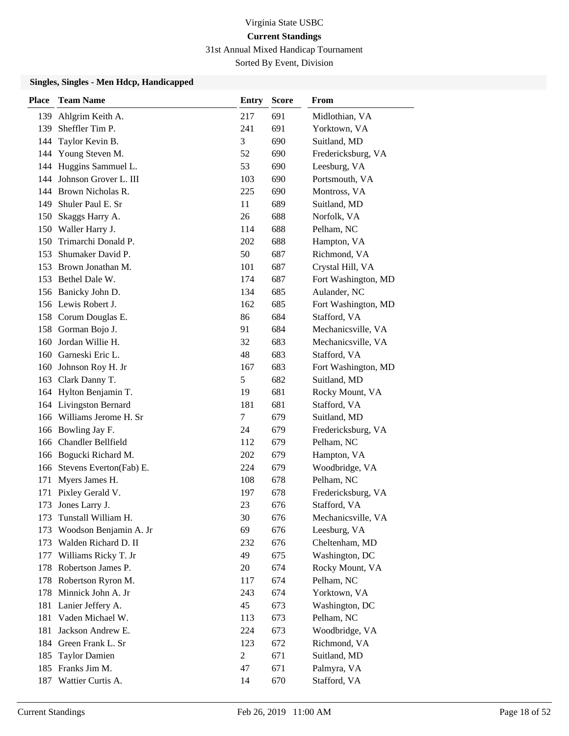31st Annual Mixed Handicap Tournament

Sorted By Event, Division

| Place | <b>Team Name</b>                      | <b>Entry</b>          | <b>Score</b> | From                           |
|-------|---------------------------------------|-----------------------|--------------|--------------------------------|
| 139   | Ahlgrim Keith A.                      | 217                   | 691          | Midlothian, VA                 |
| 139   | Sheffler Tim P.                       | 241                   | 691          | Yorktown, VA                   |
| 144   | Taylor Kevin B.                       | 3                     | 690          | Suitland, MD                   |
| 144   | Young Steven M.                       | 52                    | 690          | Fredericksburg, VA             |
| 144   | Huggins Sammuel L.                    | 53                    | 690          | Leesburg, VA                   |
| 144   | Johnson Grover L. III                 | 103                   | 690          | Portsmouth, VA                 |
|       | 144 Brown Nicholas R.                 | 225                   | 690          | Montross, VA                   |
| 149   | Shuler Paul E. Sr                     | 11                    | 689          | Suitland, MD                   |
| 150   | Skaggs Harry A.                       | 26                    | 688          | Norfolk, VA                    |
| 150   | Waller Harry J.                       | 114                   | 688          | Pelham, NC                     |
| 150   | Trimarchi Donald P.                   | 202                   | 688          | Hampton, VA                    |
| 153   | Shumaker David P.                     | 50                    | 687          | Richmond, VA                   |
| 153   | Brown Jonathan M.                     | 101                   | 687          | Crystal Hill, VA               |
|       | 153 Bethel Dale W.                    | 174                   | 687          | Fort Washington, MD            |
|       | 156 Banicky John D.                   | 134                   | 685          | Aulander, NC                   |
|       | 156 Lewis Robert J.                   | 162                   | 685          | Fort Washington, MD            |
|       | 158 Corum Douglas E.                  | 86                    | 684          | Stafford, VA                   |
| 158   | Gorman Bojo J.                        | 91                    | 684          | Mechanicsville, VA             |
| 160   | Jordan Willie H.                      | 32                    | 683          | Mechanicsville, VA             |
|       | 160 Garneski Eric L.                  | 48                    | 683          | Stafford, VA                   |
| 160   | Johnson Roy H. Jr                     | 167                   | 683          | Fort Washington, MD            |
| 163   | Clark Danny T.                        | 5                     | 682          | Suitland, MD                   |
|       | 164 Hylton Benjamin T.                | 19                    | 681          | Rocky Mount, VA                |
|       | 164 Livingston Bernard                | 181                   | 681          | Stafford, VA                   |
| 166   | Williams Jerome H. Sr                 | 7                     | 679          | Suitland, MD                   |
| 166   | Bowling Jay F.                        | 24                    | 679          | Fredericksburg, VA             |
| 166   | Chandler Bellfield                    | 112                   | 679          | Pelham, NC                     |
|       | 166 Bogucki Richard M.                | 202                   | 679          | Hampton, VA                    |
|       | 166 Stevens Everton(Fab) E.           | 224                   | 679          | Woodbridge, VA                 |
| 171   | Myers James H.                        | 108                   | 678          | Pelham, NC                     |
| 171   | Pixley Gerald V.                      | 197                   | 678          | Fredericksburg, VA             |
| 173   | Jones Larry J.                        | 23                    | 676          | Stafford, VA                   |
| 173   | Tunstall William H.                   | 30                    | 676          | Mechanicsville, VA             |
| 173   | Woodson Benjamin A. Jr                | 69                    | 676          | Leesburg, VA                   |
| 173   | Walden Richard D. II                  | 232                   | 676          | Cheltenham, MD                 |
| 177   | Williams Ricky T. Jr                  | 49                    | 675          | Washington, DC                 |
| 178   | Robertson James P.                    | 20                    | 674          | Rocky Mount, VA                |
| 178   | Robertson Ryron M.                    | 117                   | 674          | Pelham, NC                     |
| 178   | Minnick John A. Jr                    | 243                   | 674          | Yorktown, VA                   |
| 181   | Lanier Jeffery A.<br>Vaden Michael W. | 45                    | 673          | Washington, DC                 |
| 181   |                                       | 113                   | 673          | Pelham, NC                     |
| 181   | Jackson Andrew E.                     | 224                   | 673<br>672   | Woodbridge, VA<br>Richmond, VA |
| 184   | Green Frank L. Sr                     | 123<br>$\overline{c}$ |              |                                |
| 185   | <b>Taylor Damien</b><br>Franks Jim M. | 47                    | 671<br>671   | Suitland, MD                   |
| 185   |                                       |                       | 670          | Palmyra, VA                    |
| 187   | Wattier Curtis A.                     | 14                    |              | Stafford, VA                   |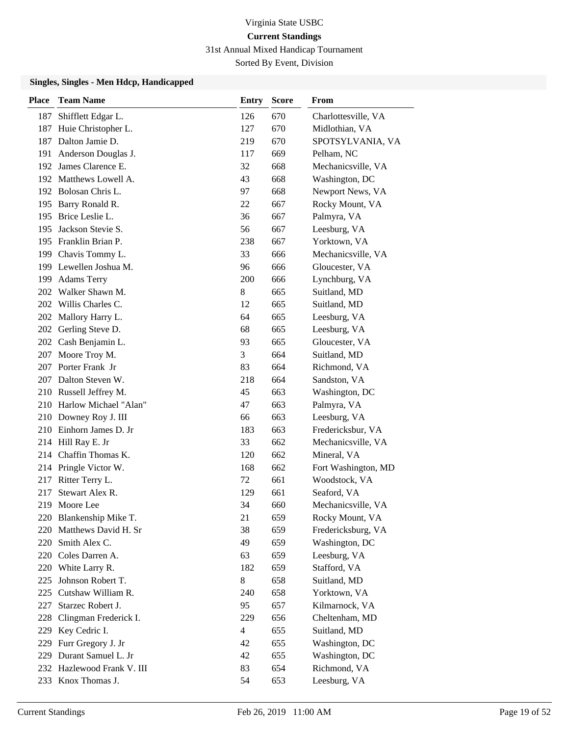31st Annual Mixed Handicap Tournament

Sorted By Event, Division

| <b>Place</b> | <b>Team Name</b>           | <b>Entry</b>   | <b>Score</b> | <b>From</b>         |
|--------------|----------------------------|----------------|--------------|---------------------|
| 187          | Shifflett Edgar L.         | 126            | 670          | Charlottesville, VA |
| 187          | Huie Christopher L.        | 127            | 670          | Midlothian, VA      |
|              | 187 Dalton Jamie D.        | 219            | 670          | SPOTSYLVANIA, VA    |
|              | 191 Anderson Douglas J.    | 117            | 669          | Pelham, NC          |
|              | 192 James Clarence E.      | 32             | 668          | Mechanicsville, VA  |
|              | 192 Matthews Lowell A.     | 43             | 668          | Washington, DC      |
|              | 192 Bolosan Chris L.       | 97             | 668          | Newport News, VA    |
|              | 195 Barry Ronald R.        | 22             | 667          | Rocky Mount, VA     |
|              | 195 Brice Leslie L.        | 36             | 667          | Palmyra, VA         |
|              | 195 Jackson Stevie S.      | 56             | 667          | Leesburg, VA        |
|              | 195 Franklin Brian P.      | 238            | 667          | Yorktown, VA        |
|              | 199 Chavis Tommy L.        | 33             | 666          | Mechanicsville, VA  |
|              | 199 Lewellen Joshua M.     | 96             | 666          | Gloucester, VA      |
|              | 199 Adams Terry            | 200            | 666          | Lynchburg, VA       |
|              | 202 Walker Shawn M.        | 8              | 665          | Suitland, MD        |
|              | 202 Willis Charles C.      | 12             | 665          | Suitland, MD        |
|              | 202 Mallory Harry L.       | 64             | 665          | Leesburg, VA        |
| 202          | Gerling Steve D.           | 68             | 665          | Leesburg, VA        |
|              | 202 Cash Benjamin L.       | 93             | 665          | Gloucester, VA      |
|              | 207 Moore Troy M.          | 3              | 664          | Suitland, MD        |
|              | 207 Porter Frank Jr        | 83             | 664          | Richmond, VA        |
|              | 207 Dalton Steven W.       | 218            | 664          | Sandston, VA        |
|              | 210 Russell Jeffrey M.     | 45             | 663          | Washington, DC      |
|              | 210 Harlow Michael "Alan"  | 47             | 663          | Palmyra, VA         |
|              | 210 Downey Roy J. III      | 66             | 663          | Leesburg, VA        |
|              | 210 Einhorn James D. Jr    | 183            | 663          | Fredericksbur, VA   |
|              | 214 Hill Ray E. Jr         | 33             | 662          | Mechanicsville, VA  |
|              | 214 Chaffin Thomas K.      | 120            | 662          | Mineral, VA         |
|              | 214 Pringle Victor W.      | 168            | 662          | Fort Washington, MD |
|              | 217 Ritter Terry L.        | 72             | 661          | Woodstock, VA       |
| 217          | Stewart Alex R.            | 129            | 661          | Seaford, VA         |
| 219          | Moore Lee                  | 34             | 660          | Mechanicsville, VA  |
|              | 220 Blankenship Mike T.    | 21             | 659          | Rocky Mount, VA     |
|              | 220 Matthews David H. Sr   | 38             | 659          | Fredericksburg, VA  |
|              | 220 Smith Alex C.          | 49             | 659          | Washington, DC      |
|              | 220 Coles Darren A.        | 63             | 659          | Leesburg, VA        |
|              | 220 White Larry R.         | 182            | 659          | Stafford, VA        |
| 225          | Johnson Robert T.          | 8              | 658          | Suitland, MD        |
|              | 225 Cutshaw William R.     | 240            | 658          | Yorktown, VA        |
| 227          | Starzec Robert J.          | 95             | 657          | Kilmarnock, VA      |
| 228          | Clingman Frederick I.      | 229            | 656          | Cheltenham, MD      |
|              | 229 Key Cedric I.          | $\overline{4}$ | 655          | Suitland, MD        |
|              | 229 Furr Gregory J. Jr     | 42             | 655          | Washington, DC      |
|              | 229 Durant Samuel L. Jr    | 42             | 655          | Washington, DC      |
|              | 232 Hazlewood Frank V. III | 83             | 654          | Richmond, VA        |
|              | 233 Knox Thomas J.         | 54             | 653          | Leesburg, VA        |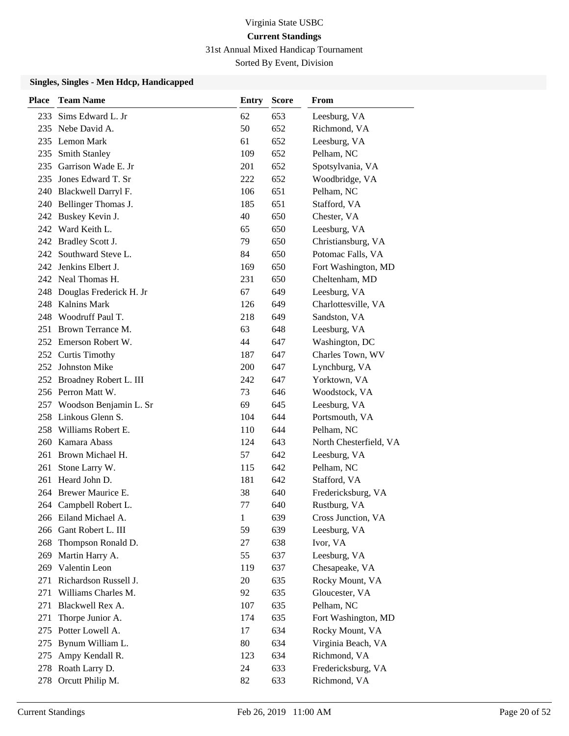31st Annual Mixed Handicap Tournament

Sorted By Event, Division

| <b>Place</b> | <b>Team Name</b>                     | Entry        | <b>Score</b> | From                               |
|--------------|--------------------------------------|--------------|--------------|------------------------------------|
| 233          | Sims Edward L. Jr                    | 62           | 653          | Leesburg, VA                       |
|              | 235 Nebe David A.                    | 50           | 652          | Richmond, VA                       |
|              | 235 Lemon Mark                       | 61           | 652          | Leesburg, VA                       |
| 235          | <b>Smith Stanley</b>                 | 109          | 652          | Pelham, NC                         |
| 235          | Garrison Wade E. Jr                  | 201          | 652          | Spotsylvania, VA                   |
| 235          | Jones Edward T. Sr                   | 222          | 652          | Woodbridge, VA                     |
|              | 240 Blackwell Darryl F.              | 106          | 651          | Pelham, NC                         |
| 240          | Bellinger Thomas J.                  | 185          | 651          | Stafford, VA                       |
| 242          | Buskey Kevin J.                      | 40           | 650          | Chester, VA                        |
| 242          | Ward Keith L.                        | 65           | 650          | Leesburg, VA                       |
|              | 242 Bradley Scott J.                 | 79           | 650          | Christiansburg, VA                 |
| 242          | Southward Steve L.                   | 84           | 650          | Potomac Falls, VA                  |
|              | 242 Jenkins Elbert J.                | 169          | 650          | Fort Washington, MD                |
|              | 242 Neal Thomas H.                   | 231          | 650          | Cheltenham, MD                     |
|              | 248 Douglas Frederick H. Jr          | 67           | 649          | Leesburg, VA                       |
| 248          | <b>Kalnins Mark</b>                  | 126          | 649          | Charlottesville, VA                |
| 248          | Woodruff Paul T.                     | 218          | 649          | Sandston, VA                       |
| 251          | Brown Terrance M.                    | 63           | 648          | Leesburg, VA                       |
|              | 252 Emerson Robert W.                | 44           | 647          | Washington, DC                     |
| 252          | <b>Curtis Timothy</b>                | 187          | 647          | Charles Town, WV                   |
|              | 252 Johnston Mike                    | 200          | 647          | Lynchburg, VA                      |
|              | 252 Broadney Robert L. III           | 242          | 647          | Yorktown, VA                       |
|              | 256 Perron Matt W.                   | 73           | 646          | Woodstock, VA                      |
| 257          | Woodson Benjamin L. Sr               | 69           | 645          | Leesburg, VA                       |
| 258          | Linkous Glenn S.                     | 104          | 644          | Portsmouth, VA                     |
| 258          | Williams Robert E.                   | 110          | 644          | Pelham, NC                         |
| 260          | Kamara Abass                         | 124          | 643          | North Chesterfield, VA             |
| 261          | Brown Michael H.                     | 57           | 642          | Leesburg, VA                       |
| 261          | Stone Larry W.                       | 115          | 642          | Pelham, NC                         |
| 261          | Heard John D.                        | 181          | 642          | Stafford, VA                       |
|              | 264 Brewer Maurice E.                | 38           | 640          | Fredericksburg, VA                 |
|              | 264 Campbell Robert L.               | 77           | 640          | Rustburg, VA                       |
|              | 266 Eiland Michael A.                | $\mathbf{1}$ | 639          | Cross Junction, VA                 |
| 266          | Gant Robert L. III                   | 59           | 639          | Leesburg, VA                       |
| 268          | Thompson Ronald D.                   | 27           | 638          | Ivor, VA                           |
| 269          | Martin Harry A.                      | 55           | 637          | Leesburg, VA                       |
| 269          | Valentin Leon                        | 119          | 637          | Chesapeake, VA                     |
| 271          | Richardson Russell J.                | 20           | 635          | Rocky Mount, VA                    |
| 271          | Williams Charles M.                  | 92           | 635          | Gloucester, VA                     |
| 271          | Blackwell Rex A.                     | 107          | 635          | Pelham, NC                         |
| 271          | Thorpe Junior A.<br>Potter Lowell A. | 174          | 635          | Fort Washington, MD                |
| 275          |                                      | 17<br>80     | 634<br>634   | Rocky Mount, VA                    |
| 275          | Bynum William L.<br>Ampy Kendall R.  | 123          | 634          | Virginia Beach, VA<br>Richmond, VA |
| 275          | 278 Roath Larry D.                   | 24           | 633          | Fredericksburg, VA                 |
| 278          | Orcutt Philip M.                     | 82           | 633          | Richmond, VA                       |
|              |                                      |              |              |                                    |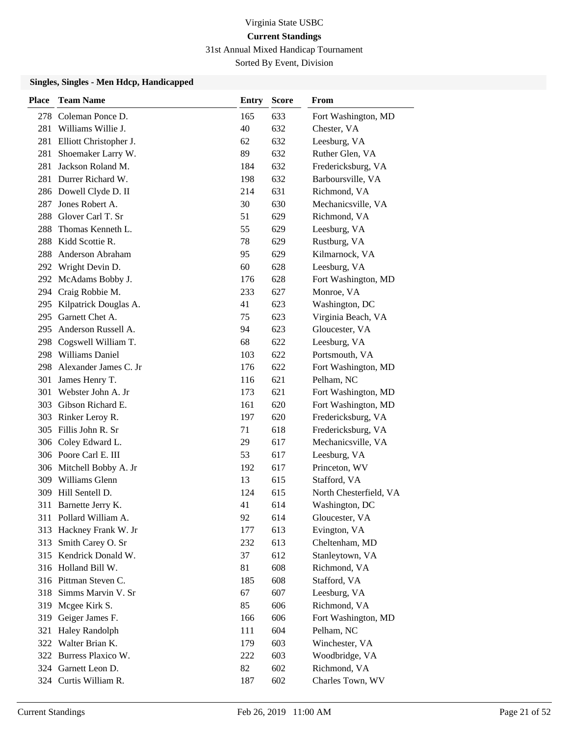31st Annual Mixed Handicap Tournament

Sorted By Event, Division

| <b>Place</b> | <b>Team Name</b>          | Entry | <b>Score</b> | From                   |
|--------------|---------------------------|-------|--------------|------------------------|
| 278          | Coleman Ponce D.          | 165   | 633          | Fort Washington, MD    |
|              | 281 Williams Willie J.    | 40    | 632          | Chester, VA            |
| 281          | Elliott Christopher J.    | 62    | 632          | Leesburg, VA           |
| 281          | Shoemaker Larry W.        | 89    | 632          | Ruther Glen, VA        |
| 281          | Jackson Roland M.         | 184   | 632          | Fredericksburg, VA     |
| 281          | Durrer Richard W.         | 198   | 632          | Barboursville, VA      |
|              | 286 Dowell Clyde D. II    | 214   | 631          | Richmond, VA           |
| 287          | Jones Robert A.           | 30    | 630          | Mechanicsville, VA     |
| 288          | Glover Carl T. Sr         | 51    | 629          | Richmond, VA           |
| 288          | Thomas Kenneth L.         | 55    | 629          | Leesburg, VA           |
| 288          | Kidd Scottie R.           | 78    | 629          | Rustburg, VA           |
| 288          | Anderson Abraham          | 95    | 629          | Kilmarnock, VA         |
|              | 292 Wright Devin D.       | 60    | 628          | Leesburg, VA           |
|              | 292 McAdams Bobby J.      | 176   | 628          | Fort Washington, MD    |
|              | 294 Craig Robbie M.       | 233   | 627          | Monroe, VA             |
|              | 295 Kilpatrick Douglas A. | 41    | 623          | Washington, DC         |
| 295          | Garnett Chet A.           | 75    | 623          | Virginia Beach, VA     |
| 295          | Anderson Russell A.       | 94    | 623          | Gloucester, VA         |
|              | 298 Cogswell William T.   | 68    | 622          | Leesburg, VA           |
|              | 298 Williams Daniel       | 103   | 622          | Portsmouth, VA         |
|              | 298 Alexander James C. Jr | 176   | 622          | Fort Washington, MD    |
| 301          | James Henry T.            | 116   | 621          | Pelham, NC             |
| 301          | Webster John A. Jr        | 173   | 621          | Fort Washington, MD    |
| 303          | Gibson Richard E.         | 161   | 620          | Fort Washington, MD    |
|              | 303 Rinker Leroy R.       | 197   | 620          | Fredericksburg, VA     |
|              | 305 Fillis John R. Sr     | 71    | 618          | Fredericksburg, VA     |
|              | 306 Coley Edward L.       | 29    | 617          | Mechanicsville, VA     |
|              | 306 Poore Carl E. III     | 53    | 617          | Leesburg, VA           |
|              | 306 Mitchell Bobby A. Jr  | 192   | 617          | Princeton, WV          |
|              | 309 Williams Glenn        | 13    | 615          | Stafford, VA           |
| 309          | Hill Sentell D.           | 124   | 615          | North Chesterfield, VA |
| 311          | Barnette Jerry K.         | 41    | 614          | Washington, DC         |
|              | 311 Pollard William A.    | 92    | 614          | Gloucester, VA         |
| 313          | Hackney Frank W. Jr       | 177   | 613          | Evington, VA           |
| 313          | Smith Carey O. Sr         | 232   | 613          | Cheltenham, MD         |
|              | 315 Kendrick Donald W.    | 37    | 612          | Stanleytown, VA        |
|              | 316 Holland Bill W.       | 81    | 608          | Richmond, VA           |
|              | 316 Pittman Steven C.     | 185   | 608          | Stafford, VA           |
| 318          | Simms Marvin V. Sr        | 67    | 607          | Leesburg, VA           |
|              | 319 Mcgee Kirk S.         | 85    | 606          | Richmond, VA           |
| 319          | Geiger James F.           | 166   | 606          | Fort Washington, MD    |
| 321          | <b>Haley Randolph</b>     | 111   | 604          | Pelham, NC             |
|              | 322 Walter Brian K.       | 179   | 603          | Winchester, VA         |
|              | 322 Burress Plaxico W.    | 222   | 603          | Woodbridge, VA         |
|              | 324 Garnett Leon D.       | 82    | 602          | Richmond, VA           |
|              | 324 Curtis William R.     | 187   | 602          | Charles Town, WV       |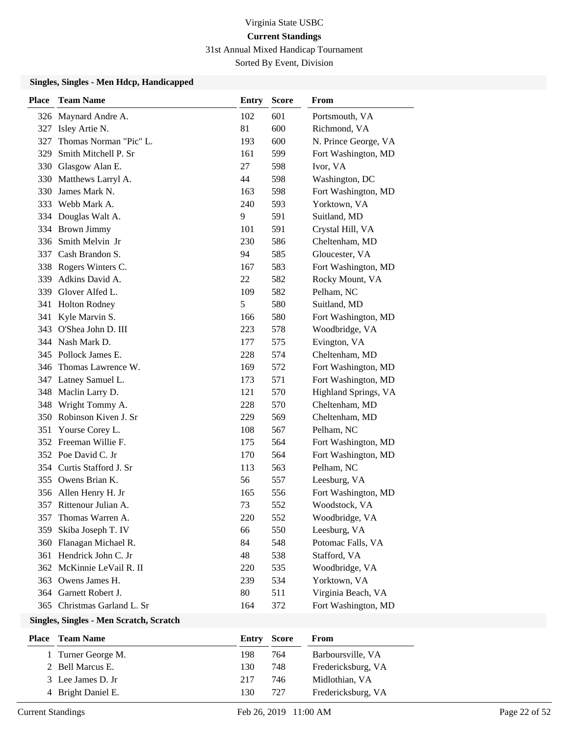31st Annual Mixed Handicap Tournament

Sorted By Event, Division

#### **Singles, Singles - Men Hdcp, Handicapped**

| <b>Place</b> | <b>Team Name</b>            | <b>Entry</b> | <b>Score</b> | From                 |
|--------------|-----------------------------|--------------|--------------|----------------------|
|              | 326 Maynard Andre A.        | 102          | 601          | Portsmouth, VA       |
|              | 327 Isley Artie N.          | 81           | 600          | Richmond, VA         |
| 327          | Thomas Norman "Pic" L.      | 193          | 600          | N. Prince George, VA |
| 329          | Smith Mitchell P. Sr        | 161          | 599          | Fort Washington, MD  |
|              | 330 Glasgow Alan E.         | 27           | 598          | Ivor, VA             |
|              | 330 Matthews Larryl A.      | 44           | 598          | Washington, DC       |
|              | 330 James Mark N.           | 163          | 598          | Fort Washington, MD  |
|              | 333 Webb Mark A.            | 240          | 593          | Yorktown, VA         |
|              | 334 Douglas Walt A.         | 9            | 591          | Suitland, MD         |
|              | 334 Brown Jimmy             | 101          | 591          | Crystal Hill, VA     |
|              | 336 Smith Melvin Jr         | 230          | 586          | Cheltenham, MD       |
|              | 337 Cash Brandon S.         | 94           | 585          | Gloucester, VA       |
|              | 338 Rogers Winters C.       | 167          | 583          | Fort Washington, MD  |
|              | 339 Adkins David A.         | 22           | 582          | Rocky Mount, VA      |
|              | 339 Glover Alfed L.         | 109          | 582          | Pelham, NC           |
|              | 341 Holton Rodney           | 5            | 580          | Suitland, MD         |
| 341          | Kyle Marvin S.              | 166          | 580          | Fort Washington, MD  |
|              | 343 O'Shea John D. III      | 223          | 578          | Woodbridge, VA       |
|              | 344 Nash Mark D.            | 177          | 575          | Evington, VA         |
|              | 345 Pollock James E.        | 228          | 574          | Cheltenham, MD       |
|              | 346 Thomas Lawrence W.      | 169          | 572          | Fort Washington, MD  |
|              | 347 Latney Samuel L.        | 173          | 571          | Fort Washington, MD  |
|              | 348 Maclin Larry D.         | 121          | 570          | Highland Springs, VA |
|              | 348 Wright Tommy A.         | 228          | 570          | Cheltenham, MD       |
|              | 350 Robinson Kiven J. Sr    | 229          | 569          | Cheltenham, MD       |
|              | 351 Yourse Corey L.         | 108          | 567          | Pelham, NC           |
|              | 352 Freeman Willie F.       | 175          | 564          | Fort Washington, MD  |
|              | 352 Poe David C. Jr         | 170          | 564          | Fort Washington, MD  |
|              | 354 Curtis Stafford J. Sr   | 113          | 563          | Pelham, NC           |
|              | 355 Owens Brian K.          | 56           | 557          | Leesburg, VA         |
|              | 356 Allen Henry H. Jr       | 165          | 556          | Fort Washington, MD  |
|              | 357 Rittenour Julian A.     | 73           | 552          | Woodstock, VA        |
| 357          | Thomas Warren A.            | 220          | 552          | Woodbridge, VA       |
| 359          | Skiba Joseph T. IV          | 66           | 550          | Leesburg, VA         |
|              | 360 Flanagan Michael R.     | 84           | 548          | Potomac Falls, VA    |
|              | 361 Hendrick John C. Jr     | 48           | 538          | Stafford, VA         |
|              | 362 McKinnie LeVail R. II   | 220          | 535          | Woodbridge, VA       |
| 363          | Owens James H.              | 239          | 534          | Yorktown, VA         |
|              | 364 Garnett Robert J.       | 80           | 511          | Virginia Beach, VA   |
|              | 365 Christmas Garland L. Sr | 164          | 372          | Fort Washington, MD  |
|              |                             |              |              |                      |

#### **Singles, Singles - Men Scratch, Scratch**

| Place | <b>Team Name</b>   |     | <b>Entry Score</b> | From               |
|-------|--------------------|-----|--------------------|--------------------|
|       | 1 Turner George M. | 198 | 764                | Barboursville, VA  |
|       | 2 Bell Marcus E.   | 130 | 748                | Fredericksburg, VA |
|       | 3 Lee James D. Jr  | 217 | 746                | Midlothian, VA     |
|       | 4 Bright Daniel E. | 130 | 727                | Fredericksburg, VA |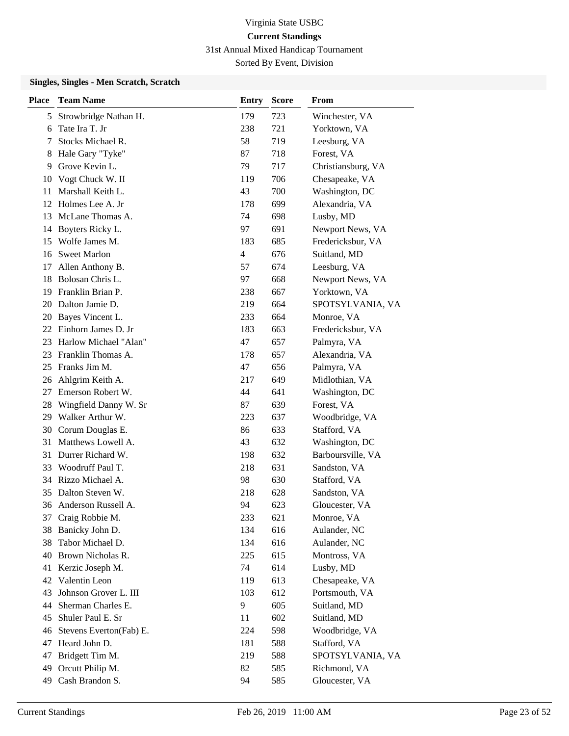31st Annual Mixed Handicap Tournament

Sorted By Event, Division

### **Singles, Singles - Men Scratch, Scratch**

| <b>Place</b> | <b>Team Name</b>        | Entry          | <b>Score</b> | From               |
|--------------|-------------------------|----------------|--------------|--------------------|
| 5            | Strowbridge Nathan H.   | 179            | 723          | Winchester, VA     |
| 6            | Tate Ira T. Jr          | 238            | 721          | Yorktown, VA       |
| 7            | Stocks Michael R.       | 58             | 719          | Leesburg, VA       |
| 8            | Hale Gary "Tyke"        | 87             | 718          | Forest, VA         |
| 9            | Grove Kevin L.          | 79             | 717          | Christiansburg, VA |
| 10           | Vogt Chuck W. II        | 119            | 706          | Chesapeake, VA     |
| 11           | Marshall Keith L.       | 43             | 700          | Washington, DC     |
| 12           | Holmes Lee A. Jr        | 178            | 699          | Alexandria, VA     |
| 13           | McLane Thomas A.        | 74             | 698          | Lusby, MD          |
| 14           | Boyters Ricky L.        | 97             | 691          | Newport News, VA   |
| 15           | Wolfe James M.          | 183            | 685          | Fredericksbur, VA  |
| 16           | <b>Sweet Marlon</b>     | $\overline{4}$ | 676          | Suitland, MD       |
| 17           | Allen Anthony B.        | 57             | 674          | Leesburg, VA       |
| 18           | Bolosan Chris L.        | 97             | 668          | Newport News, VA   |
| 19           | Franklin Brian P.       | 238            | 667          | Yorktown, VA       |
| 20           | Dalton Jamie D.         | 219            | 664          | SPOTSYLVANIA, VA   |
| 20           | Bayes Vincent L.        | 233            | 664          | Monroe, VA         |
| 22           | Einhorn James D. Jr     | 183            | 663          | Fredericksbur, VA  |
| 23           | Harlow Michael "Alan"   | 47             | 657          | Palmyra, VA        |
| 23           | Franklin Thomas A.      | 178            | 657          | Alexandria, VA     |
| 25           | Franks Jim M.           | 47             | 656          | Palmyra, VA        |
| 26           | Ahlgrim Keith A.        | 217            | 649          | Midlothian, VA     |
| 27           | Emerson Robert W.       | 44             | 641          | Washington, DC     |
| 28           | Wingfield Danny W. Sr   | 87             | 639          | Forest, VA         |
| 29           | Walker Arthur W.        | 223            | 637          | Woodbridge, VA     |
| 30           | Corum Douglas E.        | 86             | 633          | Stafford, VA       |
| 31           | Matthews Lowell A.      | 43             | 632          | Washington, DC     |
| 31           | Durrer Richard W.       | 198            | 632          | Barboursville, VA  |
| 33           | Woodruff Paul T.        | 218            | 631          | Sandston, VA       |
| 34           | Rizzo Michael A.        | 98             | 630          | Stafford, VA       |
| 35           | Dalton Steven W.        | 218            | 628          | Sandston, VA       |
|              | 36 Anderson Russell A.  | 94             | 623          | Gloucester, VA     |
| 37           | Craig Robbie M.         | 233            | 621          | Monroe, VA         |
| 38           | Banicky John D.         | 134            | 616          | Aulander, NC       |
| 38           | Tabor Michael D.        | 134            | 616          | Aulander, NC       |
| 40           | Brown Nicholas R.       | 225            | 615          | Montross, VA       |
| 41           | Kerzic Joseph M.        | 74             | 614          | Lusby, MD          |
| 42           | Valentin Leon           | 119            | 613          | Chesapeake, VA     |
| 43           | Johnson Grover L. III   | 103            | 612          | Portsmouth, VA     |
| 44           | Sherman Charles E.      | 9              | 605          | Suitland, MD       |
| 45           | Shuler Paul E. Sr       | 11             | 602          | Suitland, MD       |
| 46           | Stevens Everton(Fab) E. | 224            | 598          | Woodbridge, VA     |
| 47           | Heard John D.           | 181            | 588          | Stafford, VA       |
| 47           | Bridgett Tim M.         | 219            | 588          | SPOTSYLVANIA, VA   |
| 49           | Orcutt Philip M.        | 82             | 585          | Richmond, VA       |
| 49           | Cash Brandon S.         | 94             | 585          | Gloucester, VA     |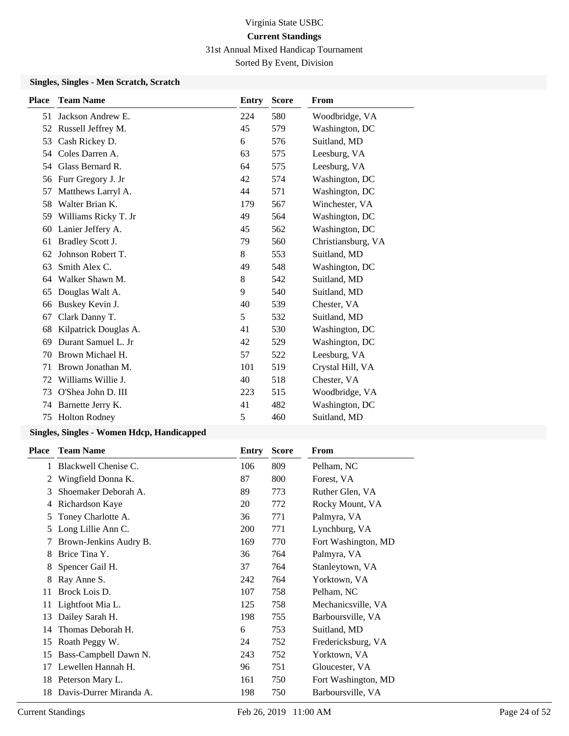31st Annual Mixed Handicap Tournament

Sorted By Event, Division

### **Singles, Singles - Men Scratch, Scratch**

| <b>Place</b> | <b>Team Name</b>      | <b>Entry</b> | <b>Score</b> | From               |
|--------------|-----------------------|--------------|--------------|--------------------|
| 51           | Jackson Andrew E.     | 224          | 580          | Woodbridge, VA     |
| 52           | Russell Jeffrey M.    | 45           | 579          | Washington, DC     |
| 53           | Cash Rickey D.        | 6            | 576          | Suitland, MD       |
| 54           | Coles Darren A.       | 63           | 575          | Leesburg, VA       |
| 54           | Glass Bernard R.      | 64           | 575          | Leesburg, VA       |
| 56           | Furr Gregory J. Jr    | 42           | 574          | Washington, DC     |
| 57           | Matthews Larryl A.    | 44           | 571          | Washington, DC     |
| 58           | Walter Brian K.       | 179          | 567          | Winchester, VA     |
| 59           | Williams Ricky T. Jr  | 49           | 564          | Washington, DC     |
| 60           | Lanier Jeffery A.     | 45           | 562          | Washington, DC     |
| 61           | Bradley Scott J.      | 79           | 560          | Christiansburg, VA |
| 62           | Johnson Robert T.     | 8            | 553          | Suitland, MD       |
| 63           | Smith Alex C.         | 49           | 548          | Washington, DC     |
| 64           | Walker Shawn M.       | 8            | 542          | Suitland, MD       |
| 65           | Douglas Walt A.       | 9            | 540          | Suitland, MD       |
| 66           | Buskey Kevin J.       | 40           | 539          | Chester, VA        |
| 67           | Clark Danny T.        | 5            | 532          | Suitland, MD       |
| 68           | Kilpatrick Douglas A. | 41           | 530          | Washington, DC     |
| 69           | Durant Samuel L. Jr   | 42           | 529          | Washington, DC     |
| 70           | Brown Michael H.      | 57           | 522          | Leesburg, VA       |
| 71           | Brown Jonathan M.     | 101          | 519          | Crystal Hill, VA   |
| 72           | Williams Willie J.    | 40           | 518          | Chester, VA        |
| 73           | O'Shea John D. III    | 223          | 515          | Woodbridge, VA     |
| 74           | Barnette Jerry K.     | 41           | 482          | Washington, DC     |
| 75           | <b>Holton Rodney</b>  | 5            | 460          | Suitland, MD       |

| <b>Place</b> | <b>Team Name</b>        | Entry      | <b>Score</b> | From                |
|--------------|-------------------------|------------|--------------|---------------------|
|              | Blackwell Chenise C.    | 106        | 809          | Pelham, NC          |
| 2            | Wingfield Donna K.      | 87         | 800          | Forest, VA          |
| 3            | Shoemaker Deborah A.    | 89         | 773          | Ruther Glen, VA     |
| 4            | Richardson Kaye         | 20         | 772          | Rocky Mount, VA     |
| 5            | Toney Charlotte A.      | 36         | 771          | Palmyra, VA         |
| 5            | Long Lillie Ann C.      | <b>200</b> | 771          | Lynchburg, VA       |
|              | Brown-Jenkins Audry B.  | 169        | 770          | Fort Washington, MD |
| 8            | Brice Tina Y.           | 36         | 764          | Palmyra, VA         |
| 8            | Spencer Gail H.         | 37         | 764          | Stanleytown, VA     |
| 8            | Ray Anne S.             | 242        | 764          | Yorktown, VA        |
| 11           | Brock Lois D.           | 107        | 758          | Pelham, NC          |
| 11           | Lightfoot Mia L.        | 125        | 758          | Mechanicsville, VA  |
| 13           | Dailey Sarah H.         | 198        | 755          | Barboursville, VA   |
| 14           | Thomas Deborah H.       | 6          | 753          | Suitland, MD        |
| 15           | Roath Peggy W.          | 24         | 752          | Fredericksburg, VA  |
| 15           | Bass-Campbell Dawn N.   | 243        | 752          | Yorktown, VA        |
| 17           | Lewellen Hannah H.      | 96         | 751          | Gloucester, VA      |
| 18           | Peterson Mary L.        | 161        | 750          | Fort Washington, MD |
| 18           | Davis-Durrer Miranda A. | 198        | 750          | Barboursville, VA   |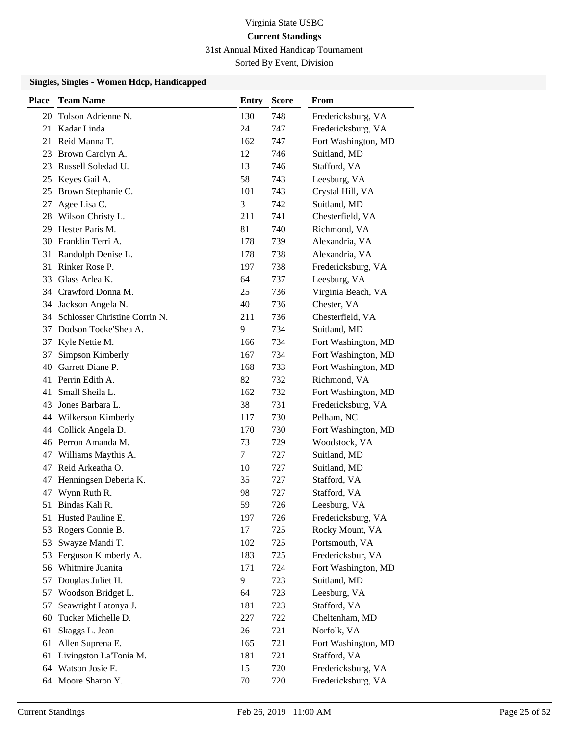31st Annual Mixed Handicap Tournament

Sorted By Event, Division

| <b>Place</b> | <b>Team Name</b>              | <b>Entry</b> | <b>Score</b> | From                |
|--------------|-------------------------------|--------------|--------------|---------------------|
|              | 20 Tolson Adrienne N.         | 130          | 748          | Fredericksburg, VA  |
| 21           | Kadar Linda                   | 24           | 747          | Fredericksburg, VA  |
| 21           | Reid Manna T.                 | 162          | 747          | Fort Washington, MD |
| 23           | Brown Carolyn A.              | 12           | 746          | Suitland, MD        |
| 23           | Russell Soledad U.            | 13           | 746          | Stafford, VA        |
| 25           | Keyes Gail A.                 | 58           | 743          | Leesburg, VA        |
| 25           | Brown Stephanie C.            | 101          | 743          | Crystal Hill, VA    |
| 27           | Agee Lisa C.                  | 3            | 742          | Suitland, MD        |
| 28           | Wilson Christy L.             | 211          | 741          | Chesterfield, VA    |
| 29.          | Hester Paris M.               | 81           | 740          | Richmond, VA        |
|              | 30 Franklin Terri A.          | 178          | 739          | Alexandria, VA      |
| 31           | Randolph Denise L.            | 178          | 738          | Alexandria, VA      |
| 31           | Rinker Rose P.                | 197          | 738          | Fredericksburg, VA  |
| 33           | Glass Arlea K.                | 64           | 737          | Leesburg, VA        |
|              | 34 Crawford Donna M.          | 25           | 736          | Virginia Beach, VA  |
| 34           | Jackson Angela N.             | 40           | 736          | Chester, VA         |
| 34           | Schlosser Christine Corrin N. | 211          | 736          | Chesterfield, VA    |
| 37           | Dodson Toeke'Shea A.          | 9            | 734          | Suitland, MD        |
| 37           | Kyle Nettie M.                | 166          | 734          | Fort Washington, MD |
| 37           | Simpson Kimberly              | 167          | 734          | Fort Washington, MD |
| 40           | Garrett Diane P.              | 168          | 733          | Fort Washington, MD |
| 41           | Perrin Edith A.               | 82           | 732          | Richmond, VA        |
| 41           | Small Sheila L.               | 162          | 732          | Fort Washington, MD |
| 43           | Jones Barbara L.              | 38           | 731          | Fredericksburg, VA  |
| 44           | Wilkerson Kimberly            | 117          | 730          | Pelham, NC          |
| 44           | Collick Angela D.             | 170          | 730          | Fort Washington, MD |
|              | 46 Perron Amanda M.           | 73           | 729          | Woodstock, VA       |
| 47           | Williams Maythis A.           | 7            | 727          | Suitland, MD        |
| 47           | Reid Arkeatha O.              | 10           | 727          | Suitland, MD        |
| 47           | Henningsen Deberia K.         | 35           | 727          | Stafford, VA        |
| 47           | Wynn Ruth R.                  | 98           | 727          | Stafford, VA        |
| 51           | Bindas Kali R.                | 59           | 726          | Leesburg, VA        |
|              | 51 Husted Pauline E.          | 197          | 726          | Fredericksburg, VA  |
| 53           | Rogers Connie B.              | 17           | 725          | Rocky Mount, VA     |
| 53           | Swayze Mandi T.               | 102          | 725          | Portsmouth, VA      |
| 53           | Ferguson Kimberly A.          | 183          | 725          | Fredericksbur, VA   |
| 56           | Whitmire Juanita              | 171          | 724          | Fort Washington, MD |
| 57           | Douglas Juliet H.             | 9            | 723          | Suitland, MD        |
| 57           | Woodson Bridget L.            | 64           | 723          | Leesburg, VA        |
| 57           | Seawright Latonya J.          | 181          | 723          | Stafford, VA        |
| 60           | Tucker Michelle D.            | 227          | 722          | Cheltenham, MD      |
| 61           | Skaggs L. Jean                | 26           | 721          | Norfolk, VA         |
| 61           | Allen Suprena E.              | 165          | 721          | Fort Washington, MD |
| 61           | Livingston La'Tonia M.        | 181          | 721          | Stafford, VA        |
| 64           | Watson Josie F.               | 15           | 720          | Fredericksburg, VA  |
| 64           | Moore Sharon Y.               | 70           | 720          | Fredericksburg, VA  |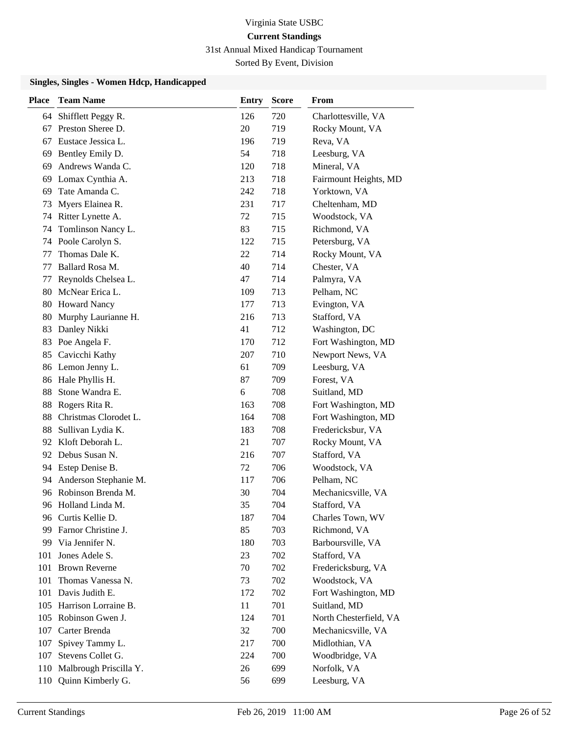31st Annual Mixed Handicap Tournament

Sorted By Event, Division

| <b>Place</b> | <b>Team Name</b>         | <b>Entry</b> | <b>Score</b> | From                   |
|--------------|--------------------------|--------------|--------------|------------------------|
| 64           | Shifflett Peggy R.       | 126          | 720          | Charlottesville, VA    |
| 67           | Preston Sheree D.        | 20           | 719          | Rocky Mount, VA        |
| 67           | Eustace Jessica L.       | 196          | 719          | Reva, VA               |
| 69           | Bentley Emily D.         | 54           | 718          | Leesburg, VA           |
| 69           | Andrews Wanda C.         | 120          | 718          | Mineral, VA            |
| 69           | Lomax Cynthia A.         | 213          | 718          | Fairmount Heights, MD  |
| 69           | Tate Amanda C.           | 242          | 718          | Yorktown, VA           |
| 73           | Myers Elainea R.         | 231          | 717          | Cheltenham, MD         |
| 74           | Ritter Lynette A.        | 72           | 715          | Woodstock, VA          |
| 74           | Tomlinson Nancy L.       | 83           | 715          | Richmond, VA           |
|              | 74 Poole Carolyn S.      | 122          | 715          | Petersburg, VA         |
| 77           | Thomas Dale K.           | 22           | 714          | Rocky Mount, VA        |
| 77           | Ballard Rosa M.          | 40           | 714          | Chester, VA            |
| 77           | Reynolds Chelsea L.      | 47           | 714          | Palmyra, VA            |
| 80           | McNear Erica L.          | 109          | 713          | Pelham, NC             |
| 80           | <b>Howard Nancy</b>      | 177          | 713          | Evington, VA           |
| 80           | Murphy Laurianne H.      | 216          | 713          | Stafford, VA           |
| 83           | Danley Nikki             | 41           | 712          | Washington, DC         |
| 83           | Poe Angela F.            | 170          | 712          | Fort Washington, MD    |
| 85           | Cavicchi Kathy           | 207          | 710          | Newport News, VA       |
|              | 86 Lemon Jenny L.        | 61           | 709          | Leesburg, VA           |
| 86           | Hale Phyllis H.          | 87           | 709          | Forest, VA             |
| 88           | Stone Wandra E.          | 6            | 708          | Suitland, MD           |
| 88           | Rogers Rita R.           | 163          | 708          | Fort Washington, MD    |
| 88           | Christmas Clorodet L.    | 164          | 708          | Fort Washington, MD    |
| 88           | Sullivan Lydia K.        | 183          | 708          | Fredericksbur, VA      |
|              | 92 Kloft Deborah L.      | 21           | 707          | Rocky Mount, VA        |
|              | 92 Debus Susan N.        | 216          | 707          | Stafford, VA           |
| 94           | Estep Denise B.          | 72           | 706          | Woodstock, VA          |
| 94           | Anderson Stephanie M.    | 117          | 706          | Pelham, NC             |
| 96           | Robinson Brenda M.       | 30           | 704          | Mechanicsville, VA     |
|              | 96 Holland Linda M.      | 35           | 704          | Stafford, VA           |
|              | 96 Curtis Kellie D.      | 187          | 704          | Charles Town, WV       |
| 99.          | Farnor Christine J.      | 85           | 703          | Richmond, VA           |
|              | 99 Via Jennifer N.       | 180          | 703          | Barboursville, VA      |
| 101          | Jones Adele S.           | 23           | 702          | Stafford, VA           |
| 101          | <b>Brown Reverne</b>     | 70           | 702          | Fredericksburg, VA     |
| 101          | Thomas Vanessa N.        | 73           | 702          | Woodstock, VA          |
| 101          | Davis Judith E.          | 172          | 702          | Fort Washington, MD    |
|              | 105 Harrison Lorraine B. | 11           | 701          | Suitland, MD           |
|              | 105 Robinson Gwen J.     | 124          | 701          | North Chesterfield, VA |
| 107          | Carter Brenda            | 32           | 700          | Mechanicsville, VA     |
| 107          | Spivey Tammy L.          | 217          | 700          | Midlothian, VA         |
| 107          | Stevens Collet G.        | 224          | 700          | Woodbridge, VA         |
| 110          | Malbrough Priscilla Y.   | 26           | 699          | Norfolk, VA            |
| 110          | Quinn Kimberly G.        | 56           | 699          | Leesburg, VA           |
|              |                          |              |              |                        |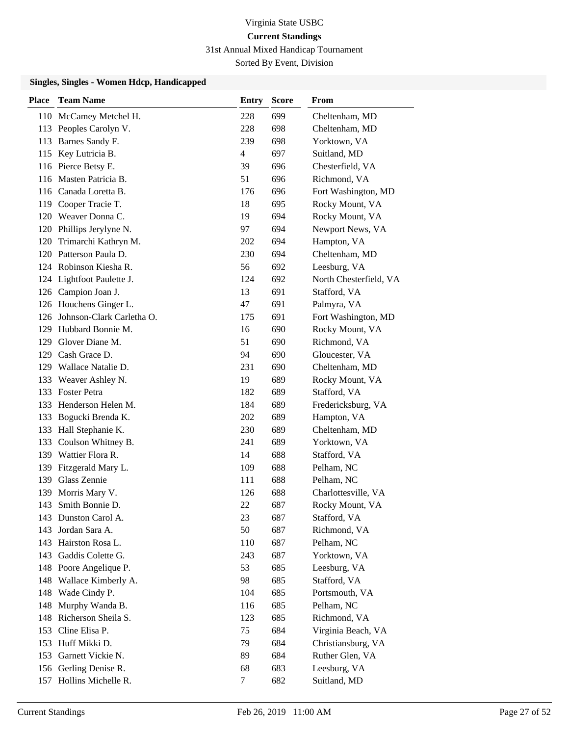31st Annual Mixed Handicap Tournament

Sorted By Event, Division

| <b>Place</b> | <b>Team Name</b>              | <b>Entry</b> | <b>Score</b> | From                   |
|--------------|-------------------------------|--------------|--------------|------------------------|
|              | 110 McCamey Metchel H.        | 228          | 699          | Cheltenham, MD         |
|              | 113 Peoples Carolyn V.        | 228          | 698          | Cheltenham, MD         |
| 113          | Barnes Sandy F.               | 239          | 698          | Yorktown, VA           |
| 115          | Key Lutricia B.               | 4            | 697          | Suitland, MD           |
|              | 116 Pierce Betsy E.           | 39           | 696          | Chesterfield, VA       |
|              | 116 Masten Patricia B.        | 51           | 696          | Richmond, VA           |
|              | 116 Canada Loretta B.         | 176          | 696          | Fort Washington, MD    |
|              | 119 Cooper Tracie T.          | 18           | 695          | Rocky Mount, VA        |
|              | 120 Weaver Donna C.           | 19           | 694          | Rocky Mount, VA        |
|              | 120 Phillips Jerylyne N.      | 97           | 694          | Newport News, VA       |
|              | 120 Trimarchi Kathryn M.      | 202          | 694          | Hampton, VA            |
|              | 120 Patterson Paula D.        | 230          | 694          | Cheltenham, MD         |
|              | 124 Robinson Kiesha R.        | 56           | 692          | Leesburg, VA           |
|              | 124 Lightfoot Paulette J.     | 124          | 692          | North Chesterfield, VA |
|              | 126 Campion Joan J.           | 13           | 691          | Stafford, VA           |
|              | 126 Houchens Ginger L.        | 47           | 691          | Palmyra, VA            |
|              | 126 Johnson-Clark Carletha O. | 175          | 691          | Fort Washington, MD    |
| 129          | Hubbard Bonnie M.             | 16           | 690          | Rocky Mount, VA        |
| 129          | Glover Diane M.               | 51           | 690          | Richmond, VA           |
| 129          | Cash Grace D.                 | 94           | 690          | Gloucester, VA         |
| 129          | Wallace Natalie D.            | 231          | 690          | Cheltenham, MD         |
| 133          | Weaver Ashley N.              | 19           | 689          | Rocky Mount, VA        |
|              | 133 Foster Petra              | 182          | 689          | Stafford, VA           |
| 133          | Henderson Helen M.            | 184          | 689          | Fredericksburg, VA     |
| 133          | Bogucki Brenda K.             | 202          | 689          | Hampton, VA            |
| 133          | Hall Stephanie K.             | 230          | 689          | Cheltenham, MD         |
| 133          | Coulson Whitney B.            | 241          | 689          | Yorktown, VA           |
| 139          | Wattier Flora R.              | 14           | 688          | Stafford, VA           |
| 139          | Fitzgerald Mary L.            | 109          | 688          | Pelham, NC             |
| 139          | Glass Zennie                  | 111          | 688          | Pelham, NC             |
| 139          | Morris Mary V.                | 126          | 688          | Charlottesville, VA    |
| 143          | Smith Bonnie D.               | 22           | 687          | Rocky Mount, VA        |
|              | 143 Dunston Carol A.          | 23           | 687          | Stafford, VA           |
| 143          | Jordan Sara A.                | 50           | 687          | Richmond, VA           |
| 143          | Hairston Rosa L.              | 110          | 687          | Pelham, NC             |
| 143          | Gaddis Colette G.             | 243          | 687          | Yorktown, VA           |
| 148          | Poore Angelique P.            | 53           | 685          | Leesburg, VA           |
| 148          | Wallace Kimberly A.           | 98           | 685          | Stafford, VA           |
| 148          | Wade Cindy P.                 | 104          | 685          | Portsmouth, VA         |
| 148          | Murphy Wanda B.               | 116          | 685          | Pelham, NC             |
| 148          | Richerson Sheila S.           | 123          | 685          | Richmond, VA           |
| 153          | Cline Elisa P.                | 75           | 684          | Virginia Beach, VA     |
| 153          | Huff Mikki D.                 | 79           | 684          | Christiansburg, VA     |
| 153          | Garnett Vickie N.             | 89           | 684          | Ruther Glen, VA        |
| 156          | Gerling Denise R.             | 68           | 683          | Leesburg, VA           |
| 157          | Hollins Michelle R.           | $\tau$       | 682          | Suitland, MD           |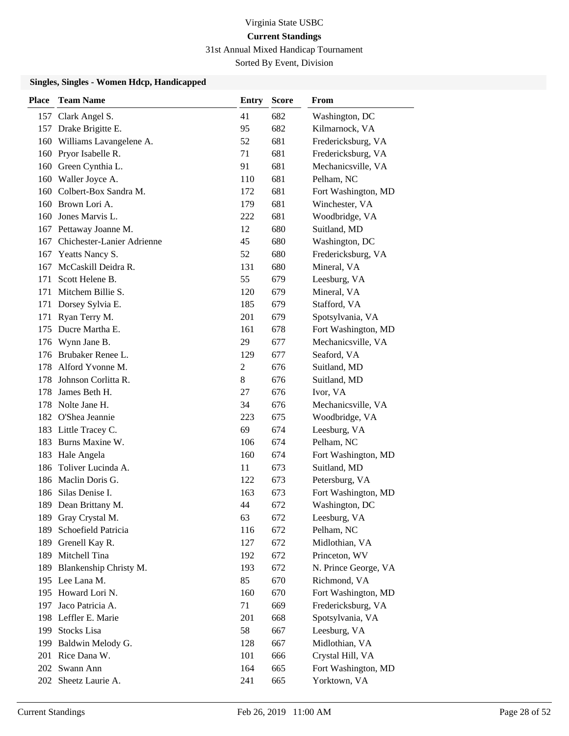31st Annual Mixed Handicap Tournament

Sorted By Event, Division

| Place | <b>Team Name</b>               | Entry | <b>Score</b> | From                 |
|-------|--------------------------------|-------|--------------|----------------------|
|       | 157 Clark Angel S.             | 41    | 682          | Washington, DC       |
|       | 157 Drake Brigitte E.          | 95    | 682          | Kilmarnock, VA       |
|       | 160 Williams Lavangelene A.    | 52    | 681          | Fredericksburg, VA   |
|       | 160 Pryor Isabelle R.          | 71    | 681          | Fredericksburg, VA   |
|       | 160 Green Cynthia L.           | 91    | 681          | Mechanicsville, VA   |
|       | 160 Waller Joyce A.            | 110   | 681          | Pelham, NC           |
|       | 160 Colbert-Box Sandra M.      | 172   | 681          | Fort Washington, MD  |
|       | 160 Brown Lori A.              | 179   | 681          | Winchester, VA       |
| 160   | Jones Marvis L.                | 222   | 681          | Woodbridge, VA       |
|       | 167 Pettaway Joanne M.         | 12    | 680          | Suitland, MD         |
|       | 167 Chichester-Lanier Adrienne | 45    | 680          | Washington, DC       |
| 167   | Yeatts Nancy S.                | 52    | 680          | Fredericksburg, VA   |
|       | 167 McCaskill Deidra R.        | 131   | 680          | Mineral, VA          |
| 171   | Scott Helene B.                | 55    | 679          | Leesburg, VA         |
| 171   | Mitchem Billie S.              | 120   | 679          | Mineral, VA          |
|       | 171 Dorsey Sylvia E.           | 185   | 679          | Stafford, VA         |
| 171   | Ryan Terry M.                  | 201   | 679          | Spotsylvania, VA     |
| 175   | Ducre Martha E.                | 161   | 678          | Fort Washington, MD  |
|       | 176 Wynn Jane B.               | 29    | 677          | Mechanicsville, VA   |
|       | 176 Brubaker Renee L.          | 129   | 677          | Seaford, VA          |
| 178   | Alford Yvonne M.               | 2     | 676          | Suitland, MD         |
|       | 178 Johnson Corlitta R.        | 8     | 676          | Suitland, MD         |
| 178   | James Beth H.                  | 27    | 676          | Ivor, VA             |
|       | 178 Nolte Jane H.              | 34    | 676          | Mechanicsville, VA   |
|       | 182 O'Shea Jeannie             | 223   | 675          | Woodbridge, VA       |
|       | 183 Little Tracey C.           | 69    | 674          | Leesburg, VA         |
| 183   | Burns Maxine W.                | 106   | 674          | Pelham, NC           |
| 183   | Hale Angela                    | 160   | 674          | Fort Washington, MD  |
| 186   | Toliver Lucinda A.             | 11    | 673          | Suitland, MD         |
|       | 186 Maclin Doris G.            | 122   | 673          | Petersburg, VA       |
|       | 186 Silas Denise I.            | 163   | 673          | Fort Washington, MD  |
|       | 189 Dean Brittany M.           | 44    | 672          | Washington, DC       |
|       | 189 Gray Crystal M.            | 63    | 672          | Leesburg, VA         |
| 189   | Schoefield Patricia            | 116   | 672          | Pelham, NC           |
|       | 189 Grenell Kay R.             | 127   | 672          | Midlothian, VA       |
| 189   | Mitchell Tina                  | 192   | 672          | Princeton, WV        |
| 189   | Blankenship Christy M.         | 193   | 672          | N. Prince George, VA |
|       | 195 Lee Lana M.                | 85    | 670          | Richmond, VA         |
|       | 195 Howard Lori N.             | 160   | 670          | Fort Washington, MD  |
| 197   | Jaco Patricia A.               | 71    | 669          | Fredericksburg, VA   |
|       | 198 Leffler E. Marie           | 201   | 668          | Spotsylvania, VA     |
| 199   | Stocks Lisa                    | 58    | 667          | Leesburg, VA         |
|       | 199 Baldwin Melody G.          | 128   | 667          | Midlothian, VA       |
|       | 201 Rice Dana W.               | 101   | 666          | Crystal Hill, VA     |
|       | 202 Swann Ann                  | 164   | 665          | Fort Washington, MD  |
|       | 202 Sheetz Laurie A.           | 241   | 665          | Yorktown, VA         |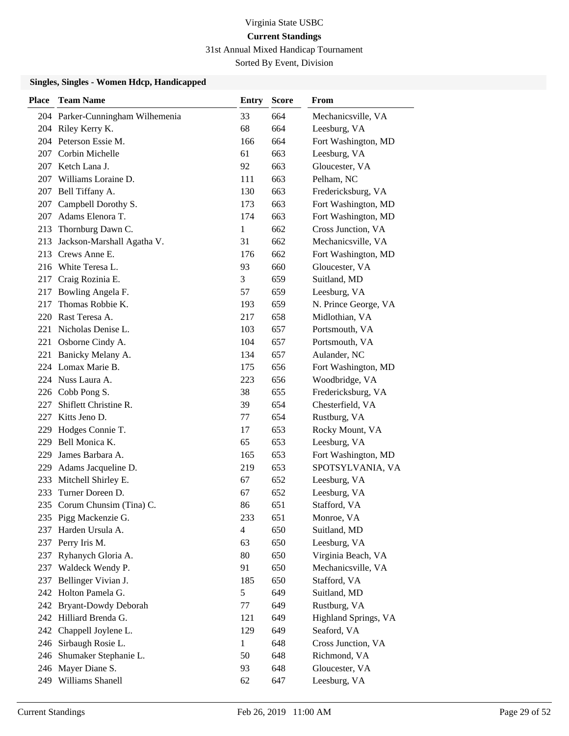31st Annual Mixed Handicap Tournament

Sorted By Event, Division

| Place | <b>Team Name</b>                 | <b>Entry</b>   | <b>Score</b> | From                 |
|-------|----------------------------------|----------------|--------------|----------------------|
|       | 204 Parker-Cunningham Wilhemenia | 33             | 664          | Mechanicsville, VA   |
|       | 204 Riley Kerry K.               | 68             | 664          | Leesburg, VA         |
|       | 204 Peterson Essie M.            | 166            | 664          | Fort Washington, MD  |
| 207   | Corbin Michelle                  | 61             | 663          | Leesburg, VA         |
|       | 207 Ketch Lana J.                | 92             | 663          | Gloucester, VA       |
| 207   | Williams Loraine D.              | 111            | 663          | Pelham, NC           |
|       | 207 Bell Tiffany A.              | 130            | 663          | Fredericksburg, VA   |
| 207   | Campbell Dorothy S.              | 173            | 663          | Fort Washington, MD  |
| 207   | Adams Elenora T.                 | 174            | 663          | Fort Washington, MD  |
| 213   | Thornburg Dawn C.                | 1              | 662          | Cross Junction, VA   |
| 213   | Jackson-Marshall Agatha V.       | 31             | 662          | Mechanicsville, VA   |
| 213   | Crews Anne E.                    | 176            | 662          | Fort Washington, MD  |
|       | 216 White Teresa L.              | 93             | 660          | Gloucester, VA       |
| 217   | Craig Rozinia E.                 | 3              | 659          | Suitland, MD         |
| 217   | Bowling Angela F.                | 57             | 659          | Leesburg, VA         |
| 217   | Thomas Robbie K.                 | 193            | 659          | N. Prince George, VA |
|       | 220 Rast Teresa A.               | 217            | 658          | Midlothian, VA       |
| 221   | Nicholas Denise L.               | 103            | 657          | Portsmouth, VA       |
| 221   | Osborne Cindy A.                 | 104            | 657          | Portsmouth, VA       |
| 221   | Banicky Melany A.                | 134            | 657          | Aulander, NC         |
|       | 224 Lomax Marie B.               | 175            | 656          | Fort Washington, MD  |
|       | 224 Nuss Laura A.                | 223            | 656          | Woodbridge, VA       |
|       | 226 Cobb Pong S.                 | 38             | 655          | Fredericksburg, VA   |
| 227   | Shiflett Christine R.            | 39             | 654          | Chesterfield, VA     |
| 227   | Kitts Jeno D.                    | 77             | 654          | Rustburg, VA         |
| 229   | Hodges Connie T.                 | 17             | 653          | Rocky Mount, VA      |
| 229   | Bell Monica K.                   | 65             | 653          | Leesburg, VA         |
| 229   | James Barbara A.                 | 165            | 653          | Fort Washington, MD  |
| 229   | Adams Jacqueline D.              | 219            | 653          | SPOTSYLVANIA, VA     |
| 233   | Mitchell Shirley E.              | 67             | 652          | Leesburg, VA         |
| 233   | Turner Doreen D.                 | 67             | 652          | Leesburg, VA         |
| 235   | Corum Chunsim (Tina) C.          | 86             | 651          | Stafford, VA         |
|       | 235 Pigg Mackenzie G.            | 233            | 651          | Monroe, VA           |
| 237   | Harden Ursula A.                 | $\overline{4}$ | 650          | Suitland, MD         |
|       | 237 Perry Iris M.                | 63             | 650          | Leesburg, VA         |
| 237   | Ryhanych Gloria A.               | 80             | 650          | Virginia Beach, VA   |
|       | 237 Waldeck Wendy P.             | 91             | 650          | Mechanicsville, VA   |
| 237   | Bellinger Vivian J.              | 185            | 650          | Stafford, VA         |
|       | 242 Holton Pamela G.             | 5              | 649          | Suitland, MD         |
|       | 242 Bryant-Dowdy Deborah         | 77             | 649          | Rustburg, VA         |
|       | 242 Hilliard Brenda G.           | 121            | 649          | Highland Springs, VA |
| 242   | Chappell Joylene L.              | 129            | 649          | Seaford, VA          |
| 246   | Sirbaugh Rosie L.                | $\mathbf{1}$   | 648          | Cross Junction, VA   |
| 246   | Shumaker Stephanie L.            | 50             | 648          | Richmond, VA         |
|       | 246 Mayer Diane S.               | 93             | 648          | Gloucester, VA       |
| 249   | Williams Shanell                 | 62             | 647          | Leesburg, VA         |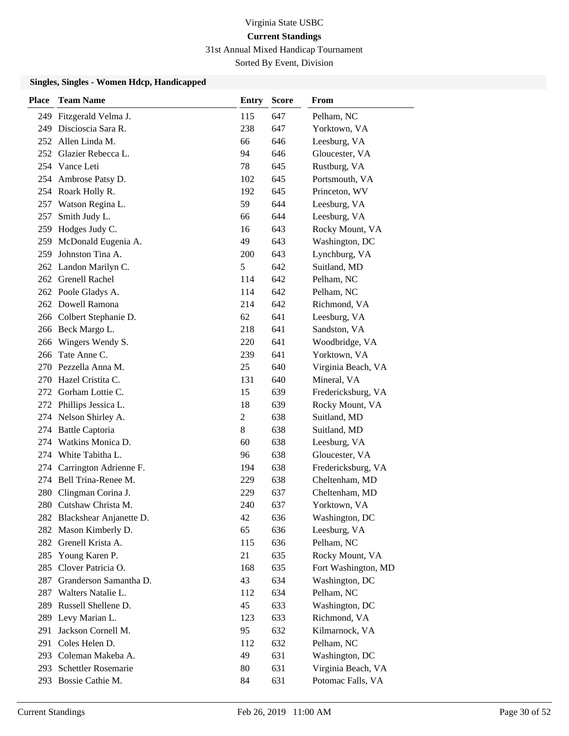31st Annual Mixed Handicap Tournament

Sorted By Event, Division

| <b>Place</b> | <b>Team Name</b>            | <b>Entry</b> | <b>Score</b> | From                |
|--------------|-----------------------------|--------------|--------------|---------------------|
| 249          | Fitzgerald Velma J.         | 115          | 647          | Pelham, NC          |
| 249          | Discioscia Sara R.          | 238          | 647          | Yorktown, VA        |
|              | 252 Allen Linda M.          | 66           | 646          | Leesburg, VA        |
|              | 252 Glazier Rebecca L.      | 94           | 646          | Gloucester, VA      |
|              | 254 Vance Leti              | 78           | 645          | Rustburg, VA        |
|              | 254 Ambrose Patsy D.        | 102          | 645          | Portsmouth, VA      |
|              | 254 Roark Holly R.          | 192          | 645          | Princeton, WV       |
|              | 257 Watson Regina L.        | 59           | 644          | Leesburg, VA        |
| 257          | Smith Judy L.               | 66           | 644          | Leesburg, VA        |
| 259          | Hodges Judy C.              | 16           | 643          | Rocky Mount, VA     |
|              | 259 McDonald Eugenia A.     | 49           | 643          | Washington, DC      |
| 259          | Johnston Tina A.            | 200          | 643          | Lynchburg, VA       |
|              | 262 Landon Marilyn C.       | 5            | 642          | Suitland, MD        |
|              | 262 Grenell Rachel          | 114          | 642          | Pelham, NC          |
|              | 262 Poole Gladys A.         | 114          | 642          | Pelham, NC          |
|              | 262 Dowell Ramona           | 214          | 642          | Richmond, VA        |
|              | 266 Colbert Stephanie D.    | 62           | 641          | Leesburg, VA        |
|              | 266 Beck Margo L.           | 218          | 641          | Sandston, VA        |
|              | 266 Wingers Wendy S.        | 220          | 641          | Woodbridge, VA      |
| 266          | Tate Anne C.                | 239          | 641          | Yorktown, VA        |
|              | 270 Pezzella Anna M.        | 25           | 640          | Virginia Beach, VA  |
|              | 270 Hazel Cristita C.       | 131          | 640          | Mineral, VA         |
|              | 272 Gorham Lottie C.        | 15           | 639          | Fredericksburg, VA  |
|              | 272 Phillips Jessica L.     | 18           | 639          | Rocky Mount, VA     |
|              | 274 Nelson Shirley A.       | 2            | 638          | Suitland, MD        |
|              | 274 Battle Captoria         | 8            | 638          | Suitland, MD        |
|              | 274 Watkins Monica D.       | 60           | 638          | Leesburg, VA        |
|              | 274 White Tabitha L.        | 96           | 638          | Gloucester, VA      |
|              | 274 Carrington Adrienne F.  | 194          | 638          | Fredericksburg, VA  |
|              | 274 Bell Trina-Renee M.     | 229          | 638          | Cheltenham, MD      |
|              | 280 Clingman Corina J.      | 229          | 637          | Cheltenham, MD      |
|              | 280 Cutshaw Christa M.      | 240          | 637          | Yorktown, VA        |
|              | 282 Blackshear Anjanette D. | 42           | 636          | Washington, DC      |
|              | 282 Mason Kimberly D.       | 65           | 636          | Leesburg, VA        |
|              | 282 Grenell Krista A.       | 115          | 636          | Pelham, NC          |
| 285          | Young Karen P.              | 21           | 635          | Rocky Mount, VA     |
| 285          | Clover Patricia O.          | 168          | 635          | Fort Washington, MD |
| 287          | Granderson Samantha D.      | 43           | 634          | Washington, DC      |
| 287          | Walters Natalie L.          | 112          | 634          | Pelham, NC          |
| 289          | Russell Shellene D.         | 45           | 633          | Washington, DC      |
|              | 289 Levy Marian L.          | 123          | 633          | Richmond, VA        |
| 291          | Jackson Cornell M.          | 95           | 632          | Kilmarnock, VA      |
|              | 291 Coles Helen D.          | 112          | 632          | Pelham, NC          |
|              | 293 Coleman Makeba A.       | 49           | 631          | Washington, DC      |
| 293          | Schettler Rosemarie         | 80           | 631          | Virginia Beach, VA  |
| 293          | Bossie Cathie M.            | 84           | 631          | Potomac Falls, VA   |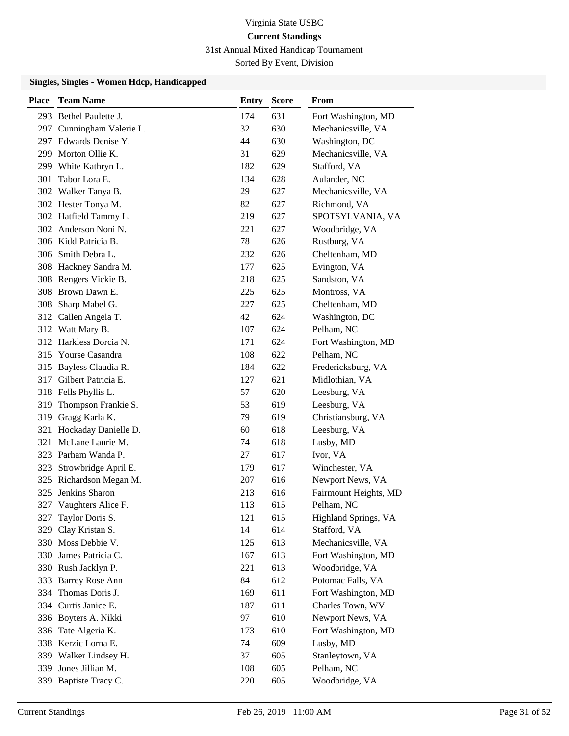31st Annual Mixed Handicap Tournament

Sorted By Event, Division

| <b>Place</b> | <b>Team Name</b>        | <b>Entry</b> | <b>Score</b> | From                  |
|--------------|-------------------------|--------------|--------------|-----------------------|
|              | 293 Bethel Paulette J.  | 174          | 631          | Fort Washington, MD   |
| 297          | Cunningham Valerie L.   | 32           | 630          | Mechanicsville, VA    |
|              | 297 Edwards Denise Y.   | 44           | 630          | Washington, DC        |
| 299          | Morton Ollie K.         | 31           | 629          | Mechanicsville, VA    |
|              | 299 White Kathryn L.    | 182          | 629          | Stafford, VA          |
| 301          | Tabor Lora E.           | 134          | 628          | Aulander, NC          |
|              | 302 Walker Tanya B.     | 29           | 627          | Mechanicsville, VA    |
|              | 302 Hester Tonya M.     | 82           | 627          | Richmond, VA          |
|              | 302 Hatfield Tammy L.   | 219          | 627          | SPOTSYLVANIA, VA      |
|              | 302 Anderson Noni N.    | 221          | 627          | Woodbridge, VA        |
|              | 306 Kidd Patricia B.    | 78           | 626          | Rustburg, VA          |
|              | 306 Smith Debra L.      | 232          | 626          | Cheltenham, MD        |
|              | 308 Hackney Sandra M.   | 177          | 625          | Evington, VA          |
|              | 308 Rengers Vickie B.   | 218          | 625          | Sandston, VA          |
|              | 308 Brown Dawn E.       | 225          | 625          | Montross, VA          |
|              | 308 Sharp Mabel G.      | 227          | 625          | Cheltenham, MD        |
|              | 312 Callen Angela T.    | 42           | 624          | Washington, DC        |
|              | 312 Watt Mary B.        | 107          | 624          | Pelham, NC            |
|              | 312 Harkless Dorcia N.  | 171          | 624          | Fort Washington, MD   |
|              | 315 Yourse Casandra     | 108          | 622          | Pelham, NC            |
| 315          | Bayless Claudia R.      | 184          | 622          | Fredericksburg, VA    |
| 317          | Gilbert Patricia E.     | 127          | 621          | Midlothian, VA        |
|              | 318 Fells Phyllis L.    | 57           | 620          | Leesburg, VA          |
| 319          | Thompson Frankie S.     | 53           | 619          | Leesburg, VA          |
| 319          | Gragg Karla K.          | 79           | 619          | Christiansburg, VA    |
| 321          | Hockaday Danielle D.    | 60           | 618          | Leesburg, VA          |
| 321          | McLane Laurie M.        | 74           | 618          | Lusby, MD             |
|              | 323 Parham Wanda P.     | 27           | 617          | Ivor, VA              |
| 323          | Strowbridge April E.    | 179          | 617          | Winchester, VA        |
|              | 325 Richardson Megan M. | 207          | 616          | Newport News, VA      |
| 325          | Jenkins Sharon          | 213          | 616          | Fairmount Heights, MD |
| 327          | Vaughters Alice F.      | 113          | 615          | Pelham, NC            |
| 327          | Taylor Doris S.         | 121          | 615          | Highland Springs, VA  |
| 329          | Clay Kristan S.         | 14           | 614          | Stafford, VA          |
|              | 330 Moss Debbie V.      | 125          | 613          | Mechanicsville, VA    |
|              | 330 James Patricia C.   | 167          | 613          | Fort Washington, MD   |
|              | 330 Rush Jacklyn P.     | 221          | 613          | Woodbridge, VA        |
| 333          | <b>Barrey Rose Ann</b>  | 84           | 612          | Potomac Falls, VA     |
| 334          | Thomas Doris J.         | 169          | 611          | Fort Washington, MD   |
| 334          | Curtis Janice E.        | 187          | 611          | Charles Town, WV      |
|              | 336 Boyters A. Nikki    | 97           | 610          | Newport News, VA      |
| 336          | Tate Algeria K.         | 173          | 610          | Fort Washington, MD   |
|              | 338 Kerzic Lorna E.     | 74           | 609          | Lusby, MD             |
| 339          | Walker Lindsey H.       | 37           | 605          | Stanleytown, VA       |
| 339          | Jones Jillian M.        | 108          | 605          | Pelham, NC            |
| 339          | Baptiste Tracy C.       | 220          | 605          | Woodbridge, VA        |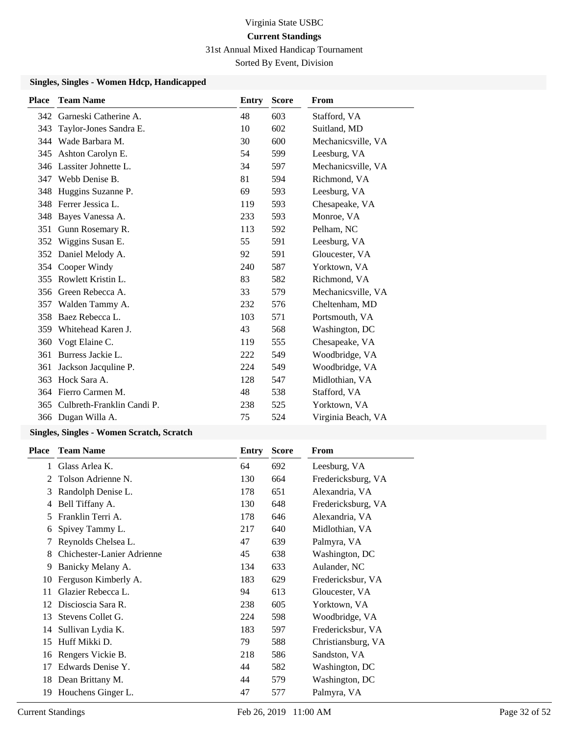31st Annual Mixed Handicap Tournament

Sorted By Event, Division

### **Singles, Singles - Women Hdcp, Handicapped**

| <b>Place</b> | <b>Team Name</b>           | Entry | <b>Score</b> | <b>From</b>        |
|--------------|----------------------------|-------|--------------|--------------------|
| 342          | Garneski Catherine A.      | 48    | 603          | Stafford, VA       |
| 343          | Taylor-Jones Sandra E.     | 10    | 602          | Suitland, MD       |
| 344          | Wade Barbara M.            | 30    | 600          | Mechanicsville, VA |
| 345          | Ashton Carolyn E.          | 54    | 599          | Leesburg, VA       |
| 346          | Lassiter Johnette L.       | 34    | 597          | Mechanicsville, VA |
| 347          | Webb Denise B.             | 81    | 594          | Richmond, VA       |
| 348          | Huggins Suzanne P.         | 69    | 593          | Leesburg, VA       |
| 348          | Ferrer Jessica L.          | 119   | 593          | Chesapeake, VA     |
| 348          | Bayes Vanessa A.           | 233   | 593          | Monroe, VA         |
| 351          | Gunn Rosemary R.           | 113   | 592          | Pelham, NC         |
| 352          | Wiggins Susan E.           | 55    | 591          | Leesburg, VA       |
| 352          | Daniel Melody A.           | 92    | 591          | Gloucester, VA     |
| 354          | Cooper Windy               | 240   | 587          | Yorktown, VA       |
| 355          | Rowlett Kristin L.         | 83    | 582          | Richmond, VA       |
| 356          | Green Rebecca A.           | 33    | 579          | Mechanicsville, VA |
| 357          | Walden Tammy A.            | 232   | 576          | Cheltenham, MD     |
| 358          | Baez Rebecca L.            | 103   | 571          | Portsmouth, VA     |
| 359          | Whitehead Karen J.         | 43    | 568          | Washington, DC     |
| 360          | Vogt Elaine C.             | 119   | 555          | Chesapeake, VA     |
| 361          | Burress Jackie L.          | 222   | 549          | Woodbridge, VA     |
| 361          | Jackson Jacquline P.       | 224   | 549          | Woodbridge, VA     |
| 363          | Hock Sara A.               | 128   | 547          | Midlothian, VA     |
| 364          | Fierro Carmen M.           | 48    | 538          | Stafford, VA       |
| 365          | Culbreth-Franklin Candi P. | 238   | 525          | Yorktown, VA       |
|              | 366 Dugan Willa A.         | 75    | 524          | Virginia Beach, VA |
|              |                            |       |              |                    |

### **Singles, Singles - Women Scratch, Scratch**

| <b>Place</b> | <b>Team Name</b>           | Entry | <b>Score</b> | From               |
|--------------|----------------------------|-------|--------------|--------------------|
| 1            | Glass Arlea K.             | 64    | 692          | Leesburg, VA       |
| 2            | Tolson Adrienne N.         | 130   | 664          | Fredericksburg, VA |
| 3            | Randolph Denise L.         | 178   | 651          | Alexandria, VA     |
| 4            | Bell Tiffany A.            | 130   | 648          | Fredericksburg, VA |
| 5            | Franklin Terri A.          | 178   | 646          | Alexandria, VA     |
| 6            | Spivey Tammy L.            | 217   | 640          | Midlothian, VA     |
| 7            | Reynolds Chelsea L.        | 47    | 639          | Palmyra, VA        |
| 8            | Chichester-Lanier Adrienne | 45    | 638          | Washington, DC     |
| 9            | Banicky Melany A.          | 134   | 633          | Aulander, NC       |
| 10           | Ferguson Kimberly A.       | 183   | 629          | Fredericksbur, VA  |
| 11           | Glazier Rebecca L.         | 94    | 613          | Gloucester, VA     |
| 12           | Discioscia Sara R.         | 238   | 605          | Yorktown, VA       |
| 13           | Stevens Collet G.          | 224   | 598          | Woodbridge, VA     |
| 14           | Sullivan Lydia K.          | 183   | 597          | Fredericksbur, VA  |
| 15           | Huff Mikki D.              | 79    | 588          | Christiansburg, VA |
| 16           | Rengers Vickie B.          | 218   | 586          | Sandston, VA       |
| 17           | Edwards Denise Y.          | 44    | 582          | Washington, DC     |
|              | 18 Dean Brittany M.        | 44    | 579          | Washington, DC     |
| 19           | Houchens Ginger L.         | 47    | 577          | Palmyra, VA        |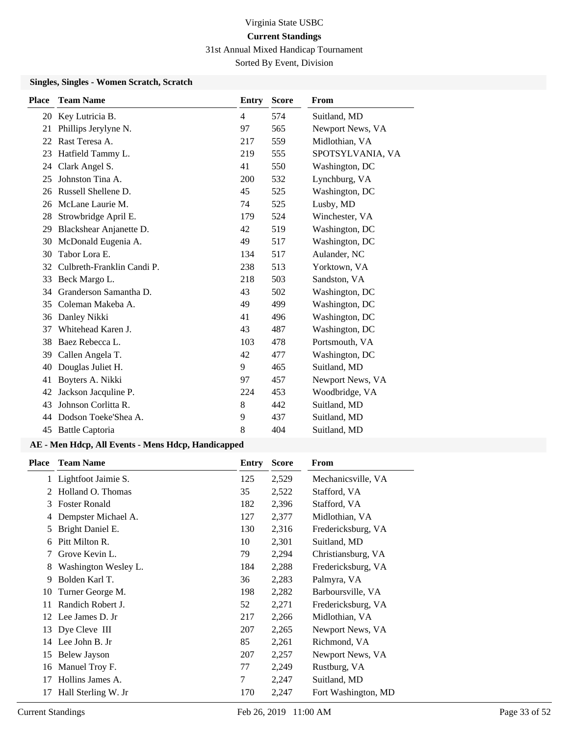31st Annual Mixed Handicap Tournament

Sorted By Event, Division

### **Singles, Singles - Women Scratch, Scratch**

| <b>Place</b> | <b>Team Name</b>           | Entry          | <b>Score</b> | From             |
|--------------|----------------------------|----------------|--------------|------------------|
|              | 20 Key Lutricia B.         | $\overline{4}$ | 574          | Suitland, MD     |
| 21           | Phillips Jerylyne N.       | 97             | 565          | Newport News, VA |
| 22           | Rast Teresa A.             | 217            | 559          | Midlothian, VA   |
| 23           | Hatfield Tammy L.          | 219            | 555          | SPOTSYLVANIA, VA |
| 24           | Clark Angel S.             | 41             | 550          | Washington, DC   |
| 25           | Johnston Tina A.           | 200            | 532          | Lynchburg, VA    |
| 26           | Russell Shellene D.        | 45             | 525          | Washington, DC   |
| 26           | McLane Laurie M.           | 74             | 525          | Lusby, MD        |
| 28           | Strowbridge April E.       | 179            | 524          | Winchester, VA   |
| 29           | Blackshear Anjanette D.    | 42             | 519          | Washington, DC   |
| 30           | McDonald Eugenia A.        | 49             | 517          | Washington, DC   |
| 30           | Tabor Lora E.              | 134            | 517          | Aulander, NC     |
| 32           | Culbreth-Franklin Candi P. | 238            | 513          | Yorktown, VA     |
| 33           | Beck Margo L.              | 218            | 503          | Sandston, VA     |
| 34           | Granderson Samantha D.     | 43             | 502          | Washington, DC   |
| 35           | Coleman Makeba A.          | 49             | 499          | Washington, DC   |
| 36           | Danley Nikki               | 41             | 496          | Washington, DC   |
| 37           | Whitehead Karen J.         | 43             | 487          | Washington, DC   |
| 38           | Baez Rebecca L.            | 103            | 478          | Portsmouth, VA   |
| 39           | Callen Angela T.           | 42             | 477          | Washington, DC   |
| 40           | Douglas Juliet H.          | 9              | 465          | Suitland, MD     |
| 41           | Boyters A. Nikki           | 97             | 457          | Newport News, VA |
| 42           | Jackson Jacquline P.       | 224            | 453          | Woodbridge, VA   |
| 43           | Johnson Corlitta R.        | 8              | 442          | Suitland, MD     |
| 44           | Dodson Toeke'Shea A.       | 9              | 437          | Suitland, MD     |
|              | 45 Battle Captoria         | 8              | 404          | Suitland, MD     |
|              |                            |                |              |                  |

| Place | <b>Team Name</b>      | Entry | <b>Score</b> | From                |
|-------|-----------------------|-------|--------------|---------------------|
|       | 1 Lightfoot Jaimie S. | 125   | 2,529        | Mechanicsville, VA  |
|       | Holland O. Thomas     | 35    | 2,522        | Stafford, VA        |
| 3     | <b>Foster Ronald</b>  | 182   | 2,396        | Stafford, VA        |
| 4     | Dempster Michael A.   | 127   | 2,377        | Midlothian, VA      |
|       | Bright Daniel E.      | 130   | 2,316        | Fredericksburg, VA  |
| 6     | Pitt Milton R.        | 10    | 2,301        | Suitland, MD        |
|       | Grove Kevin L.        | 79    | 2,294        | Christiansburg, VA  |
| 8     | Washington Wesley L.  | 184   | 2,288        | Fredericksburg, VA  |
| 9     | Bolden Karl T.        | 36    | 2,283        | Palmyra, VA         |
| 10    | Turner George M.      | 198   | 2,282        | Barboursville, VA   |
| 11    | Randich Robert J.     | 52    | 2,271        | Fredericksburg, VA  |
|       | 12 Lee James D. Jr    | 217   | 2,266        | Midlothian, VA      |
| 13    | Dye Cleve III         | 207   | 2,265        | Newport News, VA    |
| 14    | Lee John B. Jr        | 85    | 2,261        | Richmond, VA        |
| 15    | Belew Jayson          | 207   | 2,257        | Newport News, VA    |
| 16    | Manuel Troy F.        | 77    | 2,249        | Rustburg, VA        |
| 17    | Hollins James A.      | 7     | 2,247        | Suitland, MD        |
| 17    | Hall Sterling W. Jr   | 170   | 2,247        | Fort Washington, MD |
|       |                       |       |              |                     |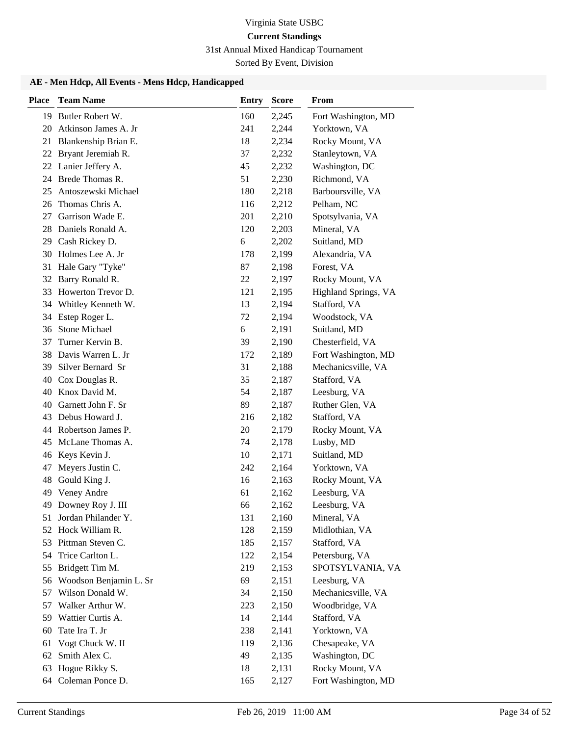## 31st Annual Mixed Handicap Tournament

Sorted By Event, Division

| <b>Place</b> | <b>Team Name</b>       | <b>Entry</b> | <b>Score</b> | From                 |
|--------------|------------------------|--------------|--------------|----------------------|
|              | 19 Butler Robert W.    | 160          | 2,245        | Fort Washington, MD  |
| 20           | Atkinson James A. Jr   | 241          | 2,244        | Yorktown, VA         |
| 21           | Blankenship Brian E.   | 18           | 2,234        | Rocky Mount, VA      |
| 22           | Bryant Jeremiah R.     | 37           | 2,232        | Stanleytown, VA      |
| 22           | Lanier Jeffery A.      | 45           | 2,232        | Washington, DC       |
| 24           | Brede Thomas R.        | 51           | 2,230        | Richmond, VA         |
| 25           | Antoszewski Michael    | 180          | 2,218        | Barboursville, VA    |
| 26           | Thomas Chris A.        | 116          | 2,212        | Pelham, NC           |
| 27           | Garrison Wade E.       | 201          | 2,210        | Spotsylvania, VA     |
| 28           | Daniels Ronald A.      | 120          | 2,203        | Mineral, VA          |
|              | 29 Cash Rickey D.      | 6            | 2,202        | Suitland, MD         |
| 30           | Holmes Lee A. Jr       | 178          | 2,199        | Alexandria, VA       |
| 31           | Hale Gary "Tyke"       | 87           | 2,198        | Forest, VA           |
| 32           | Barry Ronald R.        | 22           | 2,197        | Rocky Mount, VA      |
| 33           | Howerton Trevor D.     | 121          | 2,195        | Highland Springs, VA |
| 34           | Whitley Kenneth W.     | 13           | 2,194        | Stafford, VA         |
| 34           | Estep Roger L.         | 72           | 2,194        | Woodstock, VA        |
| 36           | <b>Stone Michael</b>   | 6            | 2,191        | Suitland, MD         |
| 37           | Turner Kervin B.       | 39           | 2,190        | Chesterfield, VA     |
| 38           | Davis Warren L. Jr     | 172          | 2,189        | Fort Washington, MD  |
| 39           | Silver Bernard Sr      | 31           | 2,188        | Mechanicsville, VA   |
| 40           | Cox Douglas R.         | 35           | 2,187        | Stafford, VA         |
|              | 40 Knox David M.       | 54           | 2,187        | Leesburg, VA         |
| 40           | Garnett John F. Sr     | 89           | 2,187        | Ruther Glen, VA      |
| 43           | Debus Howard J.        | 216          | 2,182        | Stafford, VA         |
|              | 44 Robertson James P.  | 20           | 2,179        | Rocky Mount, VA      |
| 45           | McLane Thomas A.       | 74           | 2,178        | Lusby, MD            |
| 46           | Keys Kevin J.          | 10           | 2,171        | Suitland, MD         |
| 47           | Meyers Justin C.       | 242          | 2,164        | Yorktown, VA         |
| 48           | Gould King J.          | 16           | 2,163        | Rocky Mount, VA      |
| 49           | Veney Andre            | 61           | 2,162        | Leesburg, VA         |
| 49           | Downey Roy J. III      | 66           | 2,162        | Leesburg, VA         |
| 51           | Jordan Philander Y.    | 131          | 2,160        | Mineral, VA          |
|              | 52 Hock William R.     | 128          | 2,159        | Midlothian, VA       |
|              | 53 Pittman Steven C.   | 185          | 2,157        | Stafford, VA         |
| 54           | Trice Carlton L.       | 122          | 2,154        | Petersburg, VA       |
| 55           | Bridgett Tim M.        | 219          | 2,153        | SPOTSYLVANIA, VA     |
| 56           | Woodson Benjamin L. Sr | 69           | 2,151        | Leesburg, VA         |
| 57           | Wilson Donald W.       | 34           | 2,150        | Mechanicsville, VA   |
| 57           | Walker Arthur W.       | 223          | 2,150        | Woodbridge, VA       |
| 59           | Wattier Curtis A.      | 14           | 2,144        | Stafford, VA         |
| 60           | Tate Ira T. Jr         | 238          | 2,141        | Yorktown, VA         |
| 61           | Vogt Chuck W. II       | 119          | 2,136        | Chesapeake, VA       |
| 62           | Smith Alex C.          | 49           | 2,135        | Washington, DC       |
| 63           | Hogue Rikky S.         | 18           | 2,131        | Rocky Mount, VA      |
| 64           | Coleman Ponce D.       | 165          | 2,127        | Fort Washington, MD  |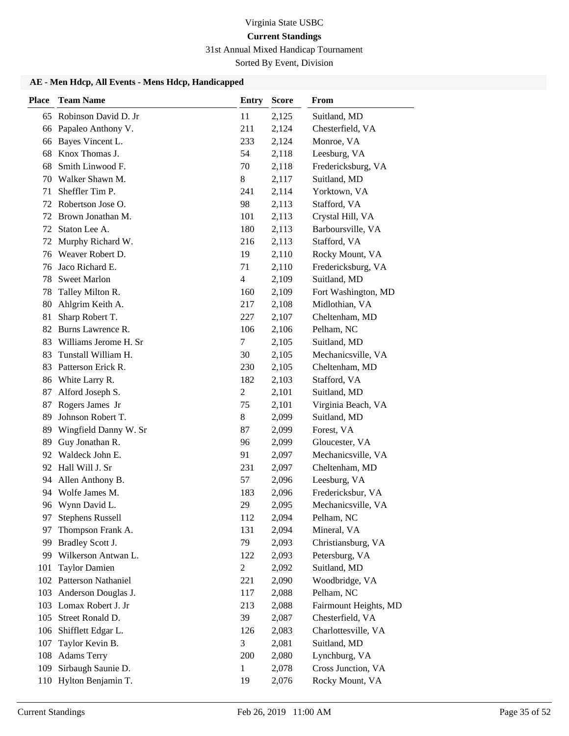# 31st Annual Mixed Handicap Tournament

Sorted By Event, Division

| <b>Place</b> | <b>Team Name</b>        | <b>Entry</b>   | <b>Score</b> | From                  |
|--------------|-------------------------|----------------|--------------|-----------------------|
| 65           | Robinson David D. Jr    | 11             | 2,125        | Suitland, MD          |
| 66           | Papaleo Anthony V.      | 211            | 2,124        | Chesterfield, VA      |
| 66           | Bayes Vincent L.        | 233            | 2,124        | Monroe, VA            |
| 68           | Knox Thomas J.          | 54             | 2,118        | Leesburg, VA          |
| 68           | Smith Linwood F.        | 70             | 2,118        | Fredericksburg, VA    |
| 70           | Walker Shawn M.         | 8              | 2,117        | Suitland, MD          |
| 71           | Sheffler Tim P.         | 241            | 2,114        | Yorktown, VA          |
| 72           | Robertson Jose O.       | 98             | 2,113        | Stafford, VA          |
| 72           | Brown Jonathan M.       | 101            | 2,113        | Crystal Hill, VA      |
| 72           | Staton Lee A.           | 180            | 2,113        | Barboursville, VA     |
| 72           | Murphy Richard W.       | 216            | 2,113        | Stafford, VA          |
| 76           | Weaver Robert D.        | 19             | 2,110        | Rocky Mount, VA       |
| 76           | Jaco Richard E.         | 71             | 2,110        | Fredericksburg, VA    |
| 78           | <b>Sweet Marlon</b>     | $\overline{4}$ | 2,109        | Suitland, MD          |
| 78           | Talley Milton R.        | 160            | 2,109        | Fort Washington, MD   |
| 80           | Ahlgrim Keith A.        | 217            | 2,108        | Midlothian, VA        |
| 81           | Sharp Robert T.         | 227            | 2,107        | Cheltenham, MD        |
| 82           | Burns Lawrence R.       | 106            | 2,106        | Pelham, NC            |
| 83           | Williams Jerome H. Sr   | 7              | 2,105        | Suitland, MD          |
| 83           | Tunstall William H.     | 30             | 2,105        | Mechanicsville, VA    |
| 83           | Patterson Erick R.      | 230            | 2,105        | Cheltenham, MD        |
| 86           | White Larry R.          | 182            | 2,103        | Stafford, VA          |
| 87           | Alford Joseph S.        | $\overline{c}$ | 2,101        | Suitland, MD          |
| 87           | Rogers James Jr         | 75             | 2,101        | Virginia Beach, VA    |
| 89           | Johnson Robert T.       | 8              | 2,099        | Suitland, MD          |
| 89           | Wingfield Danny W. Sr   | 87             | 2,099        | Forest, VA            |
| 89           | Guy Jonathan R.         | 96             | 2,099        | Gloucester, VA        |
| 92           | Waldeck John E.         | 91             | 2,097        | Mechanicsville, VA    |
| 92           | Hall Will J. Sr         | 231            | 2,097        | Cheltenham, MD        |
| 94           | Allen Anthony B.        | 57             | 2,096        | Leesburg, VA          |
| 94           | Wolfe James M.          | 183            | 2,096        | Fredericksbur, VA     |
|              | 96 Wynn David L.        | 29             | 2,095        | Mechanicsville, VA    |
| 97           | <b>Stephens Russell</b> | 112            | 2,094        | Pelham, NC            |
| 97           | Thompson Frank A.       | 131            | 2,094        | Mineral, VA           |
| 99           | Bradley Scott J.        | 79             | 2,093        | Christiansburg, VA    |
| 99           | Wilkerson Antwan L.     | 122            | 2,093        | Petersburg, VA        |
| 101          | <b>Taylor Damien</b>    | $\overline{c}$ | 2,092        | Suitland, MD          |
| 102          | Patterson Nathaniel     | 221            | 2,090        | Woodbridge, VA        |
| 103          | Anderson Douglas J.     | 117            | 2,088        | Pelham, NC            |
| 103          | Lomax Robert J. Jr      | 213            | 2,088        | Fairmount Heights, MD |
| 105          | Street Ronald D.        | 39             | 2,087        | Chesterfield, VA      |
| 106          | Shifflett Edgar L.      | 126            | 2,083        | Charlottesville, VA   |
| 107          | Taylor Kevin B.         | 3              | 2,081        | Suitland, MD          |
| 108          | <b>Adams Terry</b>      | 200            | 2,080        | Lynchburg, VA         |
| 109          | Sirbaugh Saunie D.      | 1              | 2,078        | Cross Junction, VA    |
| 110          | Hylton Benjamin T.      | 19             | 2,076        | Rocky Mount, VA       |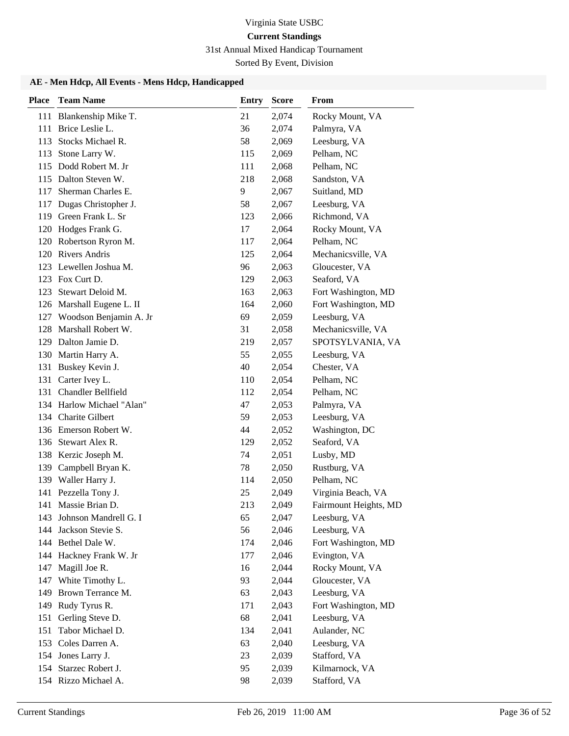### 31st Annual Mixed Handicap Tournament

Sorted By Event, Division

| <b>Place</b> | <b>Team Name</b>           | <b>Entry</b> | <b>Score</b> | From                  |
|--------------|----------------------------|--------------|--------------|-----------------------|
|              | 111 Blankenship Mike T.    | 21           | 2,074        | Rocky Mount, VA       |
| 111          | Brice Leslie L.            | 36           | 2,074        | Palmyra, VA           |
| 113          | Stocks Michael R.          | 58           | 2,069        | Leesburg, VA          |
| 113          | Stone Larry W.             | 115          | 2,069        | Pelham, NC            |
|              | 115 Dodd Robert M. Jr      | 111          | 2,068        | Pelham, NC            |
| 115          | Dalton Steven W.           | 218          | 2,068        | Sandston, VA          |
| 117          | Sherman Charles E.         | 9            | 2,067        | Suitland, MD          |
| 117          | Dugas Christopher J.       | 58           | 2,067        | Leesburg, VA          |
| 119          | Green Frank L. Sr          | 123          | 2,066        | Richmond, VA          |
| 120          | Hodges Frank G.            | 17           | 2,064        | Rocky Mount, VA       |
|              | 120 Robertson Ryron M.     | 117          | 2,064        | Pelham, NC            |
|              | 120 Rivers Andris          | 125          | 2,064        | Mechanicsville, VA    |
| 123          | Lewellen Joshua M.         | 96           | 2,063        | Gloucester, VA        |
| 123          | Fox Curt D.                | 129          | 2,063        | Seaford, VA           |
| 123          | Stewart Deloid M.          | 163          | 2,063        | Fort Washington, MD   |
|              | 126 Marshall Eugene L. II  | 164          | 2,060        | Fort Washington, MD   |
|              | 127 Woodson Benjamin A. Jr | 69           | 2,059        | Leesburg, VA          |
| 128          | Marshall Robert W.         | 31           | 2,058        | Mechanicsville, VA    |
|              | 129 Dalton Jamie D.        | 219          | 2,057        | SPOTSYLVANIA, VA      |
|              | 130 Martin Harry A.        | 55           | 2,055        | Leesburg, VA          |
| 131          | Buskey Kevin J.            | 40           | 2,054        | Chester, VA           |
| 131          | Carter Ivey L.             | 110          | 2,054        | Pelham, NC            |
|              | 131 Chandler Bellfield     | 112          | 2,054        | Pelham, NC            |
|              | 134 Harlow Michael "Alan"  | 47           | 2,053        | Palmyra, VA           |
|              | 134 Charite Gilbert        | 59           | 2,053        | Leesburg, VA          |
|              | 136 Emerson Robert W.      | 44           | 2,052        | Washington, DC        |
| 136          | Stewart Alex R.            | 129          | 2,052        | Seaford, VA           |
|              | 138 Kerzic Joseph M.       | 74           | 2,051        | Lusby, MD             |
| 139          | Campbell Bryan K.          | 78           | 2,050        | Rustburg, VA          |
| 139          | Waller Harry J.            | 114          | 2,050        | Pelham, NC            |
| 141          | Pezzella Tony J.           | 25           | 2,049        | Virginia Beach, VA    |
| 141          | Massie Brian D.            | 213          | 2,049        | Fairmount Heights, MD |
|              | 143 Johnson Mandrell G. I  | 65           | 2,047        | Leesburg, VA          |
| 144          | Jackson Stevie S.          | 56           | 2,046        | Leesburg, VA          |
|              | 144 Bethel Dale W.         | 174          | 2,046        | Fort Washington, MD   |
|              | 144 Hackney Frank W. Jr    | 177          | 2,046        | Evington, VA          |
| 147          | Magill Joe R.              | 16           | 2,044        | Rocky Mount, VA       |
| 147          | White Timothy L.           | 93           | 2,044        | Gloucester, VA        |
| 149          | Brown Terrance M.          | 63           | 2,043        | Leesburg, VA          |
| 149          | Rudy Tyrus R.              | 171          | 2,043        | Fort Washington, MD   |
| 151          | Gerling Steve D.           | 68           | 2,041        | Leesburg, VA          |
| 151          | Tabor Michael D.           | 134          | 2,041        | Aulander, NC          |
| 153          | Coles Darren A.            | 63           | 2,040        | Leesburg, VA          |
|              | 154 Jones Larry J.         | 23           | 2,039        | Stafford, VA          |
| 154          | Starzec Robert J.          | 95           | 2,039        | Kilmarnock, VA        |
|              | 154 Rizzo Michael A.       | 98           | 2,039        | Stafford, VA          |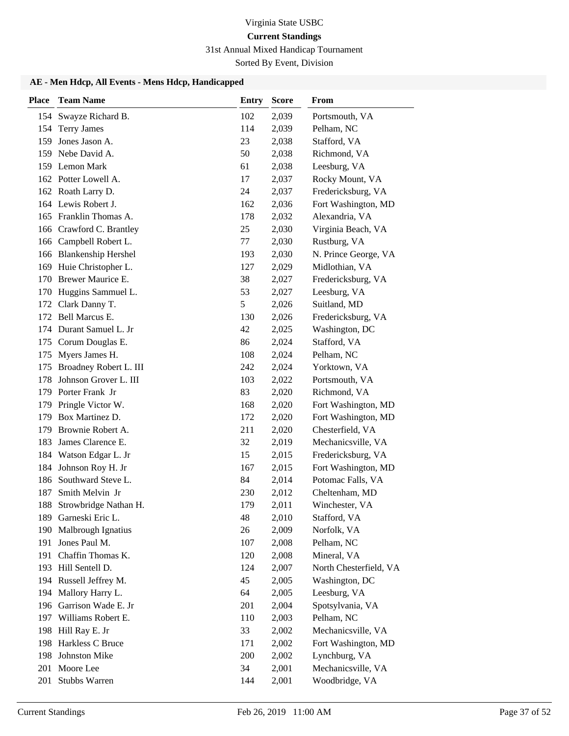# 31st Annual Mixed Handicap Tournament

Sorted By Event, Division

| <b>Place</b> | <b>Team Name</b>           | <b>Entry</b> | <b>Score</b> | From                   |
|--------------|----------------------------|--------------|--------------|------------------------|
|              | 154 Swayze Richard B.      | 102          | 2,039        | Portsmouth, VA         |
| 154          | <b>Terry James</b>         | 114          | 2,039        | Pelham, NC             |
| 159          | Jones Jason A.             | 23           | 2,038        | Stafford, VA           |
| 159          | Nebe David A.              | 50           | 2,038        | Richmond, VA           |
|              | 159 Lemon Mark             | 61           | 2,038        | Leesburg, VA           |
|              | 162 Potter Lowell A.       | 17           | 2,037        | Rocky Mount, VA        |
|              | 162 Roath Larry D.         | 24           | 2,037        | Fredericksburg, VA     |
|              | 164 Lewis Robert J.        | 162          | 2,036        | Fort Washington, MD    |
|              | 165 Franklin Thomas A.     | 178          | 2,032        | Alexandria, VA         |
| 166          | Crawford C. Brantley       | 25           | 2,030        | Virginia Beach, VA     |
|              | 166 Campbell Robert L.     | 77           | 2,030        | Rustburg, VA           |
| 166          | <b>Blankenship Hershel</b> | 193          | 2,030        | N. Prince George, VA   |
| 169          | Huie Christopher L.        | 127          | 2,029        | Midlothian, VA         |
| 170          | Brewer Maurice E.          | 38           | 2,027        | Fredericksburg, VA     |
| 170          | Huggins Sammuel L.         | 53           | 2,027        | Leesburg, VA           |
| 172          | Clark Danny T.             | 5            | 2,026        | Suitland, MD           |
|              | 172 Bell Marcus E.         | 130          | 2,026        | Fredericksburg, VA     |
|              | 174 Durant Samuel L. Jr    | 42           | 2,025        | Washington, DC         |
| 175          | Corum Douglas E.           | 86           | 2,024        | Stafford, VA           |
| 175          | Myers James H.             | 108          | 2,024        | Pelham, NC             |
| 175          | Broadney Robert L. III     | 242          | 2,024        | Yorktown, VA           |
| 178          | Johnson Grover L. III      | 103          | 2,022        | Portsmouth, VA         |
|              | 179 Porter Frank Jr        | 83           | 2,020        | Richmond, VA           |
| 179          | Pringle Victor W.          | 168          | 2,020        | Fort Washington, MD    |
| 179          | Box Martinez D.            | 172          | 2,020        | Fort Washington, MD    |
| 179          | Brownie Robert A.          | 211          | 2,020        | Chesterfield, VA       |
| 183          | James Clarence E.          | 32           | 2,019        | Mechanicsville, VA     |
| 184          | Watson Edgar L. Jr         | 15           | 2,015        | Fredericksburg, VA     |
| 184          | Johnson Roy H. Jr          | 167          | 2,015        | Fort Washington, MD    |
| 186          | Southward Steve L.         | 84           | 2,014        | Potomac Falls, VA      |
| 187          | Smith Melvin Jr            | 230          | 2,012        | Cheltenham, MD         |
| 188          | Strowbridge Nathan H.      | 179          | 2,011        | Winchester, VA         |
|              | 189 Garneski Eric L.       | 48           | 2,010        | Stafford, VA           |
| 190          | Malbrough Ignatius         | 26           | 2,009        | Norfolk, VA            |
| 191          | Jones Paul M.              | 107          | 2,008        | Pelham, NC             |
| 191          | Chaffin Thomas K.          | 120          | 2,008        | Mineral, VA            |
|              | 193 Hill Sentell D.        | 124          | 2,007        | North Chesterfield, VA |
|              | 194 Russell Jeffrey M.     | 45           | 2,005        | Washington, DC         |
|              | 194 Mallory Harry L.       | 64           | 2,005        | Leesburg, VA           |
| 196          | Garrison Wade E. Jr        | 201          | 2,004        | Spotsylvania, VA       |
| 197          | Williams Robert E.         | 110          | 2,003        | Pelham, NC             |
| 198          | Hill Ray E. Jr             | 33           | 2,002        | Mechanicsville, VA     |
| 198          | Harkless C Bruce           | 171          | 2,002        | Fort Washington, MD    |
| 198          | Johnston Mike              | 200          | 2,002        | Lynchburg, VA          |
| 201          | Moore Lee                  | 34           | 2,001        | Mechanicsville, VA     |
| 201          | Stubbs Warren              | 144          | 2,001        | Woodbridge, VA         |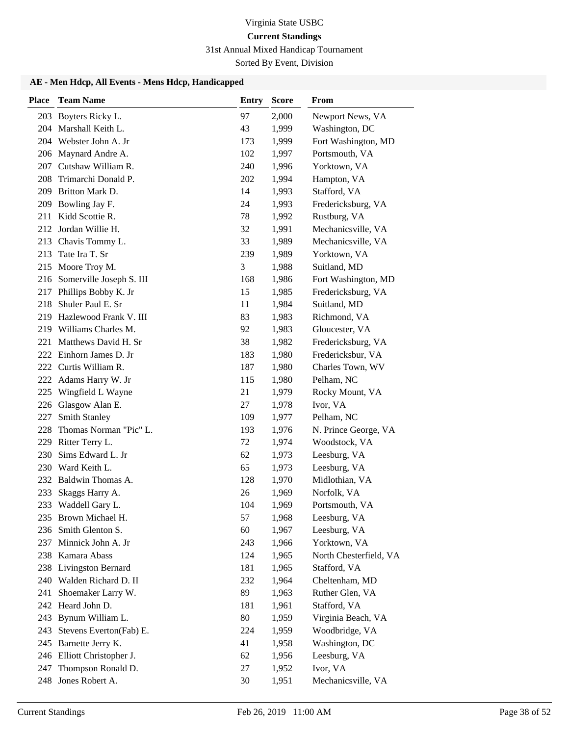## 31st Annual Mixed Handicap Tournament

Sorted By Event, Division

| <b>Place</b> | <b>Team Name</b>                           | Entry      | <b>Score</b>   | From                           |
|--------------|--------------------------------------------|------------|----------------|--------------------------------|
|              | 203 Boyters Ricky L.                       | 97         | 2,000          | Newport News, VA               |
|              | 204 Marshall Keith L.                      | 43         | 1,999          | Washington, DC                 |
|              | 204 Webster John A. Jr                     | 173        | 1,999          | Fort Washington, MD            |
|              | 206 Maynard Andre A.                       | 102        | 1,997          | Portsmouth, VA                 |
| 207          | Cutshaw William R.                         | 240        | 1,996          | Yorktown, VA                   |
| 208          | Trimarchi Donald P.                        | 202        | 1,994          | Hampton, VA                    |
|              | 209 Britton Mark D.                        | 14         | 1,993          | Stafford, VA                   |
|              | 209 Bowling Jay F.                         | 24         | 1,993          | Fredericksburg, VA             |
| 211          | Kidd Scottie R.                            | 78         | 1,992          | Rustburg, VA                   |
|              | 212 Jordan Willie H.                       | 32         | 1,991          | Mechanicsville, VA             |
| 213          | Chavis Tommy L.                            | 33         | 1,989          | Mechanicsville, VA             |
| 213          | Tate Ira T. Sr                             | 239        | 1,989          | Yorktown, VA                   |
| 215          | Moore Troy M.                              | 3          | 1,988          | Suitland, MD                   |
| 216          | Somerville Joseph S. III                   | 168        | 1,986          | Fort Washington, MD            |
| 217          | Phillips Bobby K. Jr                       | 15         | 1,985          | Fredericksburg, VA             |
| 218          | Shuler Paul E. Sr                          | 11         | 1,984          | Suitland, MD                   |
| 219          | Hazlewood Frank V. III                     | 83         | 1,983          | Richmond, VA                   |
| 219          | Williams Charles M.                        | 92         | 1,983          | Gloucester, VA                 |
| 221          | Matthews David H. Sr                       | 38         | 1,982          | Fredericksburg, VA             |
|              | 222 Einhorn James D. Jr                    | 183        | 1,980          | Fredericksbur, VA              |
|              | 222 Curtis William R.                      | 187        | 1,980          | Charles Town, WV               |
|              | 222 Adams Harry W. Jr                      | 115        | 1,980          | Pelham, NC                     |
| 225          | Wingfield L Wayne                          | 21         | 1,979          | Rocky Mount, VA                |
| 226          | Glasgow Alan E.                            | 27         | 1,978          | Ivor, VA                       |
| 227          | <b>Smith Stanley</b>                       | 109        | 1,977          | Pelham, NC                     |
| 228          | Thomas Norman "Pic" L.                     | 193        | 1,976          | N. Prince George, VA           |
|              | 229 Ritter Terry L.                        | 72         | 1,974          | Woodstock, VA                  |
| 230          | Sims Edward L. Jr                          | 62         | 1,973          | Leesburg, VA                   |
| 230          | Ward Keith L.                              | 65         | 1,973          | Leesburg, VA                   |
|              | 232 Baldwin Thomas A.                      | 128        | 1,970          | Midlothian, VA                 |
| 233          | Skaggs Harry A.                            | 26         | 1,969          | Norfolk, VA                    |
|              | 233 Waddell Gary L.                        | 104        | 1,969          | Portsmouth, VA                 |
|              | 235 Brown Michael H.                       | 57         | 1,968          | Leesburg, VA                   |
| 236          | Smith Glenton S.                           | 60         | 1,967          | Leesburg, VA                   |
|              | 237 Minnick John A. Jr                     | 243        | 1,966          | Yorktown, VA                   |
|              | 238 Kamara Abass                           | 124<br>181 | 1,965          | North Chesterfield, VA         |
| 238<br>240   | Livingston Bernard<br>Walden Richard D. II | 232        | 1,965<br>1,964 | Stafford, VA<br>Cheltenham, MD |
| 241          | Shoemaker Larry W.                         | 89         | 1,963          | Ruther Glen, VA                |
|              | 242 Heard John D.                          | 181        | 1,961          | Stafford, VA                   |
| 243          | Bynum William L.                           | 80         | 1,959          | Virginia Beach, VA             |
| 243          | Stevens Everton(Fab) E.                    | 224        | 1,959          | Woodbridge, VA                 |
|              | 245 Barnette Jerry K.                      | 41         | 1,958          | Washington, DC                 |
|              | 246 Elliott Christopher J.                 | 62         | 1,956          | Leesburg, VA                   |
| 247          | Thompson Ronald D.                         | 27         | 1,952          | Ivor, VA                       |
|              | 248 Jones Robert A.                        | 30         | 1,951          | Mechanicsville, VA             |
|              |                                            |            |                |                                |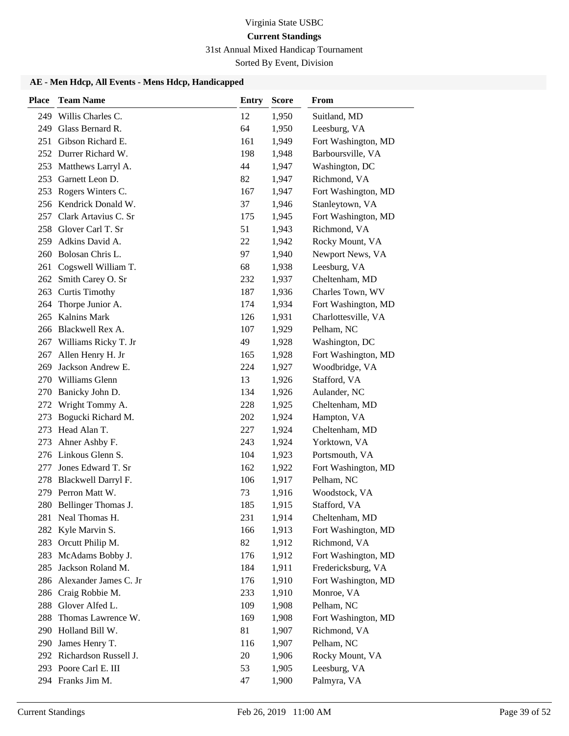# 31st Annual Mixed Handicap Tournament

Sorted By Event, Division

| <b>Place</b> | <b>Team Name</b>                      | Entry     | <b>Score</b>   | <b>From</b>                         |
|--------------|---------------------------------------|-----------|----------------|-------------------------------------|
| 249          | Willis Charles C.                     | 12        | 1,950          | Suitland, MD                        |
| 249          | Glass Bernard R.                      | 64        | 1,950          | Leesburg, VA                        |
| 251          | Gibson Richard E.                     | 161       | 1,949          | Fort Washington, MD                 |
|              | 252 Durrer Richard W.                 | 198       | 1,948          | Barboursville, VA                   |
| 253          | Matthews Larryl A.                    | 44        | 1,947          | Washington, DC                      |
| 253          | Garnett Leon D.                       | 82        | 1,947          | Richmond, VA                        |
|              | 253 Rogers Winters C.                 | 167       | 1,947          | Fort Washington, MD                 |
|              | 256 Kendrick Donald W.                | 37        | 1,946          | Stanleytown, VA                     |
| 257          | Clark Artavius C. Sr                  | 175       | 1,945          | Fort Washington, MD                 |
| 258          | Glover Carl T. Sr                     | 51        | 1,943          | Richmond, VA                        |
| 259          | Adkins David A.                       | 22        | 1,942          | Rocky Mount, VA                     |
| 260          | Bolosan Chris L.                      | 97        | 1,940          | Newport News, VA                    |
| 261          | Cogswell William T.                   | 68        | 1,938          | Leesburg, VA                        |
| 262          | Smith Carey O. Sr                     | 232       | 1,937          | Cheltenham, MD                      |
|              | 263 Curtis Timothy                    | 187       | 1,936          | Charles Town, WV                    |
| 264          | Thorpe Junior A.                      | 174       | 1,934          | Fort Washington, MD                 |
| 265          | Kalnins Mark                          | 126       | 1,931          | Charlottesville, VA                 |
| 266          | Blackwell Rex A.                      | 107       | 1,929          | Pelham, NC                          |
| 267          | Williams Ricky T. Jr                  | 49        | 1,928          | Washington, DC                      |
| 267          | Allen Henry H. Jr                     | 165       | 1,928          | Fort Washington, MD                 |
| 269          | Jackson Andrew E.                     | 224       | 1,927          | Woodbridge, VA                      |
| 270          | Williams Glenn                        | 13        | 1,926          | Stafford, VA                        |
| 270          | Banicky John D.                       | 134       | 1,926          | Aulander, NC                        |
| 272          | Wright Tommy A.                       | 228       | 1,925          | Cheltenham, MD                      |
| 273          | Bogucki Richard M.                    | 202       | 1,924          | Hampton, VA                         |
| 273          | Head Alan T.                          | 227       | 1,924          | Cheltenham, MD                      |
| 273          | Ahner Ashby F.                        | 243       | 1,924          | Yorktown, VA                        |
| 276          | Linkous Glenn S.                      | 104       | 1,923          | Portsmouth, VA                      |
| 277          | Jones Edward T. Sr                    | 162       | 1,922          | Fort Washington, MD                 |
| 278          | Blackwell Darryl F.                   | 106       | 1,917          | Pelham, NC                          |
|              | 279 Perron Matt W.                    | 73        | 1,916          | Woodstock, VA                       |
|              | 280 Bellinger Thomas J.               | 185       | 1,915          | Stafford, VA                        |
|              | 281 Neal Thomas H.                    | 231       | 1,914          | Cheltenham, MD                      |
|              | 282 Kyle Marvin S.                    | 166       | 1,913          | Fort Washington, MD                 |
| 283          | Orcutt Philip M.                      | 82        | 1,912          | Richmond, VA                        |
| 283          | McAdams Bobby J.                      | 176       | 1,912          | Fort Washington, MD                 |
| 285          | Jackson Roland M.                     | 184       | 1,911          | Fredericksburg, VA                  |
|              | 286 Alexander James C. Jr             | 176       | 1,910          | Fort Washington, MD                 |
| 286          | Craig Robbie M.<br>Glover Alfed L.    | 233       | 1,910          | Monroe, VA<br>Pelham, NC            |
| 288          |                                       | 109       | 1,908          |                                     |
| 288<br>290   | Thomas Lawrence W.<br>Holland Bill W. | 169<br>81 | 1,908          | Fort Washington, MD<br>Richmond, VA |
|              | 290 James Henry T.                    | 116       | 1,907          | Pelham, NC                          |
|              | 292 Richardson Russell J.             | 20        | 1,907<br>1,906 | Rocky Mount, VA                     |
|              | 293 Poore Carl E. III                 | 53        | 1,905          | Leesburg, VA                        |
|              | 294 Franks Jim M.                     | 47        | 1,900          | Palmyra, VA                         |
|              |                                       |           |                |                                     |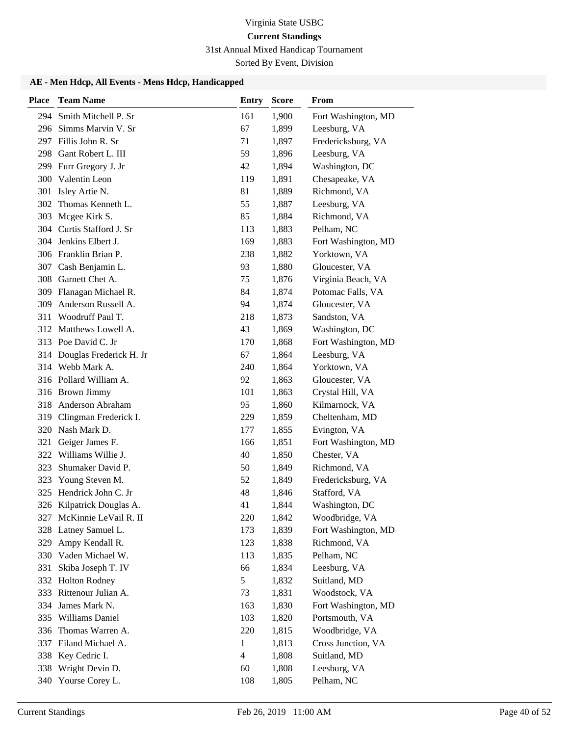### 31st Annual Mixed Handicap Tournament

Sorted By Event, Division

| <b>Place</b> | <b>Team Name</b>                        | <b>Entry</b>   | <b>Score</b>   | From                       |
|--------------|-----------------------------------------|----------------|----------------|----------------------------|
|              | 294 Smith Mitchell P. Sr                | 161            | 1,900          | Fort Washington, MD        |
|              | 296 Simms Marvin V. Sr                  | 67             | 1,899          | Leesburg, VA               |
|              | 297 Fillis John R. Sr                   | 71             | 1,897          | Fredericksburg, VA         |
| 298          | Gant Robert L. III                      | 59             | 1,896          | Leesburg, VA               |
|              | 299 Furr Gregory J. Jr                  | 42             | 1,894          | Washington, DC             |
| 300          | Valentin Leon                           | 119            | 1,891          | Chesapeake, VA             |
| 301          | Isley Artie N.                          | 81             | 1,889          | Richmond, VA               |
| 302          | Thomas Kenneth L.                       | 55             | 1,887          | Leesburg, VA               |
| 303          | Mcgee Kirk S.                           | 85             | 1,884          | Richmond, VA               |
| 304          | Curtis Stafford J. Sr                   | 113            | 1,883          | Pelham, NC                 |
|              | 304 Jenkins Elbert J.                   | 169            | 1,883          | Fort Washington, MD        |
|              | 306 Franklin Brian P.                   | 238            | 1,882          | Yorktown, VA               |
| 307          | Cash Benjamin L.                        | 93             | 1,880          | Gloucester, VA             |
|              | 308 Garnett Chet A.                     | 75             | 1,876          | Virginia Beach, VA         |
|              | 309 Flanagan Michael R.                 | 84             | 1,874          | Potomac Falls, VA          |
| 309          | Anderson Russell A.                     | 94             | 1,874          | Gloucester, VA             |
| 311          | Woodruff Paul T.                        | 218            | 1,873          | Sandston, VA               |
|              | 312 Matthews Lowell A.                  | 43             | 1,869          | Washington, DC             |
|              | 313 Poe David C. Jr                     | 170            | 1,868          | Fort Washington, MD        |
| 314          | Douglas Frederick H. Jr                 | 67             | 1,864          | Leesburg, VA               |
|              | 314 Webb Mark A.                        | 240            | 1,864          | Yorktown, VA               |
|              | 316 Pollard William A.                  | 92             | 1,863          | Gloucester, VA             |
|              | 316 Brown Jimmy                         | 101            | 1,863          | Crystal Hill, VA           |
| 318          | Anderson Abraham                        | 95             | 1,860          | Kilmarnock, VA             |
| 319          | Clingman Frederick I.                   | 229            | 1,859          | Cheltenham, MD             |
|              | 320 Nash Mark D.                        | 177            | 1,855          | Evington, VA               |
| 321          | Geiger James F.                         | 166            | 1,851          | Fort Washington, MD        |
| 322          | Williams Willie J.                      | 40             | 1,850          | Chester, VA                |
| 323          | Shumaker David P.                       | 50             | 1,849          | Richmond, VA               |
| 323          | Young Steven M.                         | 52             | 1,849          | Fredericksburg, VA         |
| 325          | Hendrick John C. Jr                     | 48             | 1,846          | Stafford, VA               |
|              | 326 Kilpatrick Douglas A.               | 41             | 1,844          | Washington, DC             |
|              | 327 McKinnie LeVail R. II               | 220            | 1,842          | Woodbridge, VA             |
| 328          | Latney Samuel L.                        | 173            | 1,839          | Fort Washington, MD        |
| 329          | Ampy Kendall R.<br>330 Vaden Michael W. | 123            | 1,838          | Richmond, VA               |
|              | Skiba Joseph T. IV                      | 113<br>66      | 1,835<br>1,834 | Pelham, NC<br>Leesburg, VA |
| 331<br>332   | Holton Rodney                           | 5              | 1,832          | Suitland, MD               |
| 333          | Rittenour Julian A.                     | 73             | 1,831          | Woodstock, VA              |
| 334          | James Mark N.                           | 163            | 1,830          | Fort Washington, MD        |
| 335          | Williams Daniel                         | 103            | 1,820          | Portsmouth, VA             |
| 336          | Thomas Warren A.                        | 220            | 1,815          | Woodbridge, VA             |
|              | 337 Eiland Michael A.                   | $\mathbf{1}$   | 1,813          | Cross Junction, VA         |
| 338          | Key Cedric I.                           | $\overline{4}$ | 1,808          | Suitland, MD               |
| 338          | Wright Devin D.                         | 60             | 1,808          | Leesburg, VA               |
|              | 340 Yourse Corey L.                     | 108            | 1,805          | Pelham, NC                 |
|              |                                         |                |                |                            |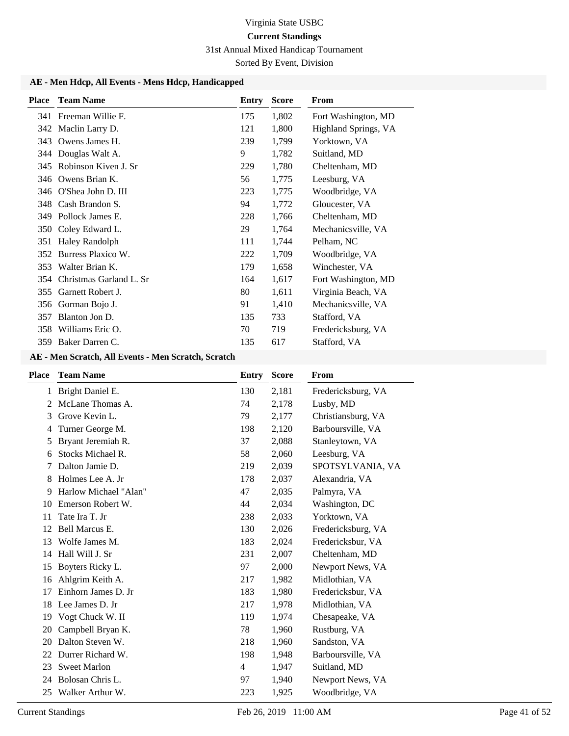### 31st Annual Mixed Handicap Tournament

Sorted By Event, Division

### **AE - Men Hdcp, All Events - Mens Hdcp, Handicapped**

| <b>Place</b> | <b>Team Name</b>        | Entry | <b>Score</b> | From                 |
|--------------|-------------------------|-------|--------------|----------------------|
|              | 341 Freeman Willie F.   | 175   | 1,802        | Fort Washington, MD  |
| 342          | Maclin Larry D.         | 121   | 1,800        | Highland Springs, VA |
| 343          | Owens James H.          | 239   | 1,799        | Yorktown, VA         |
| 344          | Douglas Walt A.         | 9     | 1,782        | Suitland, MD         |
| 345          | Robinson Kiven J. Sr    | 229   | 1,780        | Cheltenham, MD       |
|              | 346 Owens Brian K.      | 56    | 1,775        | Leesburg, VA         |
| 346          | O'Shea John D. III      | 223   | 1,775        | Woodbridge, VA       |
| 348          | Cash Brandon S.         | 94    | 1,772        | Gloucester, VA       |
| 349          | Pollock James E.        | 228   | 1,766        | Cheltenham, MD       |
| 350          | Coley Edward L.         | 29    | 1,764        | Mechanicsville, VA   |
| 351          | <b>Haley Randolph</b>   | 111   | 1,744        | Pelham, NC           |
| 352          | Burress Plaxico W.      | 222   | 1,709        | Woodbridge, VA       |
| 353          | Walter Brian K.         | 179   | 1,658        | Winchester, VA       |
| 354          | Christmas Garland L. Sr | 164   | 1,617        | Fort Washington, MD  |
| 355          | Garnett Robert J.       | 80    | 1,611        | Virginia Beach, VA   |
| 356          | Gorman Bojo J.          | 91    | 1,410        | Mechanicsville, VA   |
| 357          | Blanton Jon D.          | 135   | 733          | Stafford, VA         |
| 358          | Williams Eric O.        | 70    | 719          | Fredericksburg, VA   |
| 359          | Baker Darren C.         | 135   | 617          | Stafford, VA         |

### **AE - Men Scratch, All Events - Men Scratch, Scratch**

| Place         | <b>Team Name</b>      | Entry          | <b>Score</b> | From               |
|---------------|-----------------------|----------------|--------------|--------------------|
| 1             | Bright Daniel E.      | 130            | 2,181        | Fredericksburg, VA |
| $\mathcal{L}$ | McLane Thomas A.      | 74             | 2,178        | Lusby, MD          |
| 3             | Grove Kevin L.        | 79             | 2,177        | Christiansburg, VA |
| 4             | Turner George M.      | 198            | 2,120        | Barboursville, VA  |
| 5             | Bryant Jeremiah R.    | 37             | 2,088        | Stanleytown, VA    |
| 6             | Stocks Michael R.     | 58             | 2,060        | Leesburg, VA       |
|               | Dalton Jamie D.       | 219            | 2,039        | SPOTSYLVANIA, VA   |
| 8             | Holmes Lee A. Jr      | 178            | 2,037        | Alexandria, VA     |
| 9             | Harlow Michael "Alan" | 47             | 2,035        | Palmyra, VA        |
| 10            | Emerson Robert W.     | 44             | 2,034        | Washington, DC     |
| 11            | Tate Ira T. Jr        | 238            | 2,033        | Yorktown, VA       |
| 12            | <b>Bell Marcus E.</b> | 130            | 2,026        | Fredericksburg, VA |
| 13            | Wolfe James M.        | 183            | 2,024        | Fredericksbur, VA  |
| 14            | Hall Will J. Sr       | 231            | 2,007        | Cheltenham, MD     |
| 15            | Boyters Ricky L.      | 97             | 2,000        | Newport News, VA   |
| 16            | Ahlgrim Keith A.      | 217            | 1,982        | Midlothian, VA     |
| 17            | Einhorn James D. Jr   | 183            | 1,980        | Fredericksbur, VA  |
| 18            | Lee James D. Jr       | 217            | 1,978        | Midlothian, VA     |
| 19            | Vogt Chuck W. II      | 119            | 1,974        | Chesapeake, VA     |
| 20            | Campbell Bryan K.     | 78             | 1,960        | Rustburg, VA       |
| 20            | Dalton Steven W.      | 218            | 1,960        | Sandston, VA       |
| 22            | Durrer Richard W.     | 198            | 1,948        | Barboursville, VA  |
| 23            | <b>Sweet Marlon</b>   | $\overline{4}$ | 1,947        | Suitland, MD       |
| 24            | Bolosan Chris L.      | 97             | 1,940        | Newport News, VA   |
| 25            | Walker Arthur W.      | 223            | 1,925        | Woodbridge, VA     |
|               |                       |                |              |                    |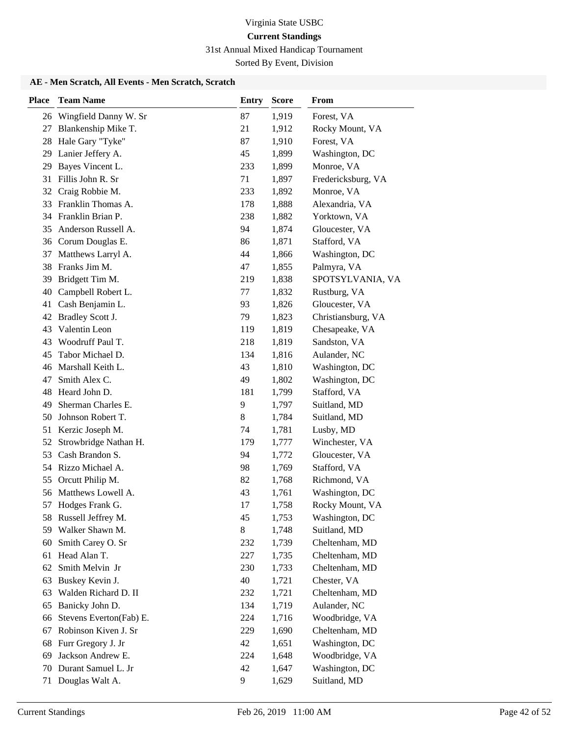31st Annual Mixed Handicap Tournament

Sorted By Event, Division

### **AE - Men Scratch, All Events - Men Scratch, Scratch**

| <b>Place</b> | <b>Team Name</b>                | <b>Entry</b> | <b>Score</b>   | From                             |
|--------------|---------------------------------|--------------|----------------|----------------------------------|
|              | 26 Wingfield Danny W. Sr        | 87           | 1,919          | Forest, VA                       |
| 27           | Blankenship Mike T.             | 21           | 1,912          | Rocky Mount, VA                  |
| 28           | Hale Gary "Tyke"                | 87           | 1,910          | Forest, VA                       |
| 29           | Lanier Jeffery A.               | 45           | 1,899          | Washington, DC                   |
| 29           | Bayes Vincent L.                | 233          | 1,899          | Monroe, VA                       |
| 31           | Fillis John R. Sr               | 71           | 1,897          | Fredericksburg, VA               |
| 32           | Craig Robbie M.                 | 233          | 1,892          | Monroe, VA                       |
| 33           | Franklin Thomas A.              | 178          | 1,888          | Alexandria, VA                   |
| 34           | Franklin Brian P.               | 238          | 1,882          | Yorktown, VA                     |
| 35           | Anderson Russell A.             | 94           | 1,874          | Gloucester, VA                   |
| 36           | Corum Douglas E.                | 86           | 1,871          | Stafford, VA                     |
| 37           | Matthews Larryl A.              | 44           | 1,866          | Washington, DC                   |
| 38           | Franks Jim M.                   | 47           | 1,855          | Palmyra, VA                      |
| 39           | Bridgett Tim M.                 | 219          | 1,838          | SPOTSYLVANIA, VA                 |
| 40           | Campbell Robert L.              | 77           | 1,832          | Rustburg, VA                     |
| 41           | Cash Benjamin L.                | 93           | 1,826          | Gloucester, VA                   |
| 42           | Bradley Scott J.                | 79           | 1,823          | Christiansburg, VA               |
| 43           | Valentin Leon                   | 119          | 1,819          | Chesapeake, VA                   |
| 43           | Woodruff Paul T.                | 218          | 1,819          | Sandston, VA                     |
| 45           | Tabor Michael D.                | 134          | 1,816          | Aulander, NC                     |
| 46           | Marshall Keith L.               | 43           | 1,810          | Washington, DC                   |
| 47           | Smith Alex C.                   | 49           | 1,802          | Washington, DC                   |
| 48           | Heard John D.                   | 181          | 1,799          | Stafford, VA                     |
| 49           | Sherman Charles E.              | 9            | 1,797          | Suitland, MD                     |
| 50           | Johnson Robert T.               | 8            | 1,784          | Suitland, MD                     |
| 51           | Kerzic Joseph M.                | 74           | 1,781          | Lusby, MD                        |
| 52           | Strowbridge Nathan H.           | 179          | 1,777          | Winchester, VA                   |
| 53           | Cash Brandon S.                 | 94           | 1,772          | Gloucester, VA                   |
|              | 54 Rizzo Michael A.             | 98           | 1,769          | Stafford, VA                     |
| 55           | Orcutt Philip M.                | 82           | 1,768          | Richmond, VA                     |
| 56           | Matthews Lowell A.              | 43           | 1,761          | Washington, DC                   |
| 57           | Hodges Frank G.                 | 17           | 1,758          | Rocky Mount, VA                  |
|              | 58 Russell Jeffrey M.           | 45           | 1,753          | Washington, DC                   |
| 59           | Walker Shawn M.                 | 8            | 1,748          | Suitland, MD                     |
| 60           | Smith Carey O. Sr               | 232          | 1,739          | Cheltenham, MD                   |
| 61<br>62     | Head Alan T.<br>Smith Melvin Jr | 227<br>230   | 1,735          | Cheltenham, MD<br>Cheltenham, MD |
| 63           | Buskey Kevin J.                 | 40           | 1,733<br>1,721 | Chester, VA                      |
| 63           | Walden Richard D. II            | 232          | 1,721          | Cheltenham, MD                   |
| 65           | Banicky John D.                 | 134          | 1,719          | Aulander, NC                     |
| 66           | Stevens Everton(Fab) E.         | 224          | 1,716          | Woodbridge, VA                   |
| 67           | Robinson Kiven J. Sr            | 229          | 1,690          | Cheltenham, MD                   |
| 68           | Furr Gregory J. Jr              | 42           | 1,651          | Washington, DC                   |
| 69           | Jackson Andrew E.               | 224          | 1,648          | Woodbridge, VA                   |
| 70           | Durant Samuel L. Jr             | 42           | 1,647          | Washington, DC                   |
| 71           | Douglas Walt A.                 | 9            | 1,629          | Suitland, MD                     |
|              |                                 |              |                |                                  |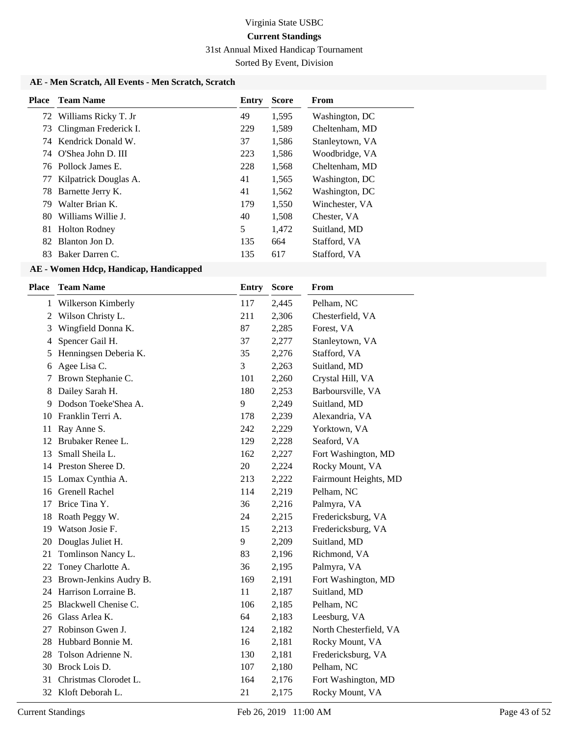31st Annual Mixed Handicap Tournament

Sorted By Event, Division

### **AE - Men Scratch, All Events - Men Scratch, Scratch**

| Place | <b>Team Name</b>        | Entry | <b>Score</b> | <b>From</b>     |
|-------|-------------------------|-------|--------------|-----------------|
|       | 72 Williams Ricky T. Jr | 49    | 1,595        | Washington, DC  |
| 73    | Clingman Frederick I.   | 229   | 1,589        | Cheltenham, MD  |
|       | 74 Kendrick Donald W.   | 37    | 1,586        | Stanleytown, VA |
|       | 74 O'Shea John D. III   | 223   | 1,586        | Woodbridge, VA  |
|       | 76 Pollock James E.     | 228   | 1,568        | Cheltenham, MD  |
| 77    | Kilpatrick Douglas A.   | 41    | 1,565        | Washington, DC  |
|       | 78 Barnette Jerry K.    | 41    | 1,562        | Washington, DC  |
| 79    | Walter Brian K.         | 179   | 1,550        | Winchester, VA  |
| 80.   | Williams Willie L       | 40    | 1,508        | Chester, VA     |
| 81    | <b>Holton Rodney</b>    | 5     | 1,472        | Suitland, MD    |
| 82    | Blanton Jon D.          | 135   | 664          | Stafford, VA    |
| 83.   | Baker Darren C.         | 135   | 617          | Stafford, VA    |
|       |                         |       |              |                 |

| Place | <b>Team Name</b>       | Entry | <b>Score</b> | From                   |
|-------|------------------------|-------|--------------|------------------------|
| 1     | Wilkerson Kimberly     | 117   | 2,445        | Pelham, NC             |
| 2     | Wilson Christy L.      | 211   | 2,306        | Chesterfield, VA       |
| 3     | Wingfield Donna K.     | 87    | 2,285        | Forest, VA             |
| 4     | Spencer Gail H.        | 37    | 2,277        | Stanleytown, VA        |
| 5     | Henningsen Deberia K.  | 35    | 2,276        | Stafford, VA           |
| 6     | Agee Lisa C.           | 3     | 2,263        | Suitland, MD           |
| 7     | Brown Stephanie C.     | 101   | 2,260        | Crystal Hill, VA       |
| 8     | Dailey Sarah H.        | 180   | 2,253        | Barboursville, VA      |
| 9     | Dodson Toeke'Shea A.   | 9     | 2,249        | Suitland, MD           |
| 10    | Franklin Terri A.      | 178   | 2,239        | Alexandria, VA         |
| 11    | Ray Anne S.            | 242   | 2,229        | Yorktown, VA           |
| 12    | Brubaker Renee L.      | 129   | 2,228        | Seaford, VA            |
| 13    | Small Sheila L.        | 162   | 2,227        | Fort Washington, MD    |
|       | 14 Preston Sheree D.   | 20    | 2,224        | Rocky Mount, VA        |
| 15    | Lomax Cynthia A.       | 213   | 2,222        | Fairmount Heights, MD  |
| 16    | Grenell Rachel         | 114   | 2,219        | Pelham, NC             |
| 17    | Brice Tina Y.          | 36    | 2,216        | Palmyra, VA            |
| 18    | Roath Peggy W.         | 24    | 2,215        | Fredericksburg, VA     |
| 19    | Watson Josie F.        | 15    | 2,213        | Fredericksburg, VA     |
| 20    | Douglas Juliet H.      | 9     | 2,209        | Suitland, MD           |
| 21    | Tomlinson Nancy L.     | 83    | 2,196        | Richmond, VA           |
| 22    | Toney Charlotte A.     | 36    | 2,195        | Palmyra, VA            |
| 23    | Brown-Jenkins Audry B. | 169   | 2,191        | Fort Washington, MD    |
| 24    | Harrison Lorraine B.   | 11    | 2,187        | Suitland, MD           |
| 25    | Blackwell Chenise C.   | 106   | 2,185        | Pelham, NC             |
| 26    | Glass Arlea K.         | 64    | 2,183        | Leesburg, VA           |
| 27    | Robinson Gwen J.       | 124   | 2,182        | North Chesterfield, VA |
| 28    | Hubbard Bonnie M.      | 16    | 2,181        | Rocky Mount, VA        |
| 28    | Tolson Adrienne N.     | 130   | 2,181        | Fredericksburg, VA     |
| 30    | Brock Lois D.          | 107   | 2,180        | Pelham, NC             |
| 31    | Christmas Clorodet L.  | 164   | 2,176        | Fort Washington, MD    |
| 32    | Kloft Deborah L.       | 21    | 2,175        | Rocky Mount, VA        |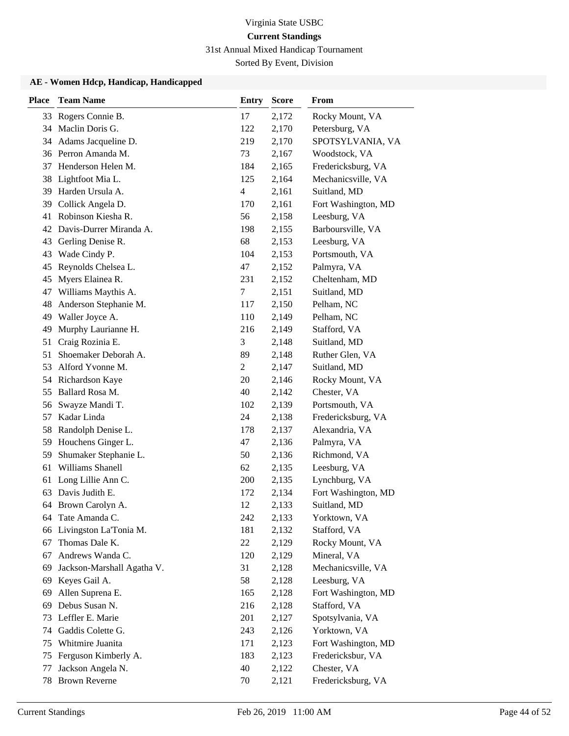31st Annual Mixed Handicap Tournament

Sorted By Event, Division

| <b>Place</b> | <b>Team Name</b>           | <b>Entry</b>   | <b>Score</b> | From                |
|--------------|----------------------------|----------------|--------------|---------------------|
|              | 33 Rogers Connie B.        | 17             | 2,172        | Rocky Mount, VA     |
| 34           | Maclin Doris G.            | 122            | 2,170        | Petersburg, VA      |
|              | 34 Adams Jacqueline D.     | 219            | 2,170        | SPOTSYLVANIA, VA    |
|              | 36 Perron Amanda M.        | 73             | 2,167        | Woodstock, VA       |
| 37           | Henderson Helen M.         | 184            | 2,165        | Fredericksburg, VA  |
| 38           | Lightfoot Mia L.           | 125            | 2,164        | Mechanicsville, VA  |
| 39           | Harden Ursula A.           | 4              | 2,161        | Suitland, MD        |
| 39           | Collick Angela D.          | 170            | 2,161        | Fort Washington, MD |
| 41           | Robinson Kiesha R.         | 56             | 2,158        | Leesburg, VA        |
| 42           | Davis-Durrer Miranda A.    | 198            | 2,155        | Barboursville, VA   |
| 43           | Gerling Denise R.          | 68             | 2,153        | Leesburg, VA        |
| 43           | Wade Cindy P.              | 104            | 2,153        | Portsmouth, VA      |
| 45           | Reynolds Chelsea L.        | 47             | 2,152        | Palmyra, VA         |
| 45           | Myers Elainea R.           | 231            | 2,152        | Cheltenham, MD      |
| 47           | Williams Maythis A.        | 7              | 2,151        | Suitland, MD        |
| 48           | Anderson Stephanie M.      | 117            | 2,150        | Pelham, NC          |
| 49           | Waller Joyce A.            | 110            | 2,149        | Pelham, NC          |
| 49           | Murphy Laurianne H.        | 216            | 2,149        | Stafford, VA        |
| 51           | Craig Rozinia E.           | 3              | 2,148        | Suitland, MD        |
| 51           | Shoemaker Deborah A.       | 89             | 2,148        | Ruther Glen, VA     |
| 53           | Alford Yvonne M.           | $\overline{c}$ | 2,147        | Suitland, MD        |
|              | 54 Richardson Kaye         | 20             | 2,146        | Rocky Mount, VA     |
| 55           | Ballard Rosa M.            | 40             | 2,142        | Chester, VA         |
| 56           | Swayze Mandi T.            | 102            | 2,139        | Portsmouth, VA      |
| 57           | Kadar Linda                | 24             | 2,138        | Fredericksburg, VA  |
| 58           | Randolph Denise L.         | 178            | 2,137        | Alexandria, VA      |
| 59           | Houchens Ginger L.         | 47             | 2,136        | Palmyra, VA         |
| 59           | Shumaker Stephanie L.      | 50             | 2,136        | Richmond, VA        |
| 61           | Williams Shanell           | 62             | 2,135        | Leesburg, VA        |
| 61           | Long Lillie Ann C.         | 200            | 2,135        | Lynchburg, VA       |
|              | 63 Davis Judith E.         | 172            | 2,134        | Fort Washington, MD |
|              | 64 Brown Carolyn A.        | 12             | 2,133        | Suitland, MD        |
|              | 64 Tate Amanda C.          | 242            | 2,133        | Yorktown, VA        |
|              | 66 Livingston La'Tonia M.  | 181            | 2,132        | Stafford, VA        |
| 67           | Thomas Dale K.             | 22             | 2,129        | Rocky Mount, VA     |
| 67           | Andrews Wanda C.           | 120            | 2,129        | Mineral, VA         |
| 69           | Jackson-Marshall Agatha V. | 31             | 2,128        | Mechanicsville, VA  |
| 69           | Keyes Gail A.              | 58             | 2,128        | Leesburg, VA        |
| 69           | Allen Suprena E.           | 165            | 2,128        | Fort Washington, MD |
| 69           | Debus Susan N.             | 216            | 2,128        | Stafford, VA        |
|              | 73 Leffler E. Marie        | 201            | 2,127        | Spotsylvania, VA    |
| 74           | Gaddis Colette G.          | 243            | 2,126        | Yorktown, VA        |
| 75           | Whitmire Juanita           | 171            | 2,123        | Fort Washington, MD |
| 75           | Ferguson Kimberly A.       | 183            | 2,123        | Fredericksbur, VA   |
| 77           | Jackson Angela N.          | 40             | 2,122        | Chester, VA         |
| 78           | <b>Brown Reverne</b>       | 70             | 2,121        | Fredericksburg, VA  |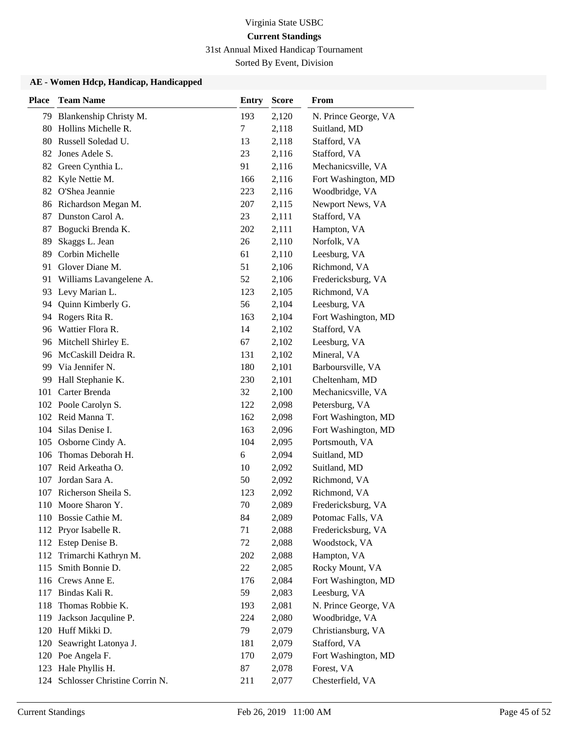31st Annual Mixed Handicap Tournament

Sorted By Event, Division

| <b>Place</b> | <b>Team Name</b>                  | <b>Entry</b> | <b>Score</b> | From                 |
|--------------|-----------------------------------|--------------|--------------|----------------------|
| 79           | Blankenship Christy M.            | 193          | 2,120        | N. Prince George, VA |
| 80           | Hollins Michelle R.               | $\tau$       | 2,118        | Suitland, MD         |
|              | 80 Russell Soledad U.             | 13           | 2,118        | Stafford, VA         |
| 82           | Jones Adele S.                    | 23           | 2,116        | Stafford, VA         |
| 82           | Green Cynthia L.                  | 91           | 2,116        | Mechanicsville, VA   |
| 82           | Kyle Nettie M.                    | 166          | 2,116        | Fort Washington, MD  |
|              | 82 O'Shea Jeannie                 | 223          | 2,116        | Woodbridge, VA       |
| 86           | Richardson Megan M.               | 207          | 2,115        | Newport News, VA     |
| 87           | Dunston Carol A.                  | 23           | 2,111        | Stafford, VA         |
| 87           | Bogucki Brenda K.                 | 202          | 2,111        | Hampton, VA          |
| 89           | Skaggs L. Jean                    | 26           | 2,110        | Norfolk, VA          |
| 89           | Corbin Michelle                   | 61           | 2,110        | Leesburg, VA         |
| 91           | Glover Diane M.                   | 51           | 2,106        | Richmond, VA         |
| 91           | Williams Lavangelene A.           | 52           | 2,106        | Fredericksburg, VA   |
|              | 93 Levy Marian L.                 | 123          | 2,105        | Richmond, VA         |
| 94           | Quinn Kimberly G.                 | 56           | 2,104        | Leesburg, VA         |
| 94           | Rogers Rita R.                    | 163          | 2,104        | Fort Washington, MD  |
| 96           | Wattier Flora R.                  | 14           | 2,102        | Stafford, VA         |
| 96           | Mitchell Shirley E.               | 67           | 2,102        | Leesburg, VA         |
| 96           | McCaskill Deidra R.               | 131          | 2,102        | Mineral, VA          |
| 99           | Via Jennifer N.                   | 180          | 2,101        | Barboursville, VA    |
| 99           | Hall Stephanie K.                 | 230          | 2,101        | Cheltenham, MD       |
|              | 101 Carter Brenda                 | 32           | 2,100        | Mechanicsville, VA   |
|              | 102 Poole Carolyn S.              | 122          | 2,098        | Petersburg, VA       |
|              | 102 Reid Manna T.                 | 162          | 2,098        | Fort Washington, MD  |
| 104          | Silas Denise I.                   | 163          | 2,096        | Fort Washington, MD  |
| 105          | Osborne Cindy A.                  | 104          | 2,095        | Portsmouth, VA       |
| 106          | Thomas Deborah H.                 | 6            | 2,094        | Suitland, MD         |
| 107          | Reid Arkeatha O.                  | 10           | 2,092        | Suitland, MD         |
| 107          | Jordan Sara A.                    | 50           | 2,092        | Richmond, VA         |
| 107          | Richerson Sheila S.               | 123          | 2,092        | Richmond, VA         |
|              | 110 Moore Sharon Y.               | 70           | 2,089        | Fredericksburg, VA   |
|              | 110 Bossie Cathie M.              | 84           | 2,089        | Potomac Falls, VA    |
|              | 112 Pryor Isabelle R.             | 71           | 2,088        | Fredericksburg, VA   |
|              | 112 Estep Denise B.               | 72           | 2,088        | Woodstock, VA        |
|              | 112 Trimarchi Kathryn M.          | 202          | 2,088        | Hampton, VA          |
| 115          | Smith Bonnie D.                   | 22           | 2,085        | Rocky Mount, VA      |
| 116          | Crews Anne E.                     | 176          | 2,084        | Fort Washington, MD  |
| 117          | Bindas Kali R.                    | 59           | 2,083        | Leesburg, VA         |
| 118          | Thomas Robbie K.                  | 193          | 2,081        | N. Prince George, VA |
| 119          | Jackson Jacquline P.              | 224          | 2,080        | Woodbridge, VA       |
| 120          | Huff Mikki D.                     | 79           | 2,079        | Christiansburg, VA   |
| 120          | Seawright Latonya J.              | 181          | 2,079        | Stafford, VA         |
|              | 120 Poe Angela F.                 | 170          | 2,079        | Fort Washington, MD  |
|              | 123 Hale Phyllis H.               | 87           | 2,078        | Forest, VA           |
|              | 124 Schlosser Christine Corrin N. | 211          | 2,077        | Chesterfield, VA     |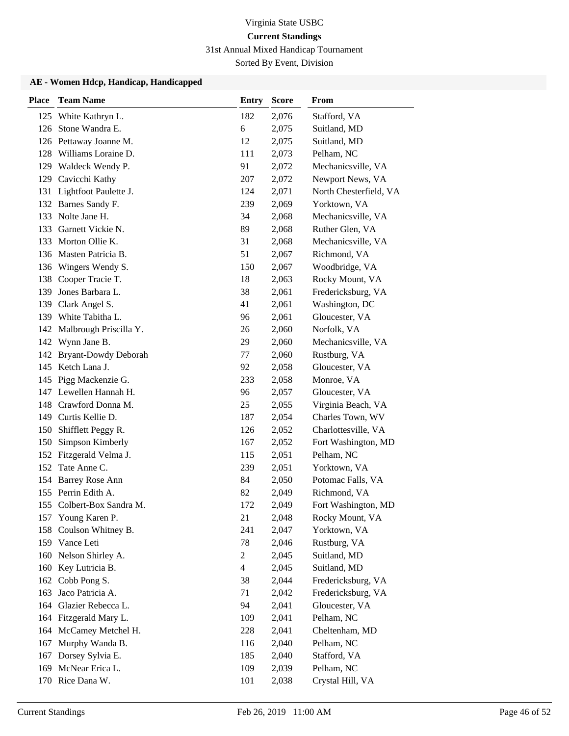31st Annual Mixed Handicap Tournament

Sorted By Event, Division

| <b>Place</b> | <b>Team Name</b>           | <b>Entry</b>   | <b>Score</b> | From                   |
|--------------|----------------------------|----------------|--------------|------------------------|
| 125          | White Kathryn L.           | 182            | 2,076        | Stafford, VA           |
| 126          | Stone Wandra E.            | 6              | 2,075        | Suitland, MD           |
|              | 126 Pettaway Joanne M.     | 12             | 2,075        | Suitland, MD           |
| 128          | Williams Loraine D.        | 111            | 2,073        | Pelham, NC             |
|              | 129 Waldeck Wendy P.       | 91             | 2,072        | Mechanicsville, VA     |
| 129          | Cavicchi Kathy             | 207            | 2,072        | Newport News, VA       |
| 131          | Lightfoot Paulette J.      | 124            | 2,071        | North Chesterfield, VA |
|              | 132 Barnes Sandy F.        | 239            | 2,069        | Yorktown, VA           |
|              | 133 Nolte Jane H.          | 34             | 2,068        | Mechanicsville, VA     |
| 133          | Garnett Vickie N.          | 89             | 2,068        | Ruther Glen, VA        |
|              | 133 Morton Ollie K.        | 31             | 2,068        | Mechanicsville, VA     |
|              | 136 Masten Patricia B.     | 51             | 2,067        | Richmond, VA           |
|              | 136 Wingers Wendy S.       | 150            | 2,067        | Woodbridge, VA         |
| 138          | Cooper Tracie T.           | 18             | 2,063        | Rocky Mount, VA        |
|              | 139 Jones Barbara L.       | 38             | 2,061        | Fredericksburg, VA     |
| 139          | Clark Angel S.             | 41             | 2,061        | Washington, DC         |
|              | 139 White Tabitha L.       | 96             | 2,061        | Gloucester, VA         |
|              | 142 Malbrough Priscilla Y. | 26             | 2,060        | Norfolk, VA            |
|              | 142 Wynn Jane B.           | 29             | 2,060        | Mechanicsville, VA     |
|              | 142 Bryant-Dowdy Deborah   | 77             | 2,060        | Rustburg, VA           |
|              | 145 Ketch Lana J.          | 92             | 2,058        | Gloucester, VA         |
|              | 145 Pigg Mackenzie G.      | 233            | 2,058        | Monroe, VA             |
|              | 147 Lewellen Hannah H.     | 96             | 2,057        | Gloucester, VA         |
|              | 148 Crawford Donna M.      | 25             | 2,055        | Virginia Beach, VA     |
|              | 149 Curtis Kellie D.       | 187            | 2,054        | Charles Town, WV       |
| 150          | Shifflett Peggy R.         | 126            | 2,052        | Charlottesville, VA    |
| 150          | Simpson Kimberly           | 167            | 2,052        | Fort Washington, MD    |
|              | 152 Fitzgerald Velma J.    | 115            | 2,051        | Pelham, NC             |
| 152          | Tate Anne C.               | 239            | 2,051        | Yorktown, VA           |
|              | 154 Barrey Rose Ann        | 84             | 2,050        | Potomac Falls, VA      |
|              | 155 Perrin Edith A.        | 82             | 2,049        | Richmond, VA           |
| 155          | Colbert-Box Sandra M.      | 172            | 2,049        | Fort Washington, MD    |
|              | 157 Young Karen P.         | 21             | 2,048        | Rocky Mount, VA        |
| 158          | Coulson Whitney B.         | 241            | 2,047        | Yorktown, VA           |
|              | 159 Vance Leti             | 78             | 2,046        | Rustburg, VA           |
| 160          | Nelson Shirley A.          | $\overline{2}$ | 2,045        | Suitland, MD           |
| 160          | Key Lutricia B.            | $\overline{4}$ | 2,045        | Suitland, MD           |
| 162          | Cobb Pong S.               | 38             | 2,044        | Fredericksburg, VA     |
| 163          | Jaco Patricia A.           | 71             | 2,042        | Fredericksburg, VA     |
| 164          | Glazier Rebecca L.         | 94             | 2,041        | Gloucester, VA         |
|              | 164 Fitzgerald Mary L.     | 109            | 2,041        | Pelham, NC             |
| 164          | McCamey Metchel H.         | 228            | 2,041        | Cheltenham, MD         |
| 167          | Murphy Wanda B.            | 116            | 2,040        | Pelham, NC             |
| 167          | Dorsey Sylvia E.           | 185            | 2,040        | Stafford, VA           |
| 169          | McNear Erica L.            | 109            | 2,039        | Pelham, NC             |
|              | 170 Rice Dana W.           | 101            | 2,038        | Crystal Hill, VA       |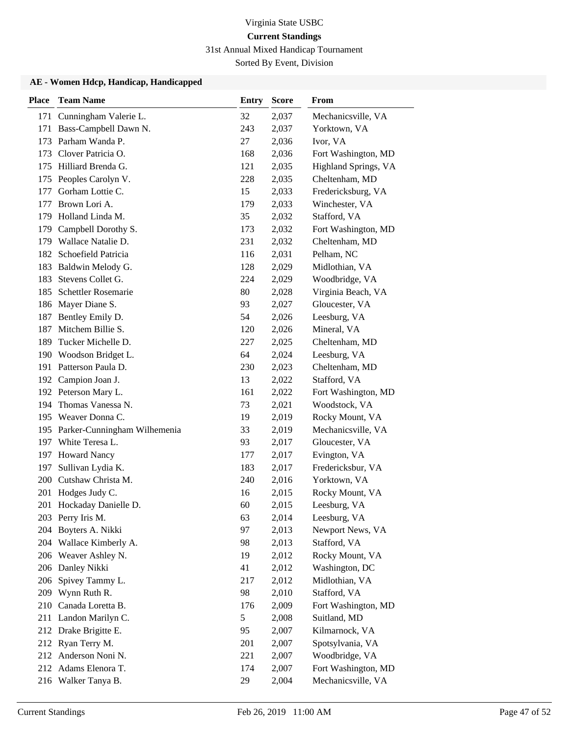31st Annual Mixed Handicap Tournament

Sorted By Event, Division

| <b>Place</b> | <b>Team Name</b>                 | <b>Entry</b> | <b>Score</b> | From                 |
|--------------|----------------------------------|--------------|--------------|----------------------|
| 171          | Cunningham Valerie L.            | 32           | 2,037        | Mechanicsville, VA   |
| 171          | Bass-Campbell Dawn N.            | 243          | 2,037        | Yorktown, VA         |
|              | 173 Parham Wanda P.              | 27           | 2,036        | Ivor, VA             |
| 173          | Clover Patricia O.               | 168          | 2,036        | Fort Washington, MD  |
| 175          | Hilliard Brenda G.               | 121          | 2,035        | Highland Springs, VA |
| 175          | Peoples Carolyn V.               | 228          | 2,035        | Cheltenham, MD       |
| 177          | Gorham Lottie C.                 | 15           | 2,033        | Fredericksburg, VA   |
| 177          | Brown Lori A.                    | 179          | 2,033        | Winchester, VA       |
| 179          | Holland Linda M.                 | 35           | 2,032        | Stafford, VA         |
| 179          | Campbell Dorothy S.              | 173          | 2,032        | Fort Washington, MD  |
| 179          | Wallace Natalie D.               | 231          | 2,032        | Cheltenham, MD       |
| 182          | Schoefield Patricia              | 116          | 2,031        | Pelham, NC           |
| 183          | Baldwin Melody G.                | 128          | 2,029        | Midlothian, VA       |
| 183          | Stevens Collet G.                | 224          | 2,029        | Woodbridge, VA       |
| 185          | Schettler Rosemarie              | 80           | 2,028        | Virginia Beach, VA   |
| 186          | Mayer Diane S.                   | 93           | 2,027        | Gloucester, VA       |
| 187          | Bentley Emily D.                 | 54           | 2,026        | Leesburg, VA         |
| 187          | Mitchem Billie S.                | 120          | 2,026        | Mineral, VA          |
| 189          | Tucker Michelle D.               | 227          | 2,025        | Cheltenham, MD       |
| 190          | Woodson Bridget L.               | 64           | 2,024        | Leesburg, VA         |
|              | 191 Patterson Paula D.           | 230          | 2,023        | Cheltenham, MD       |
|              | 192 Campion Joan J.              | 13           | 2,022        | Stafford, VA         |
|              | 192 Peterson Mary L.             | 161          | 2,022        | Fort Washington, MD  |
| 194          | Thomas Vanessa N.                | 73           | 2,021        | Woodstock, VA        |
|              | 195 Weaver Donna C.              | 19           | 2,019        | Rocky Mount, VA      |
|              | 195 Parker-Cunningham Wilhemenia | 33           | 2,019        | Mechanicsville, VA   |
|              | 197 White Teresa L.              | 93           | 2,017        | Gloucester, VA       |
| 197          | <b>Howard Nancy</b>              | 177          | 2,017        | Evington, VA         |
| 197          | Sullivan Lydia K.                | 183          | 2,017        | Fredericksbur, VA    |
| 200          | Cutshaw Christa M.               | 240          | 2,016        | Yorktown, VA         |
| 201          | Hodges Judy C.                   | 16           | 2,015        | Rocky Mount, VA      |
| 201          | Hockaday Danielle D.             | 60           | 2,015        | Leesburg, VA         |
|              | 203 Perry Iris M.                | 63           | 2,014        | Leesburg, VA         |
|              | 204 Boyters A. Nikki             | 97           | 2,013        | Newport News, VA     |
|              | 204 Wallace Kimberly A.          | 98           | 2,013        | Stafford, VA         |
|              | 206 Weaver Ashley N.             | 19           | 2,012        | Rocky Mount, VA      |
|              | 206 Danley Nikki                 | 41           | 2,012        | Washington, DC       |
| 206          | Spivey Tammy L.                  | 217          | 2,012        | Midlothian, VA       |
|              | 209 Wynn Ruth R.                 | 98           | 2,010        | Stafford, VA         |
| 210          | Canada Loretta B.                | 176          | 2,009        | Fort Washington, MD  |
|              | 211 Landon Marilyn C.            | 5            | 2,008        | Suitland, MD         |
|              | 212 Drake Brigitte E.            | 95           | 2,007        | Kilmarnock, VA       |
|              | 212 Ryan Terry M.                | 201          | 2,007        | Spotsylvania, VA     |
|              | 212 Anderson Noni N.             | 221          | 2,007        | Woodbridge, VA       |
|              | 212 Adams Elenora T.             | 174          | 2,007        | Fort Washington, MD  |
|              | 216 Walker Tanya B.              | 29           | 2,004        | Mechanicsville, VA   |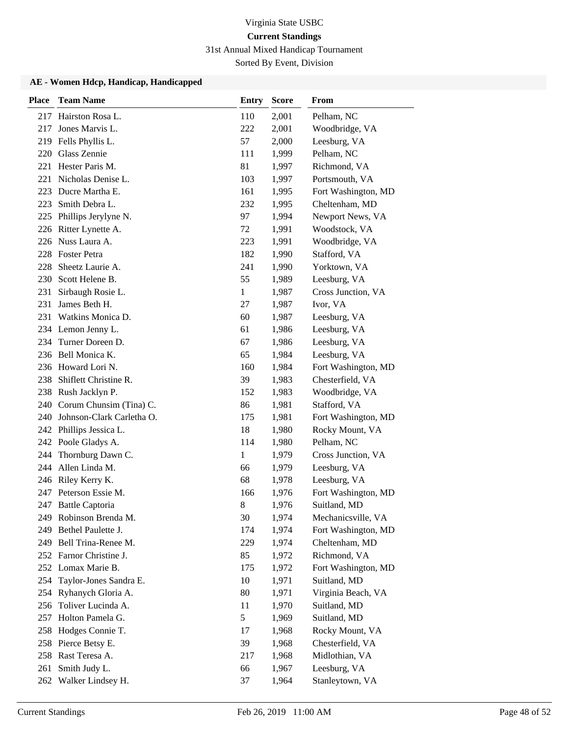31st Annual Mixed Handicap Tournament

Sorted By Event, Division

| <b>Place</b> | <b>Team Name</b>            | <b>Entry</b> | <b>Score</b> | From                |
|--------------|-----------------------------|--------------|--------------|---------------------|
| 217          | Hairston Rosa L.            | 110          | 2,001        | Pelham, NC          |
| 217          | Jones Marvis L.             | 222          | 2,001        | Woodbridge, VA      |
| 219          | Fells Phyllis L.            | 57           | 2,000        | Leesburg, VA        |
| 220          | Glass Zennie                | 111          | 1,999        | Pelham, NC          |
| 221          | Hester Paris M.             | 81           | 1,997        | Richmond, VA        |
| 221          | Nicholas Denise L.          | 103          | 1,997        | Portsmouth, VA      |
| 223          | Ducre Martha E.             | 161          | 1,995        | Fort Washington, MD |
| 223          | Smith Debra L.              | 232          | 1,995        | Cheltenham, MD      |
| 225          | Phillips Jerylyne N.        | 97           | 1,994        | Newport News, VA    |
| 226          | Ritter Lynette A.           | 72           | 1,991        | Woodstock, VA       |
| 226          | Nuss Laura A.               | 223          | 1,991        | Woodbridge, VA      |
|              | 228 Foster Petra            | 182          | 1,990        | Stafford, VA        |
| 228          | Sheetz Laurie A.            | 241          | 1,990        | Yorktown, VA        |
| 230          | Scott Helene B.             | 55           | 1,989        | Leesburg, VA        |
| 231          | Sirbaugh Rosie L.           | 1            | 1,987        | Cross Junction, VA  |
| 231          | James Beth H.               | 27           | 1,987        | Ivor, VA            |
| 231          | Watkins Monica D.           | 60           | 1,987        | Leesburg, VA        |
|              | 234 Lemon Jenny L.          | 61           | 1,986        | Leesburg, VA        |
| 234          | Turner Doreen D.            | 67           | 1,986        | Leesburg, VA        |
|              | 236 Bell Monica K.          | 65           | 1,984        | Leesburg, VA        |
|              | 236 Howard Lori N.          | 160          | 1,984        | Fort Washington, MD |
| 238          | Shiflett Christine R.       | 39           | 1,983        | Chesterfield, VA    |
|              | 238 Rush Jacklyn P.         | 152          | 1,983        | Woodbridge, VA      |
|              | 240 Corum Chunsim (Tina) C. | 86           | 1,981        | Stafford, VA        |
| 240          | Johnson-Clark Carletha O.   | 175          | 1,981        | Fort Washington, MD |
| 242          | Phillips Jessica L.         | 18           | 1,980        | Rocky Mount, VA     |
|              | 242 Poole Gladys A.         | 114          | 1,980        | Pelham, NC          |
| 244          | Thornburg Dawn C.           | 1            | 1,979        | Cross Junction, VA  |
| 244          | Allen Linda M.              | 66           | 1,979        | Leesburg, VA        |
|              | 246 Riley Kerry K.          | 68           | 1,978        | Leesburg, VA        |
| 247          | Peterson Essie M.           | 166          | 1,976        | Fort Washington, MD |
| 247          | <b>Battle Captoria</b>      | 8            | 1,976        | Suitland, MD        |
|              | 249 Robinson Brenda M.      | 30           | 1,974        | Mechanicsville, VA  |
| 249          | Bethel Paulette J.          | 174          | 1,974        | Fort Washington, MD |
|              | 249 Bell Trina-Renee M.     | 229          | 1,974        | Cheltenham, MD      |
|              | 252 Farnor Christine J.     | 85           | 1,972        | Richmond, VA        |
|              | 252 Lomax Marie B.          | 175          | 1,972        | Fort Washington, MD |
| 254          | Taylor-Jones Sandra E.      | 10           | 1,971        | Suitland, MD        |
| 254          | Ryhanych Gloria A.          | 80           | 1,971        | Virginia Beach, VA  |
| 256          | Toliver Lucinda A.          | 11           | 1,970        | Suitland, MD        |
| 257          | Holton Pamela G.            | 5            | 1,969        | Suitland, MD        |
| 258          | Hodges Connie T.            | 17           | 1,968        | Rocky Mount, VA     |
|              | 258 Pierce Betsy E.         | 39           | 1,968        | Chesterfield, VA    |
|              | 258 Rast Teresa A.          | 217          | 1,968        | Midlothian, VA      |
| 261          | Smith Judy L.               | 66           | 1,967        | Leesburg, VA        |
| 262          | Walker Lindsey H.           | 37           | 1,964        | Stanleytown, VA     |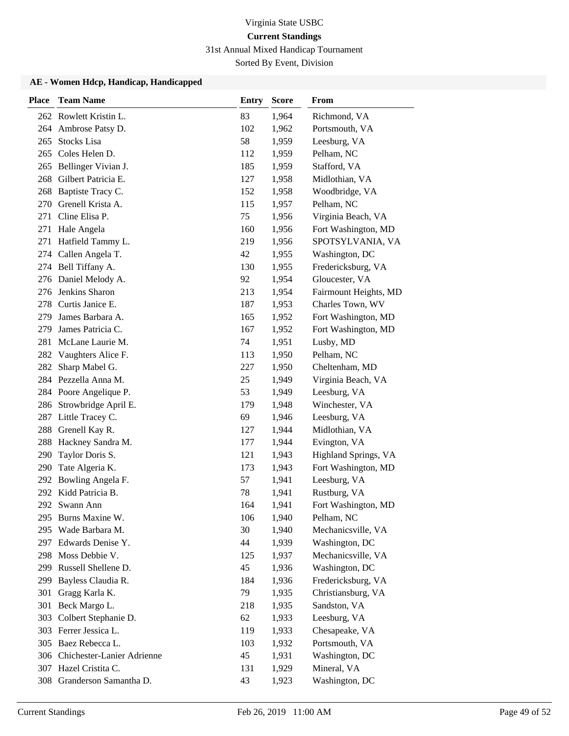31st Annual Mixed Handicap Tournament

Sorted By Event, Division

| Place | <b>Team Name</b>               | <b>Entry</b> | <b>Score</b> | From                  |
|-------|--------------------------------|--------------|--------------|-----------------------|
|       | 262 Rowlett Kristin L.         | 83           | 1,964        | Richmond, VA          |
|       | 264 Ambrose Patsy D.           | 102          | 1,962        | Portsmouth, VA        |
| 265   | <b>Stocks Lisa</b>             | 58           | 1,959        | Leesburg, VA          |
| 265   | Coles Helen D.                 | 112          | 1,959        | Pelham, NC            |
| 265   | Bellinger Vivian J.            | 185          | 1,959        | Stafford, VA          |
| 268   | Gilbert Patricia E.            | 127          | 1,958        | Midlothian, VA        |
| 268   | Baptiste Tracy C.              | 152          | 1,958        | Woodbridge, VA        |
| 270   | Grenell Krista A.              | 115          | 1,957        | Pelham, NC            |
| 271   | Cline Elisa P.                 | 75           | 1,956        | Virginia Beach, VA    |
| 271   | Hale Angela                    | 160          | 1,956        | Fort Washington, MD   |
| 271   | Hatfield Tammy L.              | 219          | 1,956        | SPOTSYLVANIA, VA      |
|       | 274 Callen Angela T.           | 42           | 1,955        | Washington, DC        |
|       | 274 Bell Tiffany A.            | 130          | 1,955        | Fredericksburg, VA    |
|       | 276 Daniel Melody A.           | 92           | 1,954        | Gloucester, VA        |
|       | 276 Jenkins Sharon             | 213          | 1,954        | Fairmount Heights, MD |
|       | 278 Curtis Janice E.           | 187          | 1,953        | Charles Town, WV      |
| 279   | James Barbara A.               | 165          | 1,952        | Fort Washington, MD   |
| 279   | James Patricia C.              | 167          | 1,952        | Fort Washington, MD   |
| 281   | McLane Laurie M.               | 74           | 1,951        | Lusby, MD             |
|       | 282 Vaughters Alice F.         | 113          | 1,950        | Pelham, NC            |
| 282   | Sharp Mabel G.                 | 227          | 1,950        | Cheltenham, MD        |
|       | 284 Pezzella Anna M.           | 25           | 1,949        | Virginia Beach, VA    |
|       | 284 Poore Angelique P.         | 53           | 1,949        | Leesburg, VA          |
|       | 286 Strowbridge April E.       | 179          | 1,948        | Winchester, VA        |
| 287   | Little Tracey C.               | 69           | 1,946        | Leesburg, VA          |
| 288   | Grenell Kay R.                 | 127          | 1,944        | Midlothian, VA        |
| 288   | Hackney Sandra M.              | 177          | 1,944        | Evington, VA          |
| 290   | Taylor Doris S.                | 121          | 1,943        | Highland Springs, VA  |
| 290   | Tate Algeria K.                | 173          | 1,943        | Fort Washington, MD   |
| 292   | Bowling Angela F.              | 57           | 1,941        | Leesburg, VA          |
|       | 292 Kidd Patricia B.           | 78           | 1,941        | Rustburg, VA          |
|       | 292 Swann Ann                  | 164          | 1,941        | Fort Washington, MD   |
|       | 295 Burns Maxine W.            | 106          | 1,940        | Pelham, NC            |
| 295   | Wade Barbara M.                | 30           | 1,940        | Mechanicsville, VA    |
|       | 297 Edwards Denise Y.          | 44           | 1,939        | Washington, DC        |
|       | 298 Moss Debbie V.             | 125          | 1,937        | Mechanicsville, VA    |
|       | 299 Russell Shellene D.        | 45           | 1,936        | Washington, DC        |
| 299   | Bayless Claudia R.             | 184          | 1,936        | Fredericksburg, VA    |
| 301   | Gragg Karla K.                 | 79           | 1,935        | Christiansburg, VA    |
| 301   | Beck Margo L.                  | 218          | 1,935        | Sandston, VA          |
| 303   | Colbert Stephanie D.           | 62           | 1,933        | Leesburg, VA          |
|       | 303 Ferrer Jessica L.          | 119          | 1,933        | Chesapeake, VA        |
|       | 305 Baez Rebecca L.            | 103          | 1,932        | Portsmouth, VA        |
|       | 306 Chichester-Lanier Adrienne | 45           | 1,931        | Washington, DC        |
|       | 307 Hazel Cristita C.          | 131          | 1,929        | Mineral, VA           |
| 308   | Granderson Samantha D.         | 43           | 1,923        | Washington, DC        |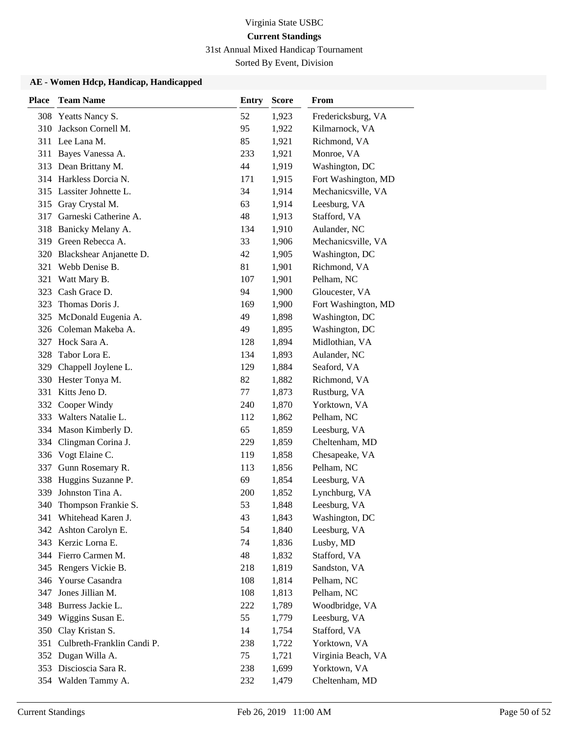31st Annual Mixed Handicap Tournament

Sorted By Event, Division

| <b>Place</b> | <b>Team Name</b>            | <b>Entry</b> | <b>Score</b> | From                |
|--------------|-----------------------------|--------------|--------------|---------------------|
| 308          | Yeatts Nancy S.             | 52           | 1,923        | Fredericksburg, VA  |
| 310          | Jackson Cornell M.          | 95           | 1,922        | Kilmarnock, VA      |
|              | 311 Lee Lana M.             | 85           | 1,921        | Richmond, VA        |
| 311          | Bayes Vanessa A.            | 233          | 1,921        | Monroe, VA          |
|              | 313 Dean Brittany M.        | 44           | 1,919        | Washington, DC      |
|              | 314 Harkless Dorcia N.      | 171          | 1,915        | Fort Washington, MD |
| 315          | Lassiter Johnette L.        | 34           | 1,914        | Mechanicsville, VA  |
| 315          | Gray Crystal M.             | 63           | 1,914        | Leesburg, VA        |
| 317          | Garneski Catherine A.       | 48           | 1,913        | Stafford, VA        |
| 318          | Banicky Melany A.           | 134          | 1,910        | Aulander, NC        |
| 319          | Green Rebecca A.            | 33           | 1,906        | Mechanicsville, VA  |
|              | 320 Blackshear Anjanette D. | 42           | 1,905        | Washington, DC      |
| 321          | Webb Denise B.              | 81           | 1,901        | Richmond, VA        |
| 321          | Watt Mary B.                | 107          | 1,901        | Pelham, NC          |
| 323          | Cash Grace D.               | 94           | 1,900        | Gloucester, VA      |
| 323          | Thomas Doris J.             | 169          | 1,900        | Fort Washington, MD |
| 325          | McDonald Eugenia A.         | 49           | 1,898        | Washington, DC      |
| 326          | Coleman Makeba A.           | 49           | 1,895        | Washington, DC      |
| 327          | Hock Sara A.                | 128          | 1,894        | Midlothian, VA      |
| 328          | Tabor Lora E.               | 134          | 1,893        | Aulander, NC        |
| 329          | Chappell Joylene L.         | 129          | 1,884        | Seaford, VA         |
|              | 330 Hester Tonya M.         | 82           | 1,882        | Richmond, VA        |
| 331          | Kitts Jeno D.               | 77           | 1,873        | Rustburg, VA        |
|              | 332 Cooper Windy            | 240          | 1,870        | Yorktown, VA        |
|              | 333 Walters Natalie L.      | 112          | 1,862        | Pelham, NC          |
|              | 334 Mason Kimberly D.       | 65           | 1,859        | Leesburg, VA        |
| 334          | Clingman Corina J.          | 229          | 1,859        | Cheltenham, MD      |
|              | 336 Vogt Elaine C.          | 119          | 1,858        | Chesapeake, VA      |
| 337          | Gunn Rosemary R.            | 113          | 1,856        | Pelham, NC          |
| 338          | Huggins Suzanne P.          | 69           | 1,854        | Leesburg, VA        |
| 339          | Johnston Tina A.            | 200          | 1,852        | Lynchburg, VA       |
| 340          | Thompson Frankie S.         | 53           | 1,848        | Leesburg, VA        |
|              | 341 Whitehead Karen J.      | 43           | 1,843        | Washington, DC      |
| 342          | Ashton Carolyn E.           | 54           | 1,840        | Leesburg, VA        |
|              | 343 Kerzic Lorna E.         | 74           | 1,836        | Lusby, MD           |
|              | 344 Fierro Carmen M.        | 48           | 1,832        | Stafford, VA        |
| 345          | Rengers Vickie B.           | 218          | 1,819        | Sandston, VA        |
| 346          | Yourse Casandra             | 108          | 1,814        | Pelham, NC          |
| 347          | Jones Jillian M.            | 108          | 1,813        | Pelham, NC          |
| 348          | Burress Jackie L.           | 222          | 1,789        | Woodbridge, VA      |
|              | 349 Wiggins Susan E.        | 55           | 1,779        | Leesburg, VA        |
| 350          | Clay Kristan S.             | 14           | 1,754        | Stafford, VA        |
| 351          | Culbreth-Franklin Candi P.  | 238          | 1,722        | Yorktown, VA        |
|              | 352 Dugan Willa A.          | 75           | 1,721        | Virginia Beach, VA  |
|              | 353 Discioscia Sara R.      | 238          | 1,699        | Yorktown, VA        |
|              | 354 Walden Tammy A.         | 232          | 1,479        | Cheltenham, MD      |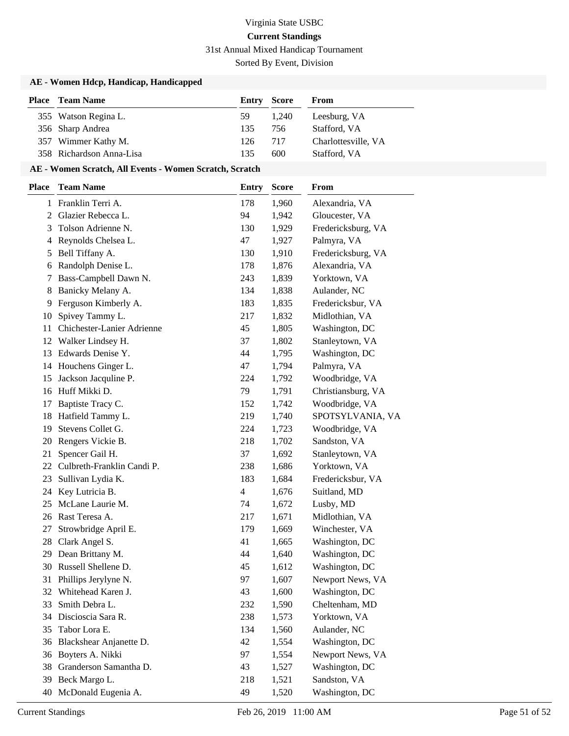31st Annual Mixed Handicap Tournament

Sorted By Event, Division

### **AE - Women Hdcp, Handicap, Handicapped**

| <b>Place</b> Team Name   | <b>Entry Score</b> |       | From                |
|--------------------------|--------------------|-------|---------------------|
| 355 Watson Regina L.     | 59.                | 1.240 | Leesburg, VA        |
| 356 Sharp Andrea         | 135                | 756   | Stafford, VA        |
| 357 Wimmer Kathy M.      | 126                | 717   | Charlottesville, VA |
| 358 Richardson Anna-Lisa | 135                | 600   | Stafford, VA        |

### **AE - Women Scratch, All Events - Women Scratch, Scratch**

| <b>Place</b> | <b>Team Name</b>           | <b>Entry</b> | <b>Score</b> | From               |
|--------------|----------------------------|--------------|--------------|--------------------|
| 1            | Franklin Terri A.          | 178          | 1,960        | Alexandria, VA     |
| 2            | Glazier Rebecca L.         | 94           | 1,942        | Gloucester, VA     |
| 3            | Tolson Adrienne N.         | 130          | 1,929        | Fredericksburg, VA |
| 4            | Reynolds Chelsea L.        | 47           | 1,927        | Palmyra, VA        |
| 5            | Bell Tiffany A.            | 130          | 1,910        | Fredericksburg, VA |
| 6            | Randolph Denise L.         | 178          | 1,876        | Alexandria, VA     |
| 7            | Bass-Campbell Dawn N.      | 243          | 1,839        | Yorktown, VA       |
| 8            | Banicky Melany A.          | 134          | 1,838        | Aulander, NC       |
| 9.           | Ferguson Kimberly A.       | 183          | 1,835        | Fredericksbur, VA  |
| 10           | Spivey Tammy L.            | 217          | 1,832        | Midlothian, VA     |
| 11           | Chichester-Lanier Adrienne | 45           | 1,805        | Washington, DC     |
| 12           | Walker Lindsey H.          | 37           | 1,802        | Stanleytown, VA    |
| 13           | Edwards Denise Y.          | 44           | 1,795        | Washington, DC     |
| 14           | Houchens Ginger L.         | 47           | 1,794        | Palmyra, VA        |
| 15           | Jackson Jacquline P.       | 224          | 1,792        | Woodbridge, VA     |
| 16           | Huff Mikki D.              | 79           | 1,791        | Christiansburg, VA |
| 17           | Baptiste Tracy C.          | 152          | 1,742        | Woodbridge, VA     |
| 18           | Hatfield Tammy L.          | 219          | 1,740        | SPOTSYLVANIA, VA   |
| 19           | Stevens Collet G.          | 224          | 1,723        | Woodbridge, VA     |
| 20           | Rengers Vickie B.          | 218          | 1,702        | Sandston, VA       |
| 21           | Spencer Gail H.            | 37           | 1,692        | Stanleytown, VA    |
| 22           | Culbreth-Franklin Candi P. | 238          | 1,686        | Yorktown, VA       |
| 23           | Sullivan Lydia K.          | 183          | 1,684        | Fredericksbur, VA  |
| 24           | Key Lutricia B.            | 4            | 1,676        | Suitland, MD       |
| 25           | McLane Laurie M.           | 74           | 1,672        | Lusby, MD          |
| 26           | Rast Teresa A.             | 217          | 1,671        | Midlothian, VA     |
| 27           | Strowbridge April E.       | 179          | 1,669        | Winchester, VA     |
| 28           | Clark Angel S.             | 41           | 1,665        | Washington, DC     |
| 29           | Dean Brittany M.           | 44           | 1,640        | Washington, DC     |
| 30           | Russell Shellene D.        | 45           | 1,612        | Washington, DC     |
| 31           | Phillips Jerylyne N.       | 97           | 1,607        | Newport News, VA   |
| 32           | Whitehead Karen J.         | 43           | 1,600        | Washington, DC     |
| 33           | Smith Debra L.             | 232          | 1,590        | Cheltenham, MD     |
| 34           | Discioscia Sara R.         | 238          | 1,573        | Yorktown, VA       |
| 35           | Tabor Lora E.              | 134          | 1,560        | Aulander, NC       |
| 36           | Blackshear Anjanette D.    | 42           | 1,554        | Washington, DC     |
| 36           | Boyters A. Nikki           | 97           | 1,554        | Newport News, VA   |
| 38           | Granderson Samantha D.     | 43           | 1,527        | Washington, DC     |
| 39           | Beck Margo L.              | 218          | 1,521        | Sandston, VA       |
| 40           | McDonald Eugenia A.        | 49           | 1,520        | Washington, DC     |